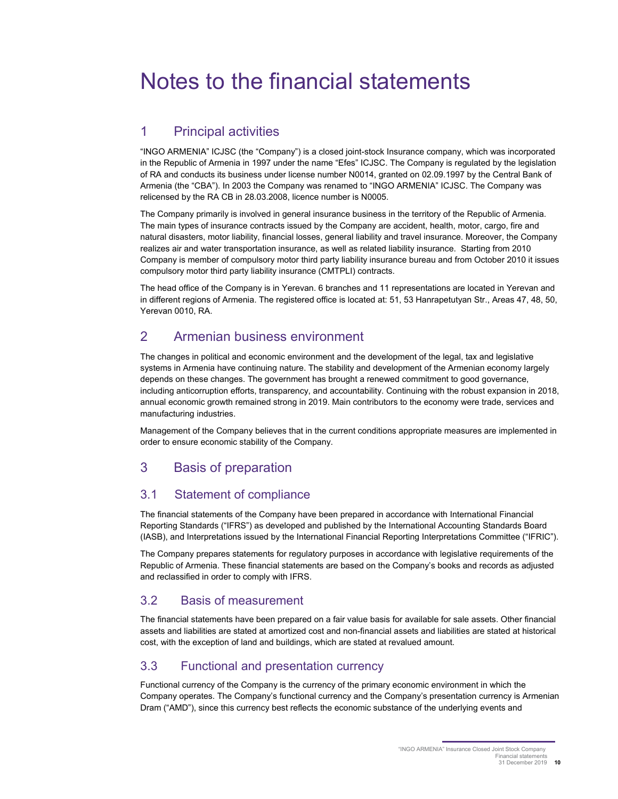# Notes to the financial statements

## 1 Principal activities

"INGO ARMENIA" ICJSC (the "Company") is a closed joint-stock Insurance company, which was incorporated in the Republic of Armenia in 1997 under the name "Efes" ICJSC. The Company is regulated by the legislation of RA and conducts its business under license number N0014, granted on 02.09.1997 by the Central Bank of Armenia (the "CBA"). In 2003 the Company was renamed to "INGO ARMENIA" ICJSC. The Company was relicensed by the RA CB in 28.03.2008, licence number is N0005.

The Company primarily is involved in general insurance business in the territory of the Republic of Armenia. The main types of insurance contracts issued by the Company are accident, health, motor, cargo, fire and natural disasters, motor liability, financial losses, general liability and travel insurance. Moreover, the Company realizes air and water transportation insurance, as well as related liability insurance. Starting from 2010 Company is member of compulsory motor third party liability insurance bureau and from October 2010 it issues compulsory motor third party liability insurance (CMTPLI) contracts.

The head office of the Company is in Yerevan. 6 branches and 11 representations are located in Yerevan and in different regions of Armenia. The registered office is located at: 51, 53 Hanrapetutyan Str., Areas 47, 48, 50, Yerevan 0010, RA.

## 2 Armenian business environment

The changes in political and economic environment and the development of the legal, tax and legislative systems in Armenia have continuing nature. The stability and development of the Armenian economy largely depends on these changes. The government has brought a renewed commitment to good governance, including anticorruption efforts, transparency, and accountability. Continuing with the robust expansion in 2018, annual economic growth remained strong in 2019. Main contributors to the economy were trade, services and manufacturing industries.

Management of the Company believes that in the current conditions appropriate measures are implemented in order to ensure economic stability of the Company.

## 3 Basis of preparation

## 3.1 Statement of compliance

The financial statements of the Company have been prepared in accordance with International Financial Reporting Standards ("IFRS") as developed and published by the International Accounting Standards Board (IASB), and Interpretations issued by the International Financial Reporting Interpretations Committee ("IFRIC").

The Company prepares statements for regulatory purposes in accordance with legislative requirements of the Republic of Armenia. These financial statements are based on the Company's books and records as adjusted and reclassified in order to comply with IFRS.

## 3.2 Basis of measurement

The financial statements have been prepared on a fair value basis for available for sale assets. Other financial assets and liabilities are stated at amortized cost and non-financial assets and liabilities are stated at historical cost, with the exception of land and buildings, which are stated at revalued amount.

## 3.3 Functional and presentation currency

Functional currency of the Company is the currency of the primary economic environment in which the Company operates. The Company's functional currency and the Company's presentation currency is Armenian Dram ("AMD"), since this currency best reflects the economic substance of the underlying events and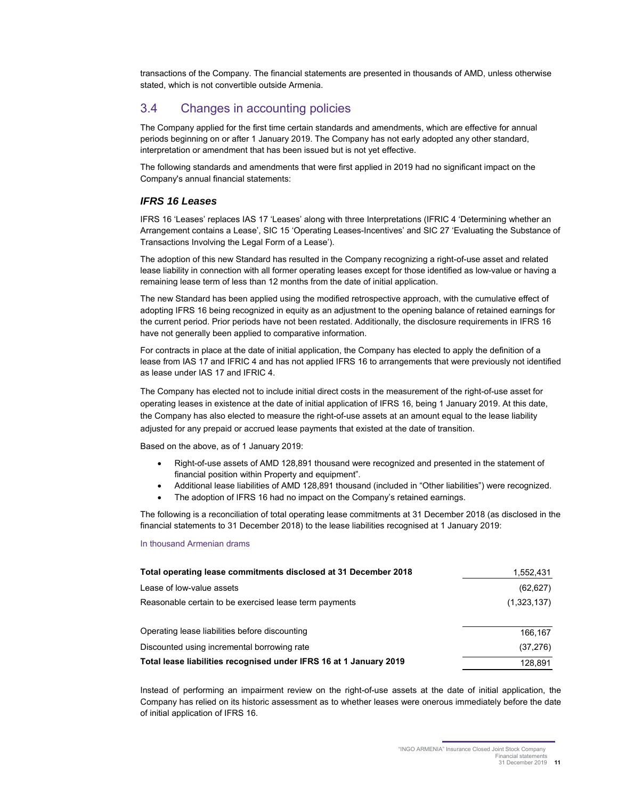transactions of the Company. The financial statements are presented in thousands of AMD, unless otherwise stated, which is not convertible outside Armenia.

## 3.4 Changes in accounting policies

The Company applied for the first time certain standards and amendments, which are effective for annual periods beginning on or after 1 January 2019. The Company has not early adopted any other standard, interpretation or amendment that has been issued but is not yet effective.

The following standards and amendments that were first applied in 2019 had no significant impact on the Company's annual financial statements:

#### *IFRS 16 Leases*

IFRS 16 'Leases' replaces IAS 17 'Leases' along with three Interpretations (IFRIC 4 'Determining whether an Arrangement contains a Lease', SIC 15 'Operating Leases-Incentives' and SIC 27 'Evaluating the Substance of Transactions Involving the Legal Form of a Lease').

The adoption of this new Standard has resulted in the Company recognizing a right-of-use asset and related lease liability in connection with all former operating leases except for those identified as low-value or having a remaining lease term of less than 12 months from the date of initial application.

The new Standard has been applied using the modified retrospective approach, with the cumulative effect of adopting IFRS 16 being recognized in equity as an adjustment to the opening balance of retained earnings for the current period. Prior periods have not been restated. Additionally, the disclosure requirements in IFRS 16 have not generally been applied to comparative information.

For contracts in place at the date of initial application, the Company has elected to apply the definition of a lease from IAS 17 and IFRIC 4 and has not applied IFRS 16 to arrangements that were previously not identified as lease under IAS 17 and IFRIC 4.

The Company has elected not to include initial direct costs in the measurement of the right-of-use asset for operating leases in existence at the date of initial application of IFRS 16, being 1 January 2019. At this date, the Company has also elected to measure the right-of-use assets at an amount equal to the lease liability adjusted for any prepaid or accrued lease payments that existed at the date of transition.

Based on the above, as of 1 January 2019:

- Right-of-use assets of AMD 128,891 thousand were recognized and presented in the statement of financial position within Property and equipment".
- Additional lease liabilities of AMD 128,891 thousand (included in "Other liabilities") were recognized.
- The adoption of IFRS 16 had no impact on the Company's retained earnings.

The following is a reconciliation of total operating lease commitments at 31 December 2018 (as disclosed in the financial statements to 31 December 2018) to the lease liabilities recognised at 1 January 2019:

#### In thousand Armenian drams

| Total operating lease commitments disclosed at 31 December 2018    | 1,552,431   |
|--------------------------------------------------------------------|-------------|
| Lease of low-value assets                                          | (62, 627)   |
| Reasonable certain to be exercised lease term payments             | (1,323,137) |
| Operating lease liabilities before discounting                     | 166.167     |
| Discounted using incremental borrowing rate                        | (37, 276)   |
| Total lease liabilities recognised under IFRS 16 at 1 January 2019 | 128.891     |

Instead of performing an impairment review on the right-of-use assets at the date of initial application, the Company has relied on its historic assessment as to whether leases were onerous immediately before the date of initial application of IFRS 16.

Financial statements 31 December 2019 **11**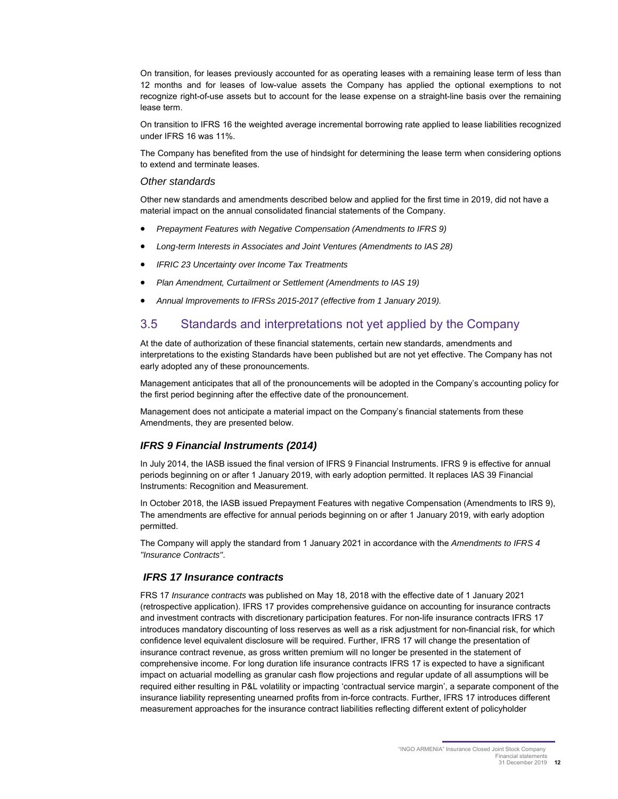On transition, for leases previously accounted for as operating leases with a remaining lease term of less than 12 months and for leases of low-value assets the Company has applied the optional exemptions to not recognize right-of-use assets but to account for the lease expense on a straight-line basis over the remaining lease term.

On transition to IFRS 16 the weighted average incremental borrowing rate applied to lease liabilities recognized under IFRS 16 was 11%.

The Company has benefited from the use of hindsight for determining the lease term when considering options to extend and terminate leases.

#### *Other standards*

Other new standards and amendments described below and applied for the first time in 2019, did not have a material impact on the annual consolidated financial statements of the Company.

- *Prepayment Features with Negative Compensation (Amendments to IFRS 9)*
- *Long-term Interests in Associates and Joint Ventures (Amendments to IAS 28)*
- *IFRIC 23 Uncertainty over Income Tax Treatments*
- *Plan Amendment, Curtailment or Settlement (Amendments to IAS 19)*
- *Annual Improvements to IFRSs 2015-2017 (effective from 1 January 2019).*

### 3.5 Standards and interpretations not yet applied by the Company

At the date of authorization of these financial statements, certain new standards, amendments and interpretations to the existing Standards have been published but are not yet effective. The Company has not early adopted any of these pronouncements.

Management anticipates that all of the pronouncements will be adopted in the Company's accounting policy for the first period beginning after the effective date of the pronouncement.

Management does not anticipate a material impact on the Company's financial statements from these Amendments, they are presented below.

#### *IFRS 9 Financial Instruments (2014)*

In July 2014, the IASB issued the final version of IFRS 9 Financial Instruments. IFRS 9 is effective for annual periods beginning on or after 1 January 2019, with early adoption permitted. It replaces IAS 39 Financial Instruments: Recognition and Measurement.

In October 2018, the IASB issued Prepayment Features with negative Compensation (Amendments to IRS 9), The amendments are effective for annual periods beginning on or after 1 January 2019, with early adoption permitted.

The Company will apply the standard from 1 January 2021 in accordance with the *Amendments to IFRS 4 "Insurance Contracts"*.

#### *IFRS 17 Insurance contracts*

FRS 17 *Insurance contracts* was published on May 18, 2018 with the effective date of 1 January 2021 (retrospective application). IFRS 17 provides comprehensive guidance on accounting for insurance contracts and investment contracts with discretionary participation features. For non-life insurance contracts IFRS 17 introduces mandatory discounting of loss reserves as well as a risk adjustment for non-financial risk, for which confidence level equivalent disclosure will be required. Further, IFRS 17 will change the presentation of insurance contract revenue, as gross written premium will no longer be presented in the statement of comprehensive income. For long duration life insurance contracts IFRS 17 is expected to have a significant impact on actuarial modelling as granular cash flow projections and regular update of all assumptions will be required either resulting in P&L volatility or impacting 'contractual service margin', a separate component of the insurance liability representing unearned profits from in-force contracts. Further, IFRS 17 introduces different measurement approaches for the insurance contract liabilities reflecting different extent of policyholder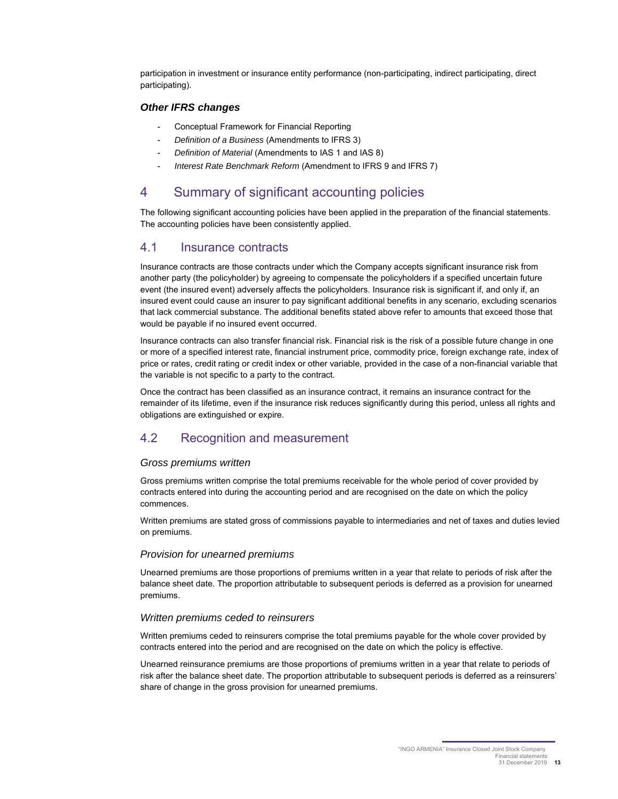participation in investment or insurance entity performance (non-participating, indirect participating, direct participating).

#### *Other IFRS changes*

- Conceptual Framework for Financial Reporting
- *Definition of a Business* (Amendments to IFRS 3)
- *Definition of Material* (Amendments to IAS 1 and IAS 8)
- *Interest Rate Benchmark Reform* (Amendment to IFRS 9 and IFRS 7)

## 4 Summary of significant accounting policies

The following significant accounting policies have been applied in the preparation of the financial statements. The accounting policies have been consistently applied.

#### 4.1 Insurance contracts

Insurance contracts are those contracts under which the Company accepts significant insurance risk from another party (the policyholder) by agreeing to compensate the policyholders if a specified uncertain future event (the insured event) adversely affects the policyholders. Insurance risk is significant if, and only if, an insured event could cause an insurer to pay significant additional benefits in any scenario, excluding scenarios that lack commercial substance. The additional benefits stated above refer to amounts that exceed those that would be payable if no insured event occurred.

Insurance contracts can also transfer financial risk. Financial risk is the risk of a possible future change in one or more of a specified interest rate, financial instrument price, commodity price, foreign exchange rate, index of price or rates, credit rating or credit index or other variable, provided in the case of a non-financial variable that the variable is not specific to a party to the contract.

Once the contract has been classified as an insurance contract, it remains an insurance contract for the remainder of its lifetime, even if the insurance risk reduces significantly during this period, unless all rights and obligations are extinguished or expire.

## 4.2 Recognition and measurement

#### *Gross premiums written*

Gross premiums written comprise the total premiums receivable for the whole period of cover provided by contracts entered into during the accounting period and are recognised on the date on which the policy commences.

Written premiums are stated gross of commissions payable to intermediaries and net of taxes and duties levied on premiums.

#### *Provision for unearned premiums*

Unearned premiums are those proportions of premiums written in a year that relate to periods of risk after the balance sheet date. The proportion attributable to subsequent periods is deferred as a provision for unearned premiums.

#### *Written premiums ceded to reinsurers*

Written premiums ceded to reinsurers comprise the total premiums payable for the whole cover provided by contracts entered into the period and are recognised on the date on which the policy is effective.

Unearned reinsurance premiums are those proportions of premiums written in a year that relate to periods of risk after the balance sheet date. The proportion attributable to subsequent periods is deferred as a reinsurers' share of change in the gross provision for unearned premiums.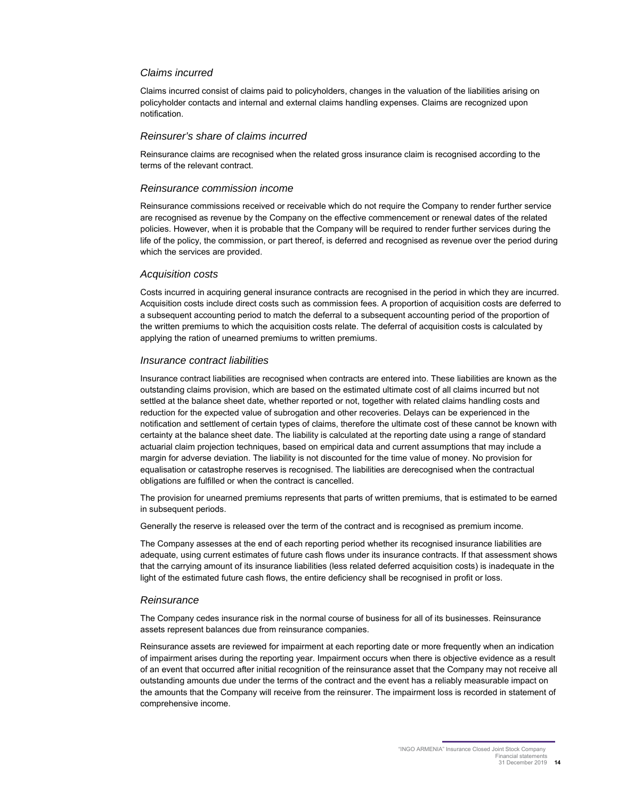#### *Claims incurred*

Claims incurred consist of claims paid to policyholders, changes in the valuation of the liabilities arising on policyholder contacts and internal and external claims handling expenses. Claims are recognized upon notification.

#### *Reinsurer's share of claims incurred*

Reinsurance claims are recognised when the related gross insurance claim is recognised according to the terms of the relevant contract.

#### *Reinsurance commission income*

Reinsurance commissions received or receivable which do not require the Company to render further service are recognised as revenue by the Company on the effective commencement or renewal dates of the related policies. However, when it is probable that the Company will be required to render further services during the life of the policy, the commission, or part thereof, is deferred and recognised as revenue over the period during which the services are provided.

#### *Acquisition costs*

Costs incurred in acquiring general insurance contracts are recognised in the period in which they are incurred. Acquisition costs include direct costs such as commission fees. A proportion of acquisition costs are deferred to a subsequent accounting period to match the deferral to a subsequent accounting period of the proportion of the written premiums to which the acquisition costs relate. The deferral of acquisition costs is calculated by applying the ration of unearned premiums to written premiums.

#### *Insurance contract liabilities*

Insurance contract liabilities are recognised when contracts are entered into. These liabilities are known as the outstanding claims provision, which are based on the estimated ultimate cost of all claims incurred but not settled at the balance sheet date, whether reported or not, together with related claims handling costs and reduction for the expected value of subrogation and other recoveries. Delays can be experienced in the notification and settlement of certain types of claims, therefore the ultimate cost of these cannot be known with certainty at the balance sheet date. The liability is calculated at the reporting date using a range of standard actuarial claim projection techniques, based on empirical data and current assumptions that may include a margin for adverse deviation. The liability is not discounted for the time value of money. No provision for equalisation or catastrophe reserves is recognised. The liabilities are derecognised when the contractual obligations are fulfilled or when the contract is cancelled.

The provision for unearned premiums represents that parts of written premiums, that is estimated to be earned in subsequent periods.

Generally the reserve is released over the term of the contract and is recognised as premium income.

The Company assesses at the end of each reporting period whether its recognised insurance liabilities are adequate, using current estimates of future cash flows under its insurance contracts. If that assessment shows that the carrying amount of its insurance liabilities (less related deferred acquisition costs) is inadequate in the light of the estimated future cash flows, the entire deficiency shall be recognised in profit or loss.

#### *Reinsurance*

The Company cedes insurance risk in the normal course of business for all of its businesses. Reinsurance assets represent balances due from reinsurance companies.

Reinsurance assets are reviewed for impairment at each reporting date or more frequently when an indication of impairment arises during the reporting year. Impairment occurs when there is objective evidence as a result of an event that occurred after initial recognition of the reinsurance asset that the Company may not receive all outstanding amounts due under the terms of the contract and the event has a reliably measurable impact on the amounts that the Company will receive from the reinsurer. The impairment loss is recorded in statement of comprehensive income.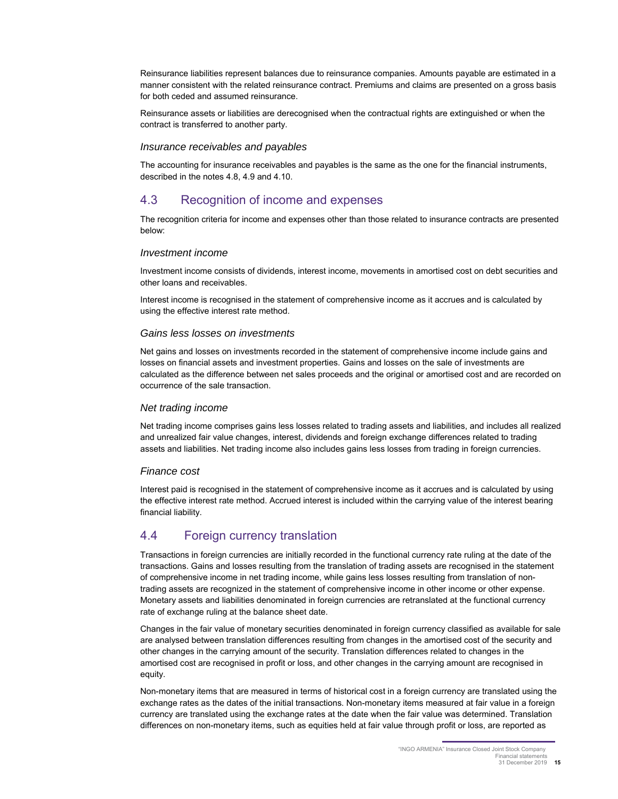Reinsurance liabilities represent balances due to reinsurance companies. Amounts payable are estimated in a manner consistent with the related reinsurance contract. Premiums and claims are presented on a gross basis for both ceded and assumed reinsurance.

Reinsurance assets or liabilities are derecognised when the contractual rights are extinguished or when the contract is transferred to another party.

#### *Insurance receivables and payables*

The accounting for insurance receivables and payables is the same as the one for the financial instruments, described in the notes 4.8, 4.9 and 4.10.

### 4.3 Recognition of income and expenses

The recognition criteria for income and expenses other than those related to insurance contracts are presented below:

#### *Investment income*

Investment income consists of dividends, interest income, movements in amortised cost on debt securities and other loans and receivables.

Interest income is recognised in the statement of comprehensive income as it accrues and is calculated by using the effective interest rate method.

#### *Gains less losses on investments*

Net gains and losses on investments recorded in the statement of comprehensive income include gains and losses on financial assets and investment properties. Gains and losses on the sale of investments are calculated as the difference between net sales proceeds and the original or amortised cost and are recorded on occurrence of the sale transaction.

#### *Net trading income*

Net trading income comprises gains less losses related to trading assets and liabilities, and includes all realized and unrealized fair value changes, interest, dividends and foreign exchange differences related to trading assets and liabilities. Net trading income also includes gains less losses from trading in foreign currencies.

#### *Finance cost*

Interest paid is recognised in the statement of comprehensive income as it accrues and is calculated by using the effective interest rate method. Accrued interest is included within the carrying value of the interest bearing financial liability.

### 4.4 Foreign currency translation

Transactions in foreign currencies are initially recorded in the functional currency rate ruling at the date of the transactions. Gains and losses resulting from the translation of trading assets are recognised in the statement of comprehensive income in net trading income, while gains less losses resulting from translation of nontrading assets are recognized in the statement of comprehensive income in other income or other expense. Monetary assets and liabilities denominated in foreign currencies are retranslated at the functional currency rate of exchange ruling at the balance sheet date.

Changes in the fair value of monetary securities denominated in foreign currency classified as available for sale are analysed between translation differences resulting from changes in the amortised cost of the security and other changes in the carrying amount of the security. Translation differences related to changes in the amortised cost are recognised in profit or loss, and other changes in the carrying amount are recognised in equity.

Non-monetary items that are measured in terms of historical cost in a foreign currency are translated using the exchange rates as the dates of the initial transactions. Non-monetary items measured at fair value in a foreign currency are translated using the exchange rates at the date when the fair value was determined. Translation differences on non-monetary items, such as equities held at fair value through profit or loss, are reported as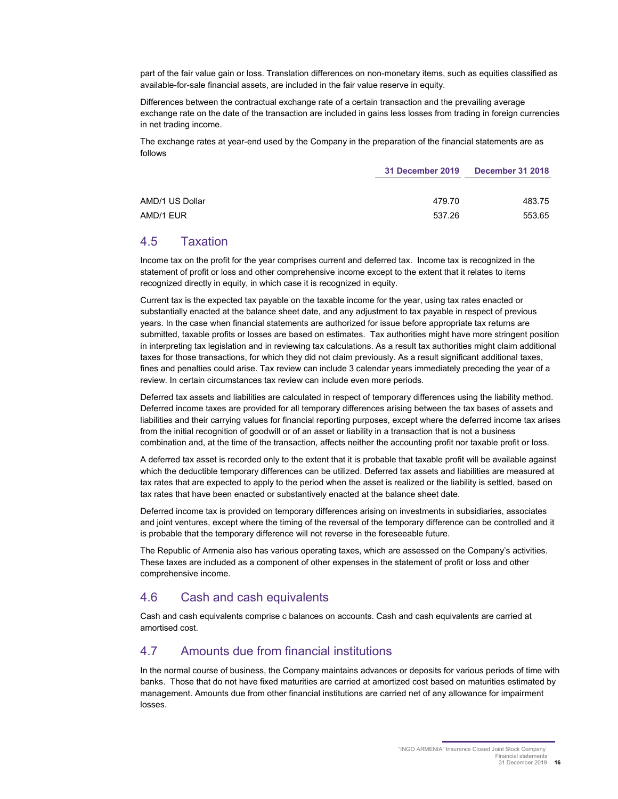part of the fair value gain or loss. Translation differences on non-monetary items, such as equities classified as available-for-sale financial assets, are included in the fair value reserve in equity.

Differences between the contractual exchange rate of a certain transaction and the prevailing average exchange rate on the date of the transaction are included in gains less losses from trading in foreign currencies in net trading income.

The exchange rates at year-end used by the Company in the preparation of the financial statements are as follows

|                 | <b>31 December 2019</b> | <b>December 31 2018</b> |  |
|-----------------|-------------------------|-------------------------|--|
|                 |                         |                         |  |
| AMD/1 US Dollar | 479.70                  | 483.75                  |  |
| AMD/1 EUR       | 537.26                  | 553.65                  |  |

### 4.5 Taxation

Income tax on the profit for the year comprises current and deferred tax. Income tax is recognized in the statement of profit or loss and other comprehensive income except to the extent that it relates to items recognized directly in equity, in which case it is recognized in equity.

Current tax is the expected tax payable on the taxable income for the year, using tax rates enacted or substantially enacted at the balance sheet date, and any adjustment to tax payable in respect of previous years. In the case when financial statements are authorized for issue before appropriate tax returns are submitted, taxable profits or losses are based on estimates. Tax authorities might have more stringent position in interpreting tax legislation and in reviewing tax calculations. As a result tax authorities might claim additional taxes for those transactions, for which they did not claim previously. As a result significant additional taxes, fines and penalties could arise. Tax review can include 3 calendar years immediately preceding the year of a review. In certain circumstances tax review can include even more periods.

Deferred tax assets and liabilities are calculated in respect of temporary differences using the liability method. Deferred income taxes are provided for all temporary differences arising between the tax bases of assets and liabilities and their carrying values for financial reporting purposes, except where the deferred income tax arises from the initial recognition of goodwill or of an asset or liability in a transaction that is not a business combination and, at the time of the transaction, affects neither the accounting profit nor taxable profit or loss.

A deferred tax asset is recorded only to the extent that it is probable that taxable profit will be available against which the deductible temporary differences can be utilized. Deferred tax assets and liabilities are measured at tax rates that are expected to apply to the period when the asset is realized or the liability is settled, based on tax rates that have been enacted or substantively enacted at the balance sheet date.

Deferred income tax is provided on temporary differences arising on investments in subsidiaries, associates and joint ventures, except where the timing of the reversal of the temporary difference can be controlled and it is probable that the temporary difference will not reverse in the foreseeable future.

The Republic of Armenia also has various operating taxes, which are assessed on the Company's activities. These taxes are included as a component of other expenses in the statement of profit or loss and other comprehensive income.

## 4.6 Cash and cash equivalents

Cash and cash equivalents comprise c balances on accounts. Cash and cash equivalents are carried at amortised cost.

### 4.7 Amounts due from financial institutions

In the normal course of business, the Company maintains advances or deposits for various periods of time with banks. Those that do not have fixed maturities are carried at amortized cost based on maturities estimated by management. Amounts due from other financial institutions are carried net of any allowance for impairment losses.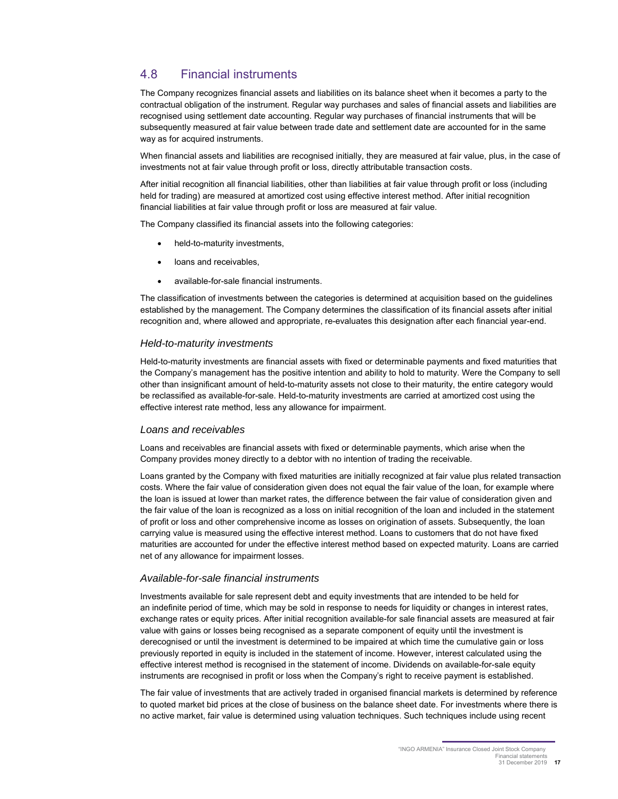## 4.8 Financial instruments

The Company recognizes financial assets and liabilities on its balance sheet when it becomes a party to the contractual obligation of the instrument. Regular way purchases and sales of financial assets and liabilities are recognised using settlement date accounting. Regular way purchases of financial instruments that will be subsequently measured at fair value between trade date and settlement date are accounted for in the same way as for acquired instruments.

When financial assets and liabilities are recognised initially, they are measured at fair value, plus, in the case of investments not at fair value through profit or loss, directly attributable transaction costs.

After initial recognition all financial liabilities, other than liabilities at fair value through profit or loss (including held for trading) are measured at amortized cost using effective interest method. After initial recognition financial liabilities at fair value through profit or loss are measured at fair value.

The Company classified its financial assets into the following categories:

- held-to-maturity investments,
- loans and receivables,
- available-for-sale financial instruments.

The classification of investments between the categories is determined at acquisition based on the guidelines established by the management. The Company determines the classification of its financial assets after initial recognition and, where allowed and appropriate, re-evaluates this designation after each financial year-end.

#### *Held-to-maturity investments*

Held-to-maturity investments are financial assets with fixed or determinable payments and fixed maturities that the Company's management has the positive intention and ability to hold to maturity. Were the Company to sell other than insignificant amount of held-to-maturity assets not close to their maturity, the entire category would be reclassified as available-for-sale. Held-to-maturity investments are carried at amortized cost using the effective interest rate method, less any allowance for impairment.

#### *Loans and receivables*

Loans and receivables are financial assets with fixed or determinable payments, which arise when the Company provides money directly to a debtor with no intention of trading the receivable.

Loans granted by the Company with fixed maturities are initially recognized at fair value plus related transaction costs. Where the fair value of consideration given does not equal the fair value of the loan, for example where the loan is issued at lower than market rates, the difference between the fair value of consideration given and the fair value of the loan is recognized as a loss on initial recognition of the loan and included in the statement of profit or loss and other comprehensive income as losses on origination of assets. Subsequently, the loan carrying value is measured using the effective interest method. Loans to customers that do not have fixed maturities are accounted for under the effective interest method based on expected maturity. Loans are carried net of any allowance for impairment losses.

#### *Available-for-sale financial instruments*

Investments available for sale represent debt and equity investments that are intended to be held for an indefinite period of time, which may be sold in response to needs for liquidity or changes in interest rates, exchange rates or equity prices. After initial recognition available-for sale financial assets are measured at fair value with gains or losses being recognised as a separate component of equity until the investment is derecognised or until the investment is determined to be impaired at which time the cumulative gain or loss previously reported in equity is included in the statement of income. However, interest calculated using the effective interest method is recognised in the statement of income. Dividends on available-for-sale equity instruments are recognised in profit or loss when the Company's right to receive payment is established.

The fair value of investments that are actively traded in organised financial markets is determined by reference to quoted market bid prices at the close of business on the balance sheet date. For investments where there is no active market, fair value is determined using valuation techniques. Such techniques include using recent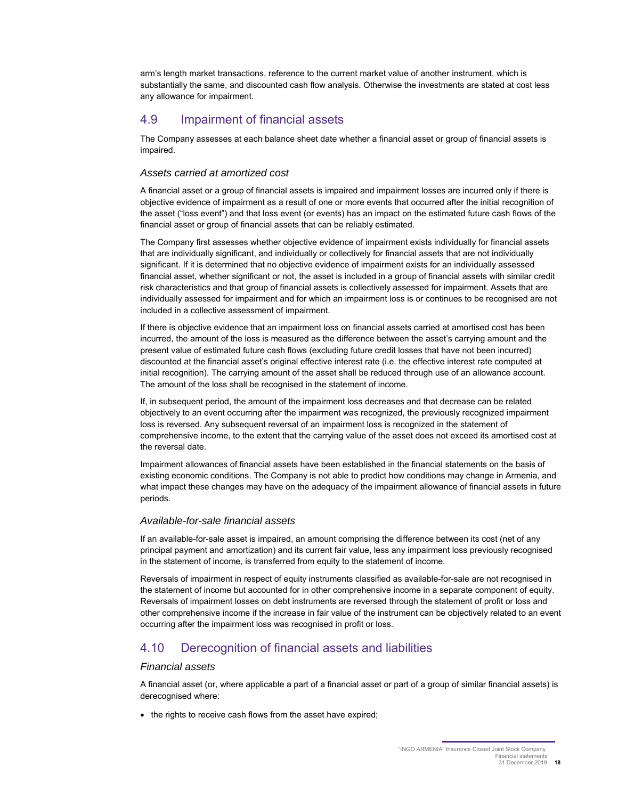arm's length market transactions, reference to the current market value of another instrument, which is substantially the same, and discounted cash flow analysis. Otherwise the investments are stated at cost less any allowance for impairment.

## 4.9 Impairment of financial assets

The Company assesses at each balance sheet date whether a financial asset or group of financial assets is impaired.

#### *Assets carried at amortized cost*

A financial asset or a group of financial assets is impaired and impairment losses are incurred only if there is objective evidence of impairment as a result of one or more events that occurred after the initial recognition of the asset ("loss event") and that loss event (or events) has an impact on the estimated future cash flows of the financial asset or group of financial assets that can be reliably estimated.

The Company first assesses whether objective evidence of impairment exists individually for financial assets that are individually significant, and individually or collectively for financial assets that are not individually significant. If it is determined that no objective evidence of impairment exists for an individually assessed financial asset, whether significant or not, the asset is included in a group of financial assets with similar credit risk characteristics and that group of financial assets is collectively assessed for impairment. Assets that are individually assessed for impairment and for which an impairment loss is or continues to be recognised are not included in a collective assessment of impairment.

If there is objective evidence that an impairment loss on financial assets carried at amortised cost has been incurred, the amount of the loss is measured as the difference between the asset's carrying amount and the present value of estimated future cash flows (excluding future credit losses that have not been incurred) discounted at the financial asset's original effective interest rate (i.e. the effective interest rate computed at initial recognition). The carrying amount of the asset shall be reduced through use of an allowance account. The amount of the loss shall be recognised in the statement of income.

If, in subsequent period, the amount of the impairment loss decreases and that decrease can be related objectively to an event occurring after the impairment was recognized, the previously recognized impairment loss is reversed. Any subsequent reversal of an impairment loss is recognized in the statement of comprehensive income, to the extent that the carrying value of the asset does not exceed its amortised cost at the reversal date.

Impairment allowances of financial assets have been established in the financial statements on the basis of existing economic conditions. The Company is not able to predict how conditions may change in Armenia, and what impact these changes may have on the adequacy of the impairment allowance of financial assets in future periods.

#### *Available-for-sale financial assets*

If an available-for-sale asset is impaired, an amount comprising the difference between its cost (net of any principal payment and amortization) and its current fair value, less any impairment loss previously recognised in the statement of income, is transferred from equity to the statement of income.

Reversals of impairment in respect of equity instruments classified as available-for-sale are not recognised in the statement of income but accounted for in other comprehensive income in a separate component of equity. Reversals of impairment losses on debt instruments are reversed through the statement of profit or loss and other comprehensive income if the increase in fair value of the instrument can be objectively related to an event occurring after the impairment loss was recognised in profit or loss.

## 4.10 Derecognition of financial assets and liabilities

#### *Financial assets*

A financial asset (or, where applicable a part of a financial asset or part of a group of similar financial assets) is derecognised where:

• the rights to receive cash flows from the asset have expired;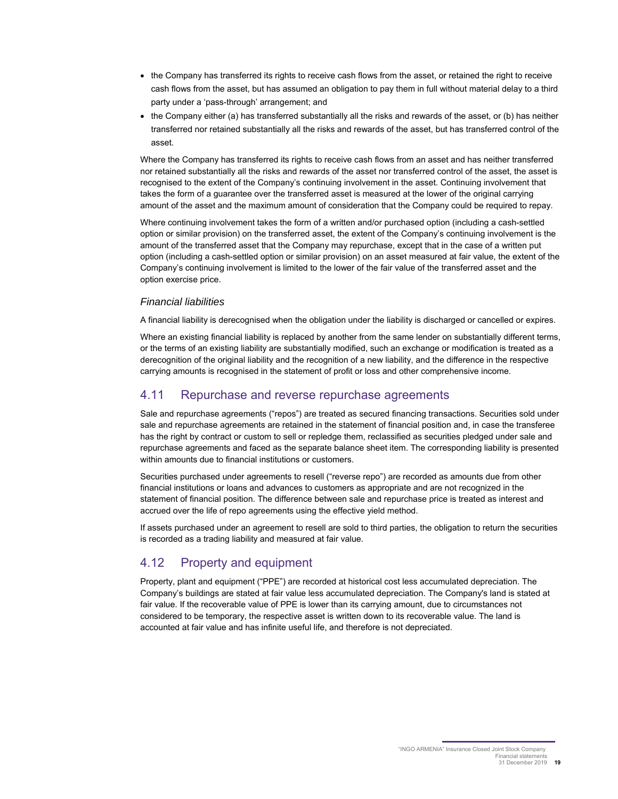- the Company has transferred its rights to receive cash flows from the asset, or retained the right to receive cash flows from the asset, but has assumed an obligation to pay them in full without material delay to a third party under a 'pass-through' arrangement; and
- the Company either (a) has transferred substantially all the risks and rewards of the asset, or (b) has neither transferred nor retained substantially all the risks and rewards of the asset, but has transferred control of the asset.

Where the Company has transferred its rights to receive cash flows from an asset and has neither transferred nor retained substantially all the risks and rewards of the asset nor transferred control of the asset, the asset is recognised to the extent of the Company's continuing involvement in the asset. Continuing involvement that takes the form of a guarantee over the transferred asset is measured at the lower of the original carrying amount of the asset and the maximum amount of consideration that the Company could be required to repay.

Where continuing involvement takes the form of a written and/or purchased option (including a cash-settled option or similar provision) on the transferred asset, the extent of the Company's continuing involvement is the amount of the transferred asset that the Company may repurchase, except that in the case of a written put option (including a cash-settled option or similar provision) on an asset measured at fair value, the extent of the Company's continuing involvement is limited to the lower of the fair value of the transferred asset and the option exercise price.

#### *Financial liabilities*

A financial liability is derecognised when the obligation under the liability is discharged or cancelled or expires.

Where an existing financial liability is replaced by another from the same lender on substantially different terms, or the terms of an existing liability are substantially modified, such an exchange or modification is treated as a derecognition of the original liability and the recognition of a new liability, and the difference in the respective carrying amounts is recognised in the statement of profit or loss and other comprehensive income.

## 4.11 Repurchase and reverse repurchase agreements

Sale and repurchase agreements ("repos") are treated as secured financing transactions. Securities sold under sale and repurchase agreements are retained in the statement of financial position and, in case the transferee has the right by contract or custom to sell or repledge them, reclassified as securities pledged under sale and repurchase agreements and faced as the separate balance sheet item. The corresponding liability is presented within amounts due to financial institutions or customers.

Securities purchased under agreements to resell ("reverse repo") are recorded as amounts due from other financial institutions or loans and advances to customers as appropriate and are not recognized in the statement of financial position. The difference between sale and repurchase price is treated as interest and accrued over the life of repo agreements using the effective yield method.

If assets purchased under an agreement to resell are sold to third parties, the obligation to return the securities is recorded as a trading liability and measured at fair value.

## 4.12 Property and equipment

Property, plant and equipment ("PPE") are recorded at historical cost less accumulated depreciation. The Company's buildings are stated at fair value less accumulated depreciation. The Company's land is stated at fair value. If the recoverable value of PPE is lower than its carrying amount, due to circumstances not considered to be temporary, the respective asset is written down to its recoverable value. The land is accounted at fair value and has infinite useful life, and therefore is not depreciated.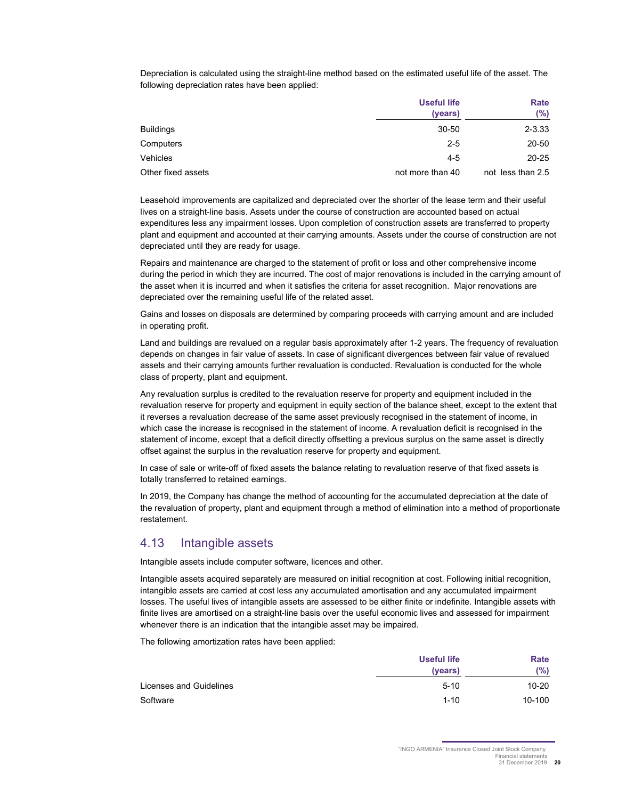Depreciation is calculated using the straight-line method based on the estimated useful life of the asset. The following depreciation rates have been applied:

|                    | <b>Useful life</b><br>(years) | Rate<br>(%)       |
|--------------------|-------------------------------|-------------------|
| <b>Buildings</b>   | $30 - 50$                     | $2 - 3.33$        |
| Computers          | $2 - 5$                       | 20-50             |
| Vehicles           | $4-5$                         | $20 - 25$         |
| Other fixed assets | not more than 40              | not less than 2.5 |

Leasehold improvements are capitalized and depreciated over the shorter of the lease term and their useful lives on a straight-line basis. Assets under the course of construction are accounted based on actual expenditures less any impairment losses. Upon completion of construction assets are transferred to property plant and equipment and accounted at their carrying amounts. Assets under the course of construction are not depreciated until they are ready for usage.

Repairs and maintenance are charged to the statement of profit or loss and other comprehensive income during the period in which they are incurred. The cost of major renovations is included in the carrying amount of the asset when it is incurred and when it satisfies the criteria for asset recognition. Major renovations are depreciated over the remaining useful life of the related asset.

Gains and losses on disposals are determined by comparing proceeds with carrying amount and are included in operating profit.

Land and buildings are revalued on a regular basis approximately after 1-2 years. The frequency of revaluation depends on changes in fair value of assets. In case of significant divergences between fair value of revalued assets and their carrying amounts further revaluation is conducted. Revaluation is conducted for the whole class of property, plant and equipment.

Any revaluation surplus is credited to the revaluation reserve for property and equipment included in the revaluation reserve for property and equipment in equity section of the balance sheet, except to the extent that it reverses a revaluation decrease of the same asset previously recognised in the statement of income, in which case the increase is recognised in the statement of income. A revaluation deficit is recognised in the statement of income, except that a deficit directly offsetting a previous surplus on the same asset is directly offset against the surplus in the revaluation reserve for property and equipment.

In case of sale or write-off of fixed assets the balance relating to revaluation reserve of that fixed assets is totally transferred to retained earnings.

In 2019, the Company has change the method of accounting for the accumulated depreciation at the date of the revaluation of property, plant and equipment through a method of elimination into a method of proportionate restatement.

### 4.13 Intangible assets

Intangible assets include computer software, licences and other.

Intangible assets acquired separately are measured on initial recognition at cost. Following initial recognition, intangible assets are carried at cost less any accumulated amortisation and any accumulated impairment losses. The useful lives of intangible assets are assessed to be either finite or indefinite. Intangible assets with finite lives are amortised on a straight-line basis over the useful economic lives and assessed for impairment whenever there is an indication that the intangible asset may be impaired.

The following amortization rates have been applied:

|                         | <b>Useful life</b><br>(years) | Rate<br>(%) |
|-------------------------|-------------------------------|-------------|
| Licenses and Guidelines | $5 - 10$                      | 10-20       |
| Software                | $1 - 10$                      | $10 - 100$  |
|                         |                               |             |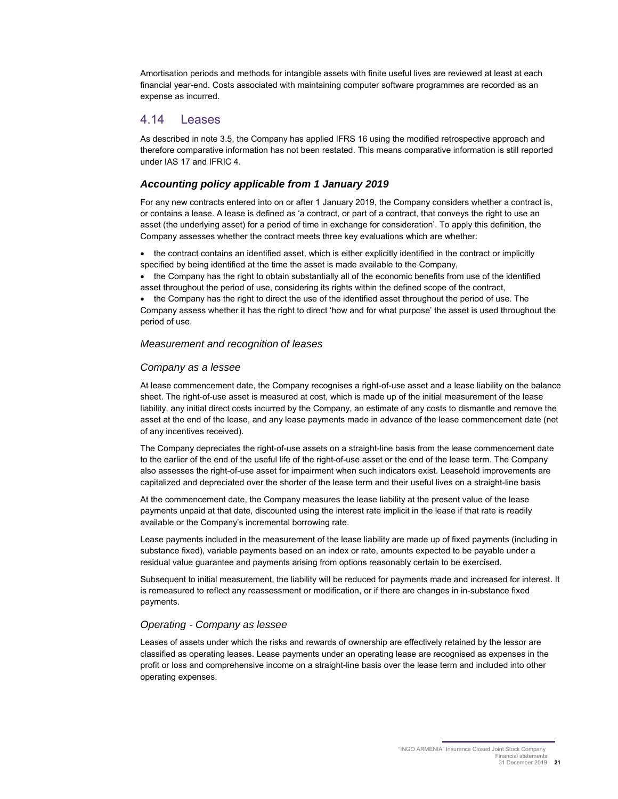Amortisation periods and methods for intangible assets with finite useful lives are reviewed at least at each financial year-end. Costs associated with maintaining computer software programmes are recorded as an expense as incurred.

#### 4.14 Leases

As described in note 3.5, the Company has applied IFRS 16 using the modified retrospective approach and therefore comparative information has not been restated. This means comparative information is still reported under IAS 17 and IFRIC 4.

#### *Accounting policy applicable from 1 January 2019*

For any new contracts entered into on or after 1 January 2019, the Company considers whether a contract is, or contains a lease. A lease is defined as 'a contract, or part of a contract, that conveys the right to use an asset (the underlying asset) for a period of time in exchange for consideration'. To apply this definition, the Company assesses whether the contract meets three key evaluations which are whether:

• the contract contains an identified asset, which is either explicitly identified in the contract or implicitly specified by being identified at the time the asset is made available to the Company,

• the Company has the right to obtain substantially all of the economic benefits from use of the identified asset throughout the period of use, considering its rights within the defined scope of the contract,

• the Company has the right to direct the use of the identified asset throughout the period of use. The

Company assess whether it has the right to direct 'how and for what purpose' the asset is used throughout the period of use.

#### *Measurement and recognition of leases*

#### *Company as a lessee*

At lease commencement date, the Company recognises a right-of-use asset and a lease liability on the balance sheet. The right-of-use asset is measured at cost, which is made up of the initial measurement of the lease liability, any initial direct costs incurred by the Company, an estimate of any costs to dismantle and remove the asset at the end of the lease, and any lease payments made in advance of the lease commencement date (net of any incentives received).

The Company depreciates the right-of-use assets on a straight-line basis from the lease commencement date to the earlier of the end of the useful life of the right-of-use asset or the end of the lease term. The Company also assesses the right-of-use asset for impairment when such indicators exist. Leasehold improvements are capitalized and depreciated over the shorter of the lease term and their useful lives on a straight-line basis

At the commencement date, the Company measures the lease liability at the present value of the lease payments unpaid at that date, discounted using the interest rate implicit in the lease if that rate is readily available or the Company's incremental borrowing rate.

Lease payments included in the measurement of the lease liability are made up of fixed payments (including in substance fixed), variable payments based on an index or rate, amounts expected to be payable under a residual value guarantee and payments arising from options reasonably certain to be exercised.

Subsequent to initial measurement, the liability will be reduced for payments made and increased for interest. It is remeasured to reflect any reassessment or modification, or if there are changes in in-substance fixed payments.

#### *Operating - Company as lessee*

Leases of assets under which the risks and rewards of ownership are effectively retained by the lessor are classified as operating leases. Lease payments under an operating lease are recognised as expenses in the profit or loss and comprehensive income on a straight-line basis over the lease term and included into other operating expenses.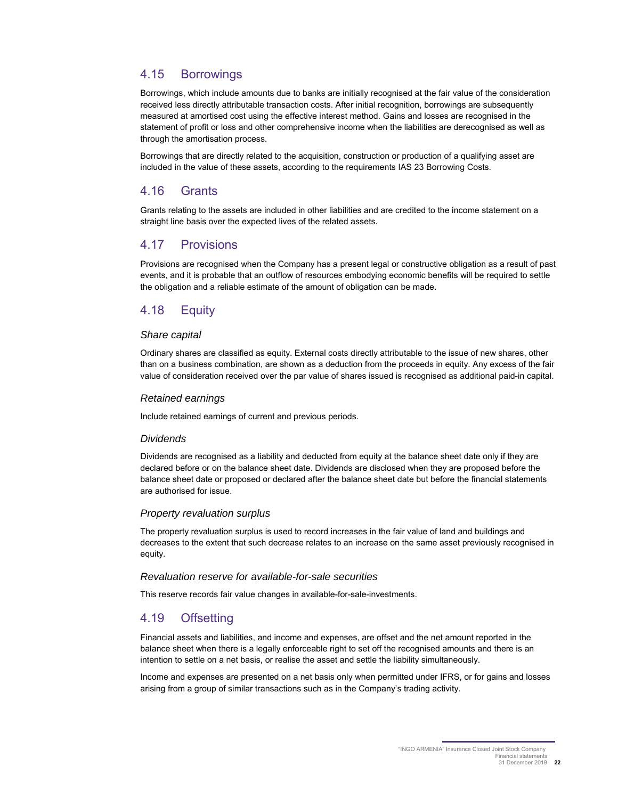## 4.15 Borrowings

Borrowings, which include amounts due to banks are initially recognised at the fair value of the consideration received less directly attributable transaction costs. After initial recognition, borrowings are subsequently measured at amortised cost using the effective interest method. Gains and losses are recognised in the statement of profit or loss and other comprehensive income when the liabilities are derecognised as well as through the amortisation process.

Borrowings that are directly related to the acquisition, construction or production of a qualifying asset are included in the value of these assets, according to the requirements IAS 23 Borrowing Costs.

### 4.16 Grants

Grants relating to the assets are included in other liabilities and are credited to the income statement on a straight line basis over the expected lives of the related assets.

## 4.17 Provisions

Provisions are recognised when the Company has a present legal or constructive obligation as a result of past events, and it is probable that an outflow of resources embodying economic benefits will be required to settle the obligation and a reliable estimate of the amount of obligation can be made.

## 4.18 Equity

#### *Share capital*

Ordinary shares are classified as equity. External costs directly attributable to the issue of new shares, other than on a business combination, are shown as a deduction from the proceeds in equity. Any excess of the fair value of consideration received over the par value of shares issued is recognised as additional paid-in capital.

#### *Retained earnings*

Include retained earnings of current and previous periods.

#### *Dividends*

Dividends are recognised as a liability and deducted from equity at the balance sheet date only if they are declared before or on the balance sheet date. Dividends are disclosed when they are proposed before the balance sheet date or proposed or declared after the balance sheet date but before the financial statements are authorised for issue.

#### *Property revaluation surplus*

The property revaluation surplus is used to record increases in the fair value of land and buildings and decreases to the extent that such decrease relates to an increase on the same asset previously recognised in equity.

#### *Revaluation reserve for available-for-sale securities*

This reserve records fair value changes in available-for-sale-investments.

### 4.19 Offsetting

Financial assets and liabilities, and income and expenses, are offset and the net amount reported in the balance sheet when there is a legally enforceable right to set off the recognised amounts and there is an intention to settle on a net basis, or realise the asset and settle the liability simultaneously.

Income and expenses are presented on a net basis only when permitted under IFRS, or for gains and losses arising from a group of similar transactions such as in the Company's trading activity.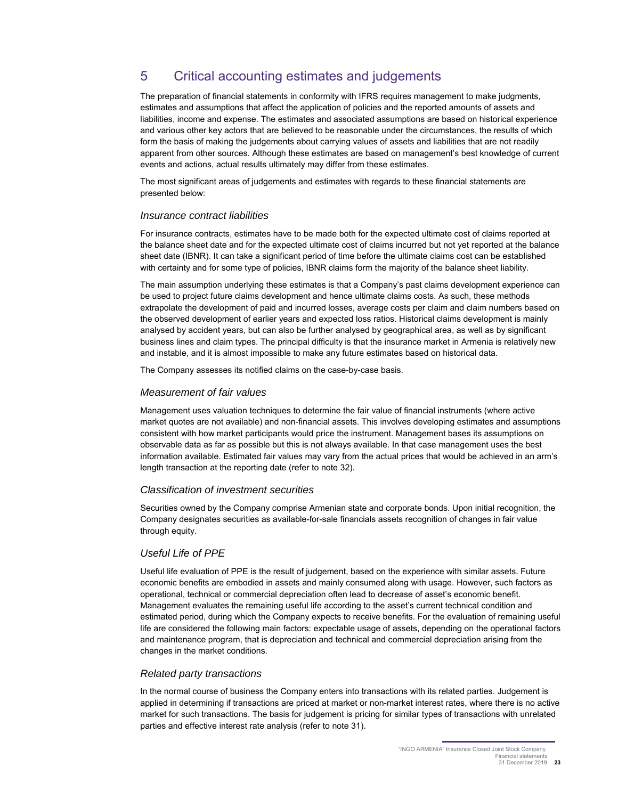## 5 Critical accounting estimates and judgements

The preparation of financial statements in conformity with IFRS requires management to make judgments, estimates and assumptions that affect the application of policies and the reported amounts of assets and liabilities, income and expense. The estimates and associated assumptions are based on historical experience and various other key actors that are believed to be reasonable under the circumstances, the results of which form the basis of making the judgements about carrying values of assets and liabilities that are not readily apparent from other sources. Although these estimates are based on management's best knowledge of current events and actions, actual results ultimately may differ from these estimates.

The most significant areas of judgements and estimates with regards to these financial statements are presented below:

#### *Insurance contract liabilities*

For insurance contracts, estimates have to be made both for the expected ultimate cost of claims reported at the balance sheet date and for the expected ultimate cost of claims incurred but not yet reported at the balance sheet date (IBNR). It can take a significant period of time before the ultimate claims cost can be established with certainty and for some type of policies, IBNR claims form the majority of the balance sheet liability.

The main assumption underlying these estimates is that a Company's past claims development experience can be used to project future claims development and hence ultimate claims costs. As such, these methods extrapolate the development of paid and incurred losses, average costs per claim and claim numbers based on the observed development of earlier years and expected loss ratios. Historical claims development is mainly analysed by accident years, but can also be further analysed by geographical area, as well as by significant business lines and claim types. The principal difficulty is that the insurance market in Armenia is relatively new and instable, and it is almost impossible to make any future estimates based on historical data.

The Company assesses its notified claims on the case-by-case basis.

#### *Measurement of fair values*

Management uses valuation techniques to determine the fair value of financial instruments (where active market quotes are not available) and non-financial assets. This involves developing estimates and assumptions consistent with how market participants would price the instrument. Management bases its assumptions on observable data as far as possible but this is not always available. In that case management uses the best information available. Estimated fair values may vary from the actual prices that would be achieved in an arm's length transaction at the reporting date (refer to note 32).

#### *Classification of investment securities*

Securities owned by the Company comprise Armenian state and corporate bonds. Upon initial recognition, the Company designates securities as available-for-sale financials assets recognition of changes in fair value through equity.

#### *Useful Life of PPE*

Useful life evaluation of PPE is the result of judgement, based on the experience with similar assets. Future economic benefits are embodied in assets and mainly consumed along with usage. However, such factors as operational, technical or commercial depreciation often lead to decrease of asset's economic benefit. Management evaluates the remaining useful life according to the asset's current technical condition and estimated period, during which the Company expects to receive benefits. For the evaluation of remaining useful life are considered the following main factors: expectable usage of assets, depending on the operational factors and maintenance program, that is depreciation and technical and commercial depreciation arising from the changes in the market conditions.

#### *Related party transactions*

In the normal course of business the Company enters into transactions with its related parties. Judgement is applied in determining if transactions are priced at market or non-market interest rates, where there is no active market for such transactions. The basis for judgement is pricing for similar types of transactions with unrelated parties and effective interest rate analysis (refer to note 31).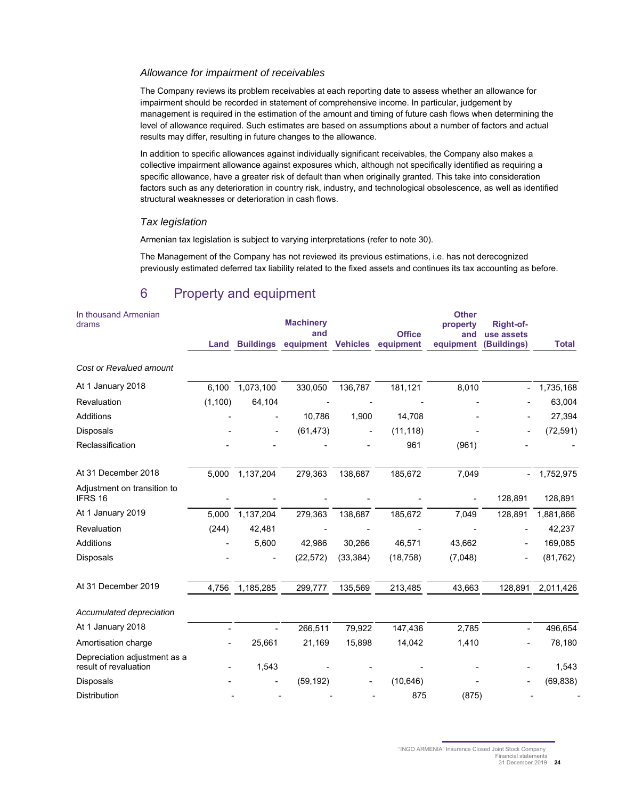#### *Allowance for impairment of receivables*

The Company reviews its problem receivables at each reporting date to assess whether an allowance for impairment should be recorded in statement of comprehensive income. In particular, judgement by management is required in the estimation of the amount and timing of future cash flows when determining the level of allowance required. Such estimates are based on assumptions about a number of factors and actual results may differ, resulting in future changes to the allowance.

In addition to specific allowances against individually significant receivables, the Company also makes a collective impairment allowance against exposures which, although not specifically identified as requiring a specific allowance, have a greater risk of default than when originally granted. This take into consideration factors such as any deterioration in country risk, industry, and technological obsolescence, as well as identified structural weaknesses or deterioration in cash flows.

#### *Tax legislation*

Armenian tax legislation is subject to varying interpretations (refer to note 30).

The Management of the Company has not reviewed its previous estimations, i.e. has not derecognized previously estimated deferred tax liability related to the fixed assets and continues its tax accounting as before.

## 6 Property and equipment

| In thousand Armenian<br>drams                         | Land     | <b>Buildings</b> | <b>Machinery</b><br>and<br>equipment | <b>Vehicles</b> | <b>Office</b><br>equipment | <b>Other</b><br>property<br>and<br>equipment | Right-of-<br>use assets<br>(Buildings) | <b>Total</b> |
|-------------------------------------------------------|----------|------------------|--------------------------------------|-----------------|----------------------------|----------------------------------------------|----------------------------------------|--------------|
|                                                       |          |                  |                                      |                 |                            |                                              |                                        |              |
| Cost or Revalued amount                               |          |                  |                                      |                 |                            |                                              |                                        |              |
| At 1 January 2018                                     | 6,100    | 1,073,100        | 330,050                              | 136,787         | 181,121                    | 8,010                                        |                                        | 1,735,168    |
| Revaluation                                           | (1, 100) | 64,104           |                                      |                 |                            |                                              |                                        | 63,004       |
| Additions                                             |          |                  | 10,786                               | 1,900           | 14,708                     |                                              |                                        | 27,394       |
| <b>Disposals</b>                                      |          |                  | (61, 473)                            |                 | (11, 118)                  |                                              |                                        | (72, 591)    |
| Reclassification                                      |          |                  |                                      |                 | 961                        | (961)                                        |                                        |              |
| At 31 December 2018                                   | 5,000    | 1,137,204        | 279,363                              | 138,687         | 185,672                    | 7,049                                        | $\blacksquare$                         | 1,752,975    |
| Adjustment on transition to<br>IFRS 16                |          |                  |                                      |                 |                            |                                              | 128,891                                | 128,891      |
| At 1 January 2019                                     | 5,000    | 1,137,204        | 279,363                              | 138,687         | 185,672                    | 7,049                                        | 128,891                                | 1,881,866    |
| Revaluation                                           | (244)    | 42,481           |                                      |                 |                            |                                              |                                        | 42,237       |
| Additions                                             |          | 5,600            | 42,986                               | 30,266          | 46,571                     | 43,662                                       |                                        | 169,085      |
| Disposals                                             |          |                  | (22, 572)                            | (33, 384)       | (18, 758)                  | (7,048)                                      |                                        | (81, 762)    |
| At 31 December 2019                                   | 4,756    | 1,185,285        | 299,777                              | 135,569         | 213,485                    | 43,663                                       | 128,891                                | 2,011,426    |
| Accumulated depreciation                              |          |                  |                                      |                 |                            |                                              |                                        |              |
| At 1 January 2018                                     |          |                  | 266,511                              | 79,922          | 147,436                    | 2,785                                        |                                        | 496,654      |
| Amortisation charge                                   |          | 25,661           | 21,169                               | 15,898          | 14,042                     | 1,410                                        |                                        | 78,180       |
| Depreciation adjustment as a<br>result of revaluation |          | 1,543            |                                      |                 |                            |                                              |                                        | 1,543        |
| <b>Disposals</b>                                      |          |                  | (59, 192)                            |                 | (10, 646)                  |                                              |                                        | (69, 838)    |
| <b>Distribution</b>                                   |          |                  |                                      |                 | 875                        | (875)                                        |                                        |              |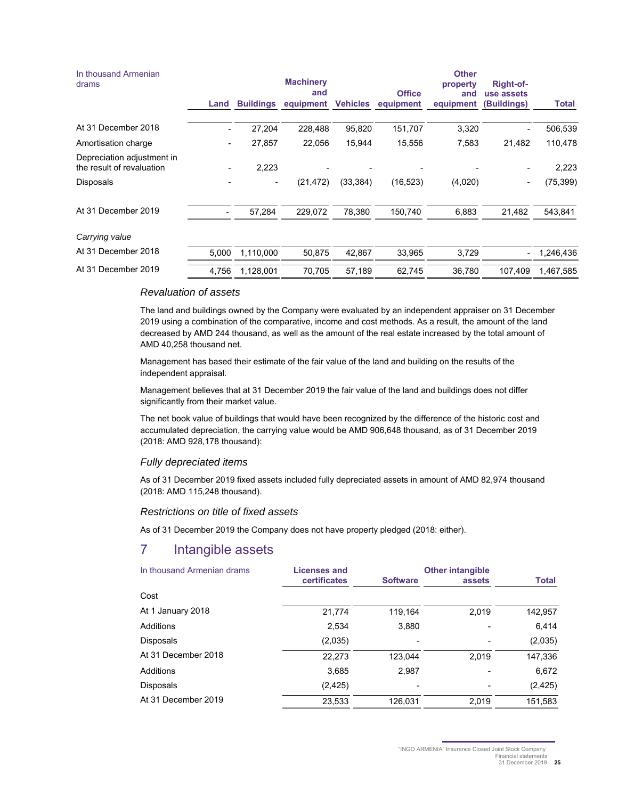|                  | <b>Machinery</b> |                 |                            | <b>Other</b>     | Right-of-                 |                          |
|------------------|------------------|-----------------|----------------------------|------------------|---------------------------|--------------------------|
| <b>Buildings</b> | and<br>equipment | <b>Vehicles</b> | <b>Office</b><br>equipment | and<br>equipment | use assets<br>(Buildings) | Total                    |
| 27,204           | 228,488          | 95,820          | 151,707                    |                  |                           | 506,539                  |
| 27,857           | 22,056           | 15,944          | 15,556                     | 7,583            | 21,482                    | 110,478                  |
| 2,223            |                  |                 |                            |                  |                           | 2,223                    |
| -                | (21, 472)        | (33, 384)       | (16, 523)                  | (4,020)          | $\overline{\phantom{a}}$  | (75, 399)                |
| 57,284           | 229,072          | 78,380          | 150,740                    | 6,883            | 21,482                    | 543,841                  |
|                  |                  |                 |                            |                  |                           |                          |
| 1,110,000        | 50,875           | 42,867          | 33,965                     |                  | $\overline{\phantom{0}}$  | 1,246,436                |
| 1,128,001        | 70,705           | 57,189          | 62,745                     |                  | 107,409                   | 1,467,585                |
| Land<br>5,000    | 4,756            |                 |                            |                  | property                  | 3,320<br>3,729<br>36,780 |

#### *Revaluation of assets*

The land and buildings owned by the Company were evaluated by an independent appraiser on 31 December 2019 using a combination of the comparative, income and cost methods. As a result, the amount of the land decreased by AMD 244 thousand, as well as the amount of the real estate increased by the total amount of AMD 40,258 thousand net.

Management has based their estimate of the fair value of the land and building on the results of the independent appraisal.

Management believes that at 31 December 2019 the fair value of the land and buildings does not differ significantly from their market value.

The net book value of buildings that would have been recognized by the difference of the historic cost and accumulated depreciation, the carrying value would be AMD 906,648 thousand, as of 31 December 2019 (2018: AMD 928,178 thousand):

#### *Fully depreciated items*

As of 31 December 2019 fixed assets included fully depreciated assets in amount of AMD 82,974 thousand (2018: AMD 115,248 thousand).

#### *Restrictions on title of fixed assets*

As of 31 December 2019 the Company does not have property pledged (2018: either).

## 7 Intangible assets

| In thousand Armenian drams | Licenses and<br><b>certificates</b> | <b>Software</b> | <b>Other intangible</b><br>assets | <b>Total</b> |
|----------------------------|-------------------------------------|-----------------|-----------------------------------|--------------|
| Cost                       |                                     |                 |                                   |              |
| At 1 January 2018          | 21,774                              | 119.164         | 2,019                             | 142,957      |
| Additions                  | 2,534                               | 3,880           |                                   | 6,414        |
| Disposals                  | (2,035)                             |                 |                                   | (2,035)      |
| At 31 December 2018        | 22,273                              | 123.044         | 2.019                             | 147,336      |
| Additions                  | 3.685                               | 2,987           |                                   | 6,672        |
| <b>Disposals</b>           | (2, 425)                            |                 |                                   | (2, 425)     |
| At 31 December 2019        | 23,533                              | 126.031         | 2,019                             | 151,583      |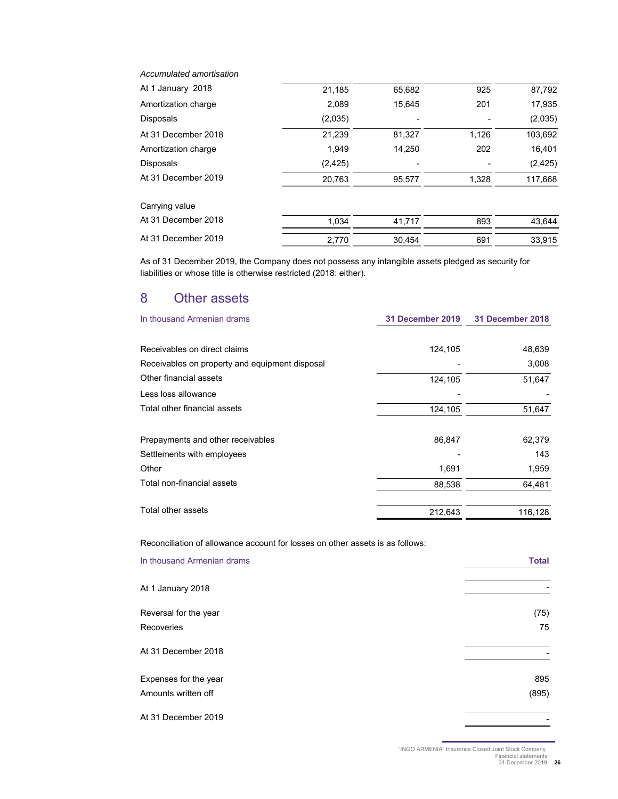| Accumulated amortisation |          |        |       |          |
|--------------------------|----------|--------|-------|----------|
| At 1 January 2018        | 21,185   | 65,682 | 925   | 87,792   |
| Amortization charge      | 2,089    | 15,645 | 201   | 17,935   |
| <b>Disposals</b>         | (2,035)  |        |       | (2,035)  |
| At 31 December 2018      | 21,239   | 81,327 | 1,126 | 103,692  |
| Amortization charge      | 1,949    | 14,250 | 202   | 16,401   |
| <b>Disposals</b>         | (2, 425) |        |       | (2, 425) |
| At 31 December 2019      | 20,763   | 95,577 | 1,328 | 117,668  |
| Carrying value           |          |        |       |          |
| At 31 December 2018      | 1.034    | 41.717 | 893   | 43,644   |
| At 31 December 2019      | 2,770    | 30,454 | 691   | 33,915   |
|                          |          |        |       |          |

As of 31 December 2019, the Company does not possess any intangible assets pledged as security for liabilities or whose title is otherwise restricted (2018: either).

## 8 Other assets

| In thousand Armenian drams                     | <b>31 December 2019</b> | <b>31 December 2018</b> |
|------------------------------------------------|-------------------------|-------------------------|
| Receivables on direct claims                   | 124,105                 | 48,639                  |
| Receivables on property and equipment disposal |                         | 3,008                   |
| Other financial assets                         | 124,105                 | 51,647                  |
| Less loss allowance                            |                         |                         |
| Total other financial assets                   | 124,105                 | 51,647                  |
| Prepayments and other receivables              | 86,847                  | 62,379                  |
| Settlements with employees                     |                         | 143                     |
| Other                                          | 1,691                   | 1,959                   |
| Total non-financial assets                     | 88,538                  | 64,481                  |
| Total other assets                             | 212,643                 | 116,128                 |

Reconciliation of allowance account for losses on other assets is as follows:

| In thousand Armenian drams                   | <b>Total</b> |
|----------------------------------------------|--------------|
| At 1 January 2018                            |              |
| Reversal for the year<br>Recoveries          | (75)<br>75   |
| At 31 December 2018                          |              |
| Expenses for the year<br>Amounts written off | 895<br>(895) |
| At 31 December 2019                          |              |

"INGO ARMENIA" Insurance Closed Joint Stock Company Financial statements 31 December 2019 **26**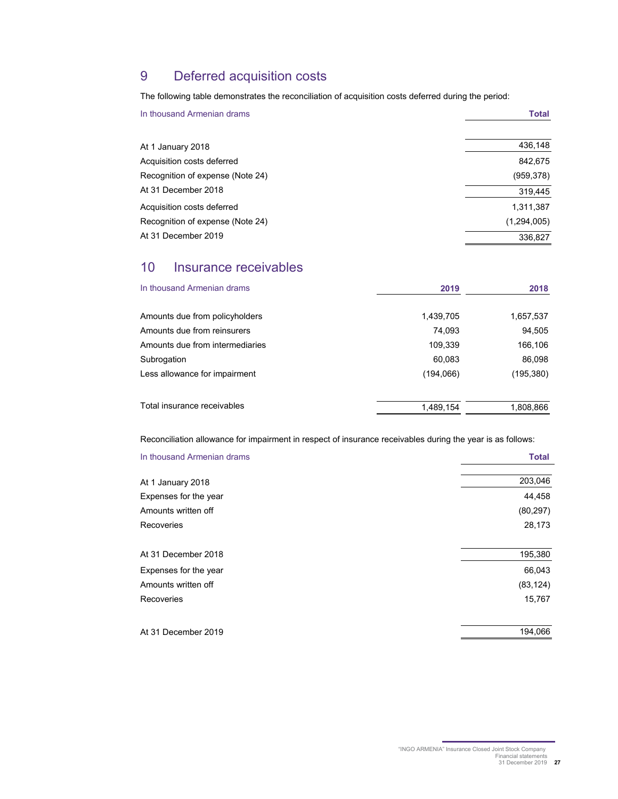## 9 Deferred acquisition costs

The following table demonstrates the reconciliation of acquisition costs deferred during the period:

| In thousand Armenian drams       | <b>Total</b> |
|----------------------------------|--------------|
| At 1 January 2018                | 436,148      |
| Acquisition costs deferred       | 842,675      |
| Recognition of expense (Note 24) | (959, 378)   |
| At 31 December 2018              | 319,445      |
| Acquisition costs deferred       | 1,311,387    |
| Recognition of expense (Note 24) | (1,294,005)  |
| At 31 December 2019              | 336.827      |

## 10 Insurance receivables

| In thousand Armenian drams      | 2019      | 2018      |
|---------------------------------|-----------|-----------|
| Amounts due from policyholders  | 1,439,705 | 1,657,537 |
| Amounts due from reinsurers     | 74,093    | 94,505    |
| Amounts due from intermediaries | 109,339   | 166,106   |
| Subrogation                     | 60,083    | 86,098    |
| Less allowance for impairment   | (194,066) | (195,380) |
| Total insurance receivables     | 1,489,154 | 1,808,866 |

Reconciliation allowance for impairment in respect of insurance receivables during the year is as follows:

| In thousand Armenian drams | <b>Total</b> |
|----------------------------|--------------|
| At 1 January 2018          | 203,046      |
| Expenses for the year      | 44,458       |
| Amounts written off        | (80, 297)    |
| Recoveries                 | 28,173       |
| At 31 December 2018        | 195,380      |
| Expenses for the year      | 66,043       |
| Amounts written off        | (83, 124)    |
| Recoveries                 | 15,767       |
| At 31 December 2019        | 194,066      |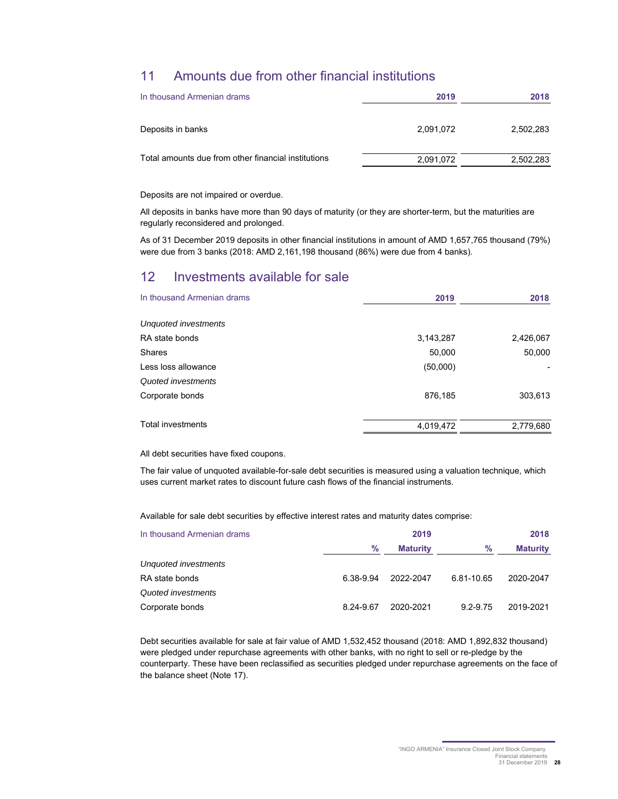## 11 Amounts due from other financial institutions

| In thousand Armenian drams                          | 2019      | 2018      |
|-----------------------------------------------------|-----------|-----------|
| Deposits in banks                                   | 2,091,072 | 2,502,283 |
| Total amounts due from other financial institutions | 2,091,072 | 2,502,283 |

Deposits are not impaired or overdue.

All deposits in banks have more than 90 days of maturity (or they are shorter-term, but the maturities are regularly reconsidered and prolonged.

As of 31 December 2019 deposits in other financial institutions in amount of AMD 1,657,765 thousand (79%) were due from 3 banks (2018: AMD 2,161,198 thousand (86%) were due from 4 banks).

## 12 Investments available for sale

| In thousand Armenian drams | 2019      | 2018      |
|----------------------------|-----------|-----------|
| Unquoted investments       |           |           |
| RA state bonds             | 3,143,287 | 2,426,067 |
| <b>Shares</b>              | 50,000    | 50,000    |
| Less loss allowance        | (50,000)  |           |
| Quoted investments         |           |           |
| Corporate bonds            | 876,185   | 303,613   |
| <b>Total investments</b>   | 4,019,472 | 2,779,680 |

All debt securities have fixed coupons.

The fair value of unquoted available-for-sale debt securities is measured using a valuation technique, which uses current market rates to discount future cash flows of the financial instruments.

Available for sale debt securities by effective interest rates and maturity dates comprise:

| In thousand Armenian drams | 2019          |                 |              | 2018            |  |
|----------------------------|---------------|-----------------|--------------|-----------------|--|
|                            | $\frac{9}{6}$ | <b>Maturity</b> | %            | <b>Maturity</b> |  |
| Unquoted investments       |               |                 |              |                 |  |
| RA state bonds             | 6.38-9.94     | 2022-2047       | 6.81-10.65   | 2020-2047       |  |
| Quoted investments         |               |                 |              |                 |  |
| Corporate bonds            | 8.24-9.67     | 2020-2021       | $9.2 - 9.75$ | 2019-2021       |  |

Debt securities available for sale at fair value of AMD 1,532,452 thousand (2018: AMD 1,892,832 thousand) were pledged under repurchase agreements with other banks, with no right to sell or re-pledge by the counterparty. These have been reclassified as securities pledged under repurchase agreements on the face of the balance sheet (Note 17).

> "INGO ARMENIA" Insurance Closed Joint Stock Company Financial statements 31 December 2019 **28**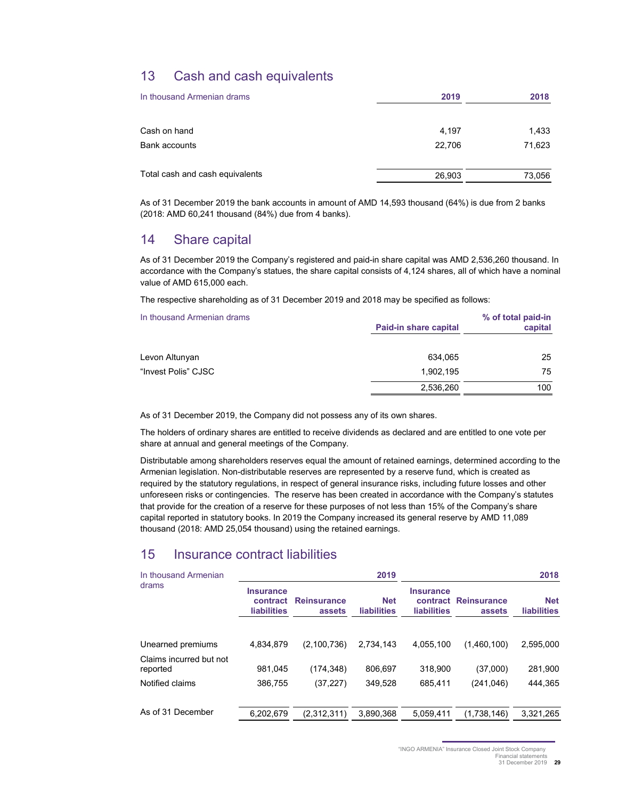## 13 Cash and cash equivalents

| In thousand Armenian drams      | 2019   | 2018   |
|---------------------------------|--------|--------|
| Cash on hand                    | 4,197  | 1,433  |
| Bank accounts                   | 22,706 | 71,623 |
| Total cash and cash equivalents | 26,903 | 73,056 |

As of 31 December 2019 the bank accounts in amount of AMD 14,593 thousand (64%) is due from 2 banks (2018: AMD 60,241 thousand (84%) due from 4 banks).

## 14 Share capital

As of 31 December 2019 the Company's registered and paid-in share capital was AMD 2,536,260 thousand. In accordance with the Company's statues, the share capital consists of 4,124 shares, all of which have a nominal value of AMD 615,000 each.

The respective shareholding as of 31 December 2019 and 2018 may be specified as follows:

| In thousand Armenian drams | Paid-in share capital | % of total paid-in<br>capital |
|----------------------------|-----------------------|-------------------------------|
| Levon Altunyan             | 634.065               | 25                            |
| "Invest Polis" CJSC        | 1,902,195             | 75                            |
|                            | 2,536,260             | 100                           |

As of 31 December 2019, the Company did not possess any of its own shares.

The holders of ordinary shares are entitled to receive dividends as declared and are entitled to one vote per share at annual and general meetings of the Company.

Distributable among shareholders reserves equal the amount of retained earnings, determined according to the Armenian legislation. Non-distributable reserves are represented by a reserve fund, which is created as required by the statutory regulations, in respect of general insurance risks, including future losses and other unforeseen risks or contingencies. The reserve has been created in accordance with the Company's statutes that provide for the creation of a reserve for these purposes of not less than 15% of the Company's share capital reported in statutory books. In 2019 the Company increased its general reserve by AMD 11,089 thousand (2018: AMD 25,054 thousand) using the retained earnings.

## 15 Insurance contract liabilities

| In thousand Armenian                |                                                    |                              | 2019                             |                                                    |                              | 2018                             |
|-------------------------------------|----------------------------------------------------|------------------------------|----------------------------------|----------------------------------------------------|------------------------------|----------------------------------|
| drams                               | <b>Insurance</b><br>contract<br><b>liabilities</b> | <b>Reinsurance</b><br>assets | <b>Net</b><br><b>liabilities</b> | <b>Insurance</b><br>contract<br><b>liabilities</b> | <b>Reinsurance</b><br>assets | <b>Net</b><br><b>liabilities</b> |
| Unearned premiums                   | 4,834,879                                          | (2,100,736)                  | 2.734.143                        | 4,055,100                                          | (1,460,100)                  | 2,595,000                        |
| Claims incurred but not<br>reported | 981.045                                            | (174,348)                    | 806.697                          | 318,900                                            | (37,000)                     | 281,900                          |
| Notified claims                     | 386.755                                            | (37, 227)                    | 349.528                          | 685.411                                            | (241, 046)                   | 444.365                          |
| As of 31 December                   | 6,202,679                                          | (2,312,311)                  | 3,890,368                        | 5.059.411                                          | (1,738,146)                  | 3,321,265                        |

"INGO ARMENIA" Insurance Closed Joint Stock Company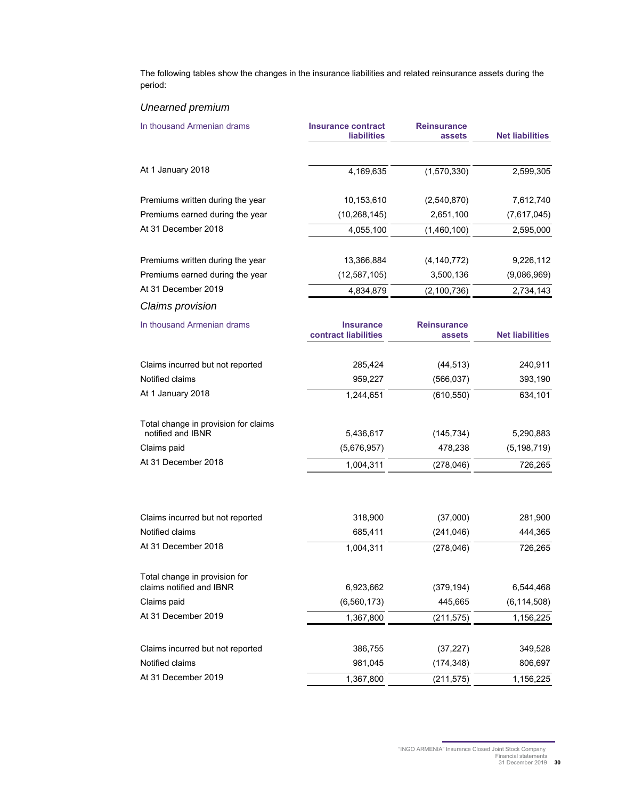The following tables show the changes in the insurance liabilities and related reinsurance assets during the period:

## *Unearned premium*

| In thousand Armenian drams                                | <b>Insurance contract</b><br><b>liabilities</b> | <b>Reinsurance</b><br>assets | <b>Net liabilities</b> |
|-----------------------------------------------------------|-------------------------------------------------|------------------------------|------------------------|
| At 1 January 2018                                         | 4,169,635                                       | (1,570,330)                  | 2,599,305              |
| Premiums written during the year                          | 10,153,610                                      | (2,540,870)                  | 7,612,740              |
| Premiums earned during the year                           | (10, 268, 145)                                  | 2,651,100                    | (7,617,045)            |
| At 31 December 2018                                       | 4,055,100                                       | (1,460,100)                  | 2,595,000              |
| Premiums written during the year                          | 13,366,884                                      | (4, 140, 772)                | 9,226,112              |
| Premiums earned during the year                           | (12, 587, 105)                                  | 3,500,136                    | (9,086,969)            |
| At 31 December 2019                                       | 4,834,879                                       | (2, 100, 736)                | 2,734,143              |
| Claims provision                                          |                                                 |                              |                        |
| In thousand Armenian drams                                | <b>Insurance</b><br>contract liabilities        | <b>Reinsurance</b><br>assets | <b>Net liabilities</b> |
| Claims incurred but not reported                          | 285,424                                         | (44, 513)                    | 240,911                |
| Notified claims                                           | 959,227                                         | (566, 037)                   | 393,190                |
| At 1 January 2018                                         | 1,244,651                                       | (610, 550)                   | 634,101                |
| Total change in provision for claims<br>notified and IBNR | 5,436,617                                       | (145, 734)                   | 5,290,883              |
| Claims paid                                               | (5,676,957)                                     | 478,238                      | (5, 198, 719)          |
| At 31 December 2018                                       | 1,004,311                                       | (278, 046)                   | 726,265                |
|                                                           |                                                 |                              |                        |
| Claims incurred but not reported                          | 318,900                                         | (37,000)                     | 281,900                |
| Notified claims                                           | 685,411                                         | (241, 046)                   | 444,365                |
| At 31 December 2018                                       | 1,004,311                                       | (278, 046)                   | 726,265                |
| Total change in provision for<br>claims notified and IBNR | 6,923,662                                       | (379, 194)                   | 6,544,468              |
| Claims paid                                               | (6, 560, 173)                                   | 445,665                      | (6, 114, 508)          |
| At 31 December 2019                                       |                                                 |                              |                        |
|                                                           | 1,367,800                                       | (211, 575)                   | 1,156,225              |
| Claims incurred but not reported                          | 386,755                                         | (37, 227)                    | 349,528                |
| Notified claims                                           | 981,045                                         | (174, 348)                   | 806,697                |
| At 31 December 2019                                       | 1,367,800                                       | (211, 575)                   | 1,156,225              |

<sup>&</sup>quot;INGO ARMENIA" Insurance Closed Joint Stock Company Financial statements 31 December 2019 **30**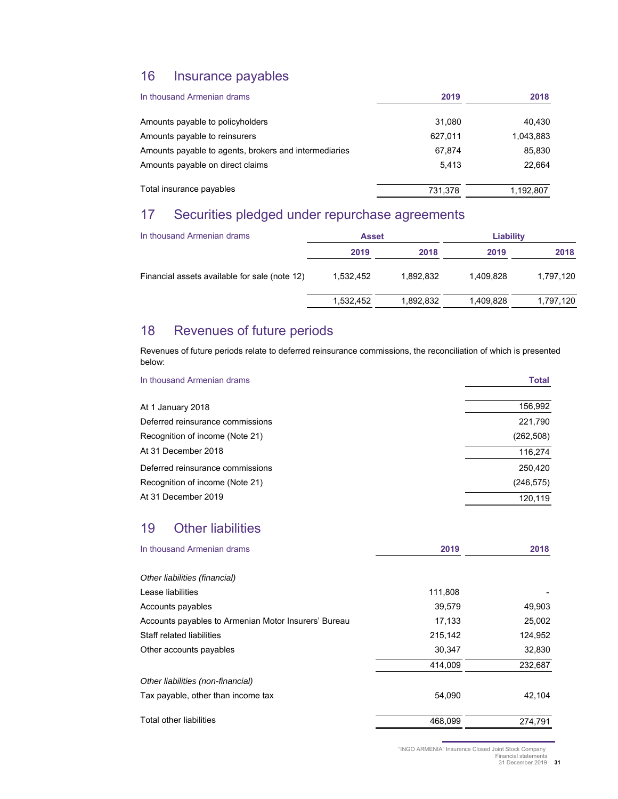## 16 Insurance payables

| In thousand Armenian drams                            | 2019    | 2018      |
|-------------------------------------------------------|---------|-----------|
| Amounts payable to policyholders                      | 31.080  | 40.430    |
| Amounts payable to reinsurers                         | 627.011 | 1,043,883 |
| Amounts payable to agents, brokers and intermediaries | 67.874  | 85.830    |
| Amounts payable on direct claims                      | 5.413   | 22.664    |
| Total insurance payables                              | 731,378 | 1,192,807 |

## 17 Securities pledged under repurchase agreements

| In thousand Armenian drams                    | <b>Asset</b> |           | Liability |           |
|-----------------------------------------------|--------------|-----------|-----------|-----------|
|                                               | 2019         | 2018      | 2019      | 2018      |
| Financial assets available for sale (note 12) | 1.532.452    | 1.892.832 | 1.409.828 | 1,797,120 |
|                                               | 1,532,452    | 1.892.832 | 1.409.828 | 1,797,120 |

## 18 Revenues of future periods

Revenues of future periods relate to deferred reinsurance commissions, the reconciliation of which is presented below:

| In thousand Armenian drams       | <b>Total</b> |
|----------------------------------|--------------|
| At 1 January 2018                | 156,992      |
| Deferred reinsurance commissions | 221,790      |
| Recognition of income (Note 21)  | (262, 508)   |
| At 31 December 2018              | 116,274      |
| Deferred reinsurance commissions | 250,420      |
| Recognition of income (Note 21)  | (246, 575)   |
| At 31 December 2019              | 120.119      |

## 19 Other liabilities

| In thousand Armenian drams                           | 2019    | 2018    |
|------------------------------------------------------|---------|---------|
| Other liabilities (financial)                        |         |         |
| Lease liabilities                                    | 111,808 |         |
| Accounts payables                                    | 39,579  | 49,903  |
| Accounts payables to Armenian Motor Insurers' Bureau | 17,133  | 25,002  |
| Staff related liabilities                            | 215,142 | 124,952 |
| Other accounts payables                              | 30,347  | 32,830  |
|                                                      | 414,009 | 232,687 |
| Other liabilities (non-financial)                    |         |         |
| Tax payable, other than income tax                   | 54.090  | 42,104  |
| <b>Total other liabilities</b>                       | 468,099 | 274,791 |

"INGO ARMENIA" Insurance Closed Joint Stock Company

Financial statements 31 December 2019 **31**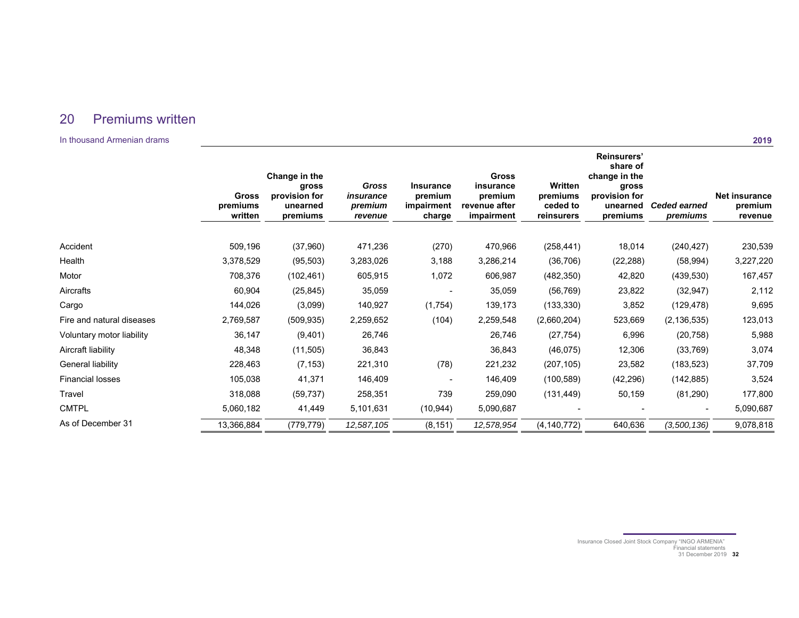## 20 Premiums written

In thousand Armenian drams

|                           | <b>Gross</b><br>premiums<br>written | Change in the<br>gross<br>provision for<br>unearned<br>premiums | <b>Gross</b><br>insurance<br>premium<br>revenue | <b>Insurance</b><br>premium<br>impairment<br>charge | Gross<br>insurance<br>premium<br>revenue after<br>impairment | Written<br>premiums<br>ceded to<br>reinsurers | Reinsurers'<br>share of<br>change in the<br>gross<br>provision for<br>unearned<br>premiums | <b>Ceded earned</b><br>premiums | <b>Net insurance</b><br>premium<br>revenue |
|---------------------------|-------------------------------------|-----------------------------------------------------------------|-------------------------------------------------|-----------------------------------------------------|--------------------------------------------------------------|-----------------------------------------------|--------------------------------------------------------------------------------------------|---------------------------------|--------------------------------------------|
| Accident                  | 509,196                             | (37,960)                                                        | 471,236                                         | (270)                                               | 470,966                                                      | (258, 441)                                    | 18,014                                                                                     | (240, 427)                      | 230,539                                    |
| Health                    | 3,378,529                           | (95, 503)                                                       | 3,283,026                                       | 3,188                                               | 3,286,214                                                    | (36, 706)                                     | (22, 288)                                                                                  | (58, 994)                       | 3,227,220                                  |
| Motor                     | 708,376                             | (102, 461)                                                      | 605,915                                         | 1,072                                               | 606,987                                                      | (482, 350)                                    | 42,820                                                                                     | (439, 530)                      | 167,457                                    |
| Aircrafts                 | 60,904                              | (25, 845)                                                       | 35,059                                          |                                                     | 35,059                                                       | (56, 769)                                     | 23,822                                                                                     | (32, 947)                       | 2,112                                      |
| Cargo                     | 144,026                             | (3,099)                                                         | 140,927                                         | (1,754)                                             | 139,173                                                      | (133, 330)                                    | 3,852                                                                                      | (129, 478)                      | 9,695                                      |
| Fire and natural diseases | 2,769,587                           | (509, 935)                                                      | 2,259,652                                       | (104)                                               | 2,259,548                                                    | (2,660,204)                                   | 523,669                                                                                    | (2, 136, 535)                   | 123,013                                    |
| Voluntary motor liability | 36,147                              | (9,401)                                                         | 26,746                                          |                                                     | 26,746                                                       | (27, 754)                                     | 6,996                                                                                      | (20, 758)                       | 5,988                                      |
| Aircraft liability        | 48,348                              | (11, 505)                                                       | 36,843                                          |                                                     | 36,843                                                       | (46, 075)                                     | 12,306                                                                                     | (33, 769)                       | 3,074                                      |
| General liability         | 228,463                             | (7, 153)                                                        | 221,310                                         | (78)                                                | 221,232                                                      | (207, 105)                                    | 23,582                                                                                     | (183, 523)                      | 37,709                                     |
| Financial losses          | 105,038                             | 41,371                                                          | 146,409                                         |                                                     | 146,409                                                      | (100, 589)                                    | (42, 296)                                                                                  | (142, 885)                      | 3,524                                      |
| Travel                    | 318,088                             | (59, 737)                                                       | 258,351                                         | 739                                                 | 259,090                                                      | (131, 449)                                    | 50,159                                                                                     | (81,290)                        | 177,800                                    |
| <b>CMTPL</b>              | 5,060,182                           | 41,449                                                          | 5,101,631                                       | (10, 944)                                           | 5,090,687                                                    |                                               |                                                                                            |                                 | 5,090,687                                  |
| As of December 31         | 13,366,884                          | (779,779)                                                       | 12,587,105                                      | (8, 151)                                            | 12,578,954                                                   | (4, 140, 772)                                 | 640,636                                                                                    | (3,500,136)                     | 9,078,818                                  |

Insurance Closed Joint Stock Company "INGO ARMENIA" Financial statements 31 December 2019 **32**

**2019**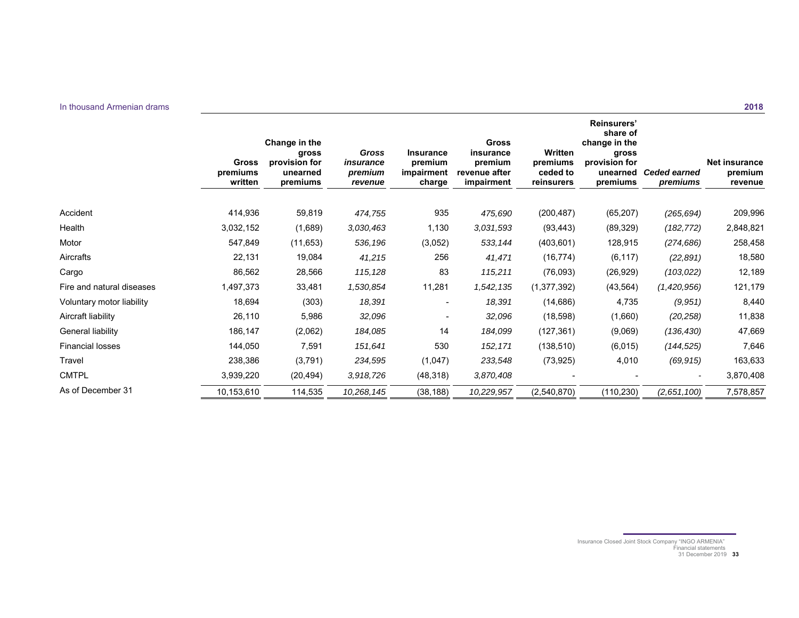|                           | <b>Gross</b><br>premiums<br>written | Change in the<br>gross<br>provision for<br>unearned<br>premiums | <b>Gross</b><br>insurance<br>premium<br>revenue | <b>Insurance</b><br>premium<br>impairment<br>charge | <b>Gross</b><br>insurance<br>premium<br>revenue after<br>impairment | Written<br>premiums<br>ceded to<br>reinsurers | Reinsurers'<br>share of<br>change in the<br>gross<br>provision for<br>unearned<br>premiums | <b>Ceded earned</b><br>premiums | <b>Net insurance</b><br>premium<br>revenue |
|---------------------------|-------------------------------------|-----------------------------------------------------------------|-------------------------------------------------|-----------------------------------------------------|---------------------------------------------------------------------|-----------------------------------------------|--------------------------------------------------------------------------------------------|---------------------------------|--------------------------------------------|
|                           |                                     |                                                                 |                                                 |                                                     |                                                                     |                                               |                                                                                            |                                 |                                            |
| Accident                  | 414,936                             | 59,819                                                          | 474,755                                         | 935                                                 | 475,690                                                             | (200, 487)                                    | (65, 207)                                                                                  | (265, 694)                      | 209,996                                    |
| Health                    | 3,032,152                           | (1,689)                                                         | 3,030,463                                       | 1,130                                               | 3,031,593                                                           | (93, 443)                                     | (89, 329)                                                                                  | (182, 772)                      | 2,848,821                                  |
| Motor                     | 547,849                             | (11, 653)                                                       | 536,196                                         | (3,052)                                             | 533,144                                                             | (403, 601)                                    | 128,915                                                                                    | (274, 686)                      | 258,458                                    |
| Aircrafts                 | 22,131                              | 19,084                                                          | 41,215                                          | 256                                                 | 41,471                                                              | (16, 774)                                     | (6, 117)                                                                                   | (22, 891)                       | 18,580                                     |
| Cargo                     | 86,562                              | 28,566                                                          | 115,128                                         | 83                                                  | 115,211                                                             | (76,093)                                      | (26, 929)                                                                                  | (103, 022)                      | 12,189                                     |
| Fire and natural diseases | 1,497,373                           | 33,481                                                          | 1,530,854                                       | 11,281                                              | 1,542,135                                                           | (1,377,392)                                   | (43, 564)                                                                                  | (1,420,956)                     | 121,179                                    |
| Voluntary motor liability | 18,694                              | (303)                                                           | 18,391                                          | $\overline{\phantom{a}}$                            | 18,391                                                              | (14, 686)                                     | 4,735                                                                                      | (9,951)                         | 8,440                                      |
| Aircraft liability        | 26,110                              | 5,986                                                           | 32,096                                          |                                                     | 32,096                                                              | (18, 598)                                     | (1,660)                                                                                    | (20, 258)                       | 11,838                                     |
| General liability         | 186,147                             | (2,062)                                                         | 184,085                                         | 14                                                  | 184,099                                                             | (127, 361)                                    | (9,069)                                                                                    | (136, 430)                      | 47,669                                     |
| <b>Financial losses</b>   | 144,050                             | 7,591                                                           | 151,641                                         | 530                                                 | 152,171                                                             | (138, 510)                                    | (6,015)                                                                                    | (144, 525)                      | 7,646                                      |
| Travel                    | 238,386                             | (3,791)                                                         | 234,595                                         | (1,047)                                             | 233,548                                                             | (73, 925)                                     | 4,010                                                                                      | (69, 915)                       | 163,633                                    |
| <b>CMTPL</b>              | 3,939,220                           | (20, 494)                                                       | 3,918,726                                       | (48, 318)                                           | 3,870,408                                                           |                                               |                                                                                            |                                 | 3,870,408                                  |
| As of December 31         | 10,153,610                          | 114,535                                                         | 10,268,145                                      | (38, 188)                                           | 10,229,957                                                          | (2,540,870)                                   | (110, 230)                                                                                 | (2,651,100)                     | 7,578,857                                  |

Insurance Closed Joint Stock Company "INGO ARMENIA" Financial statements 31 December 2019 **33**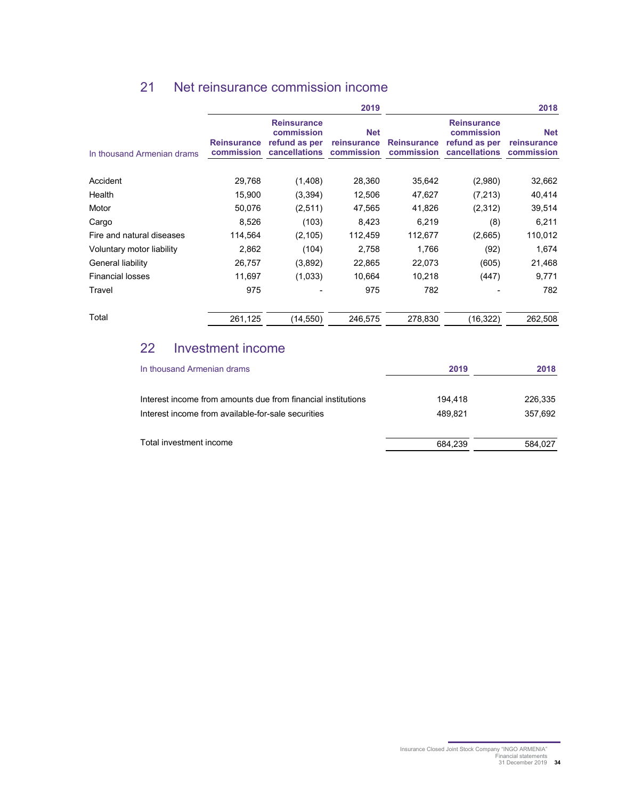## 21 Net reinsurance commission income

|                            |                                  |                                                                    | 2019                                    |                                  |                                                                    | 2018                                    |
|----------------------------|----------------------------------|--------------------------------------------------------------------|-----------------------------------------|----------------------------------|--------------------------------------------------------------------|-----------------------------------------|
| In thousand Armenian drams | <b>Reinsurance</b><br>commission | <b>Reinsurance</b><br>commission<br>refund as per<br>cancellations | <b>Net</b><br>reinsurance<br>commission | <b>Reinsurance</b><br>commission | <b>Reinsurance</b><br>commission<br>refund as per<br>cancellations | <b>Net</b><br>reinsurance<br>commission |
| Accident                   | 29,768                           | (1,408)                                                            | 28,360                                  | 35,642                           | (2,980)                                                            | 32,662                                  |
| Health                     | 15,900                           | (3,394)                                                            | 12,506                                  | 47,627                           | (7, 213)                                                           | 40,414                                  |
| Motor                      | 50,076                           | (2,511)                                                            | 47,565                                  | 41,826                           | (2,312)                                                            | 39,514                                  |
| Cargo                      | 8,526                            | (103)                                                              | 8,423                                   | 6,219                            | (8)                                                                | 6,211                                   |
| Fire and natural diseases  | 114,564                          | (2, 105)                                                           | 112,459                                 | 112,677                          | (2,665)                                                            | 110,012                                 |
| Voluntary motor liability  | 2,862                            | (104)                                                              | 2,758                                   | 1,766                            | (92)                                                               | 1,674                                   |
| General liability          | 26,757                           | (3,892)                                                            | 22,865                                  | 22,073                           | (605)                                                              | 21,468                                  |
| <b>Financial losses</b>    | 11,697                           | (1,033)                                                            | 10,664                                  | 10,218                           | (447)                                                              | 9,771                                   |
| Travel                     | 975                              |                                                                    | 975                                     | 782                              |                                                                    | 782                                     |
| Total                      | 261,125                          | (14, 550)                                                          | 246,575                                 | 278,830                          | (16, 322)                                                          | 262,508                                 |

## 22 Investment income

| In thousand Armenian drams                                   | 2019    | 2018    |
|--------------------------------------------------------------|---------|---------|
| Interest income from amounts due from financial institutions | 194.418 | 226.335 |
| Interest income from available-for-sale securities           | 489.821 | 357,692 |
| Total investment income                                      | 684.239 | 584.027 |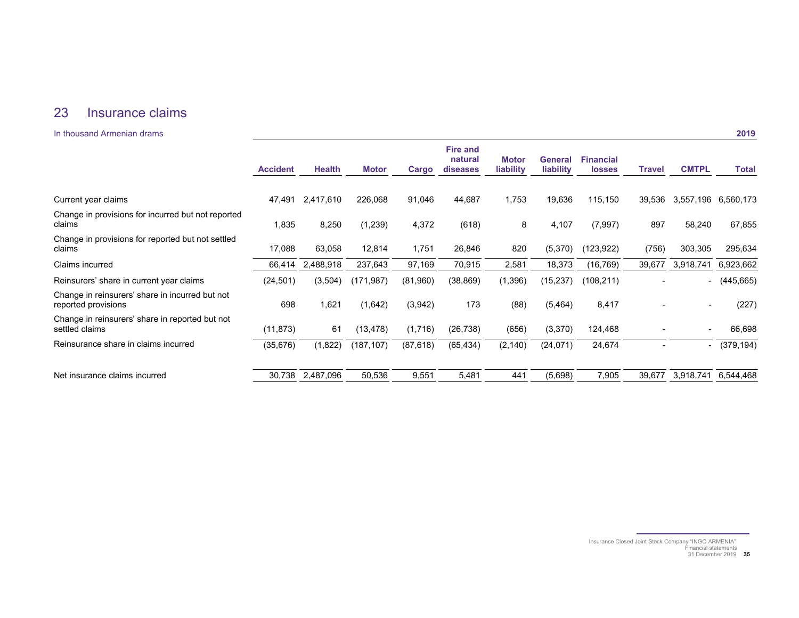## 23 Insurance claims

#### **In thousand Armenian drams**

|                                                                        | <b>Accident</b> | <b>Health</b> | <b>Motor</b> | Cargo     | <b>Fire and</b><br>natural<br>diseases | <b>Motor</b><br>liability | <b>General</b><br>liability | <b>Financial</b><br><b>losses</b> | <b>Travel</b> | <b>CMTPL</b>             | <b>Total</b> |
|------------------------------------------------------------------------|-----------------|---------------|--------------|-----------|----------------------------------------|---------------------------|-----------------------------|-----------------------------------|---------------|--------------------------|--------------|
|                                                                        |                 |               |              |           |                                        |                           |                             |                                   |               |                          |              |
| Current year claims                                                    | 47,491          | 2,417,610     | 226,068      | 91,046    | 44,687                                 | 1,753                     | 19,636                      | 115,150                           | 39,536        | 3,557,196                | 6,560,173    |
| Change in provisions for incurred but not reported<br>claims           | 1,835           | 8,250         | (1,239)      | 4,372     | (618)                                  | 8                         | 4,107                       | (7,997)                           | 897           | 58,240                   | 67,855       |
| Change in provisions for reported but not settled<br>claims            | 17,088          | 63,058        | 12,814       | 1,751     | 26,846                                 | 820                       | (5,370)                     | (123, 922)                        | (756)         | 303,305                  | 295,634      |
| Claims incurred                                                        | 66,414          | 2,488,918     | 237,643      | 97,169    | 70,915                                 | 2,581                     | 18,373                      | (16, 769)                         | 39,677        | 3,918,741                | 6,923,662    |
| Reinsurers' share in current year claims                               | (24, 501)       | (3,504)       | (171, 987)   | (81,960)  | (38, 869)                              | (1, 396)                  | (15, 237)                   | (108, 211)                        |               | $\sim$                   | (445, 665)   |
| Change in reinsurers' share in incurred but not<br>reported provisions | 698             | 1,621         | (1,642)      | (3,942)   | 173                                    | (88)                      | (5, 464)                    | 8,417                             |               | $\overline{\phantom{a}}$ | (227)        |
| Change in reinsurers' share in reported but not<br>settled claims      | (11, 873)       | 61            | (13, 478)    | (1,716)   | (26, 738)                              | (656)                     | (3,370)                     | 124,468                           |               |                          | 66,698       |
| Reinsurance share in claims incurred                                   | (35, 676)       | (1,822)       | (187,107)    | (87, 618) | (65, 434)                              | (2, 140)                  | (24, 071)                   | 24,674                            |               | -                        | (379, 194)   |
| Net insurance claims incurred                                          | 30,738          | 2,487,096     | 50,536       | 9,551     | 5,481                                  | 441                       | (5,698)                     | 7,905                             | 39,677        | 3,918,741                | 6,544,468    |

Insurance Closed Joint Stock Company "INGO ARMENIA" Financial statements 31 December 2019 **35**

2019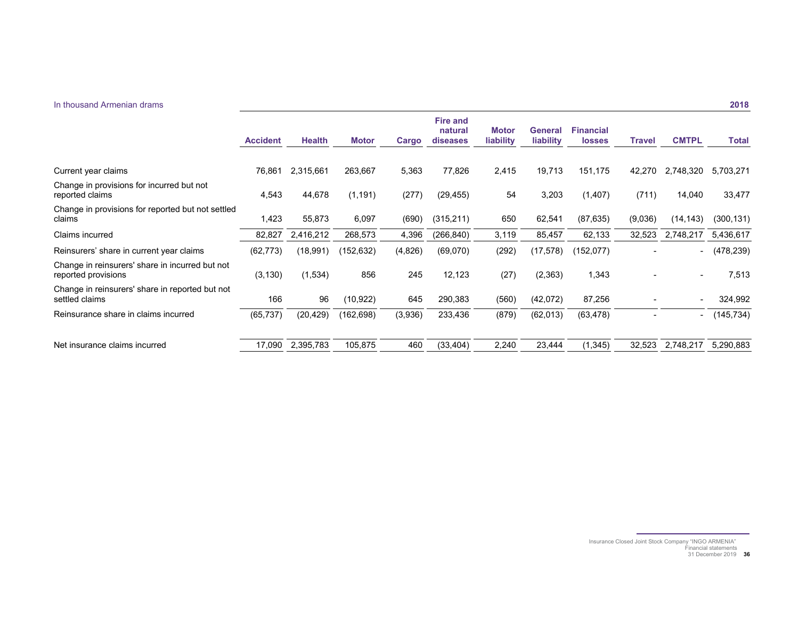#### In thousand Armenian drams

|                                                                        | <b>Accident</b> | <b>Health</b> | <b>Motor</b> | Cargo   | <b>Fire and</b><br>natural<br>diseases | <b>Motor</b><br>liability | <b>General</b><br>liability | <b>Financial</b><br><b>losses</b> | <b>Travel</b> | <b>CMTPL</b>             | <b>Total</b> |
|------------------------------------------------------------------------|-----------------|---------------|--------------|---------|----------------------------------------|---------------------------|-----------------------------|-----------------------------------|---------------|--------------------------|--------------|
|                                                                        |                 |               |              |         |                                        |                           |                             |                                   |               |                          |              |
| Current year claims                                                    | 76,861          | 2,315,661     | 263,667      | 5,363   | 77,826                                 | 2,415                     | 19,713                      | 151,175                           | 42,270        | 2,748,320                | 5,703,271    |
| Change in provisions for incurred but not<br>reported claims           | 4,543           | 44,678        | (1, 191)     | (277)   | (29, 455)                              | 54                        | 3,203                       | (1, 407)                          | (711)         | 14,040                   | 33,477       |
| Change in provisions for reported but not settled<br>claims            | 1,423           | 55,873        | 6,097        | (690)   | (315, 211)                             | 650                       | 62,541                      | (87, 635)                         | (9,036)       | (14, 143)                | (300, 131)   |
| Claims incurred                                                        | 82,827          | 2,416,212     | 268,573      | 4,396   | (266, 840)                             | 3,119                     | 85,457                      | 62,133                            | 32,523        | 2,748,217                | 5,436,617    |
| Reinsurers' share in current year claims                               | (62, 773)       | (18,991)      | (152, 632)   | (4,826) | (69,070)                               | (292)                     | (17, 578)                   | (152,077)                         |               |                          | (478, 239)   |
| Change in reinsurers' share in incurred but not<br>reported provisions | (3, 130)        | (1,534)       | 856          | 245     | 12,123                                 | (27)                      | (2, 363)                    | 1,343                             |               | $\overline{\phantom{0}}$ | 7,513        |
| Change in reinsurers' share in reported but not<br>settled claims      | 166             | 96            | (10, 922)    | 645     | 290,383                                | (560)                     | (42,072)                    | 87,256                            |               | ۰                        | 324,992      |
| Reinsurance share in claims incurred                                   | (65, 737)       | (20, 429)     | (162,698)    | (3,936) | 233,436                                | (879)                     | (62, 013)                   | (63, 478)                         |               | -                        | (145, 734)   |
| Net insurance claims incurred                                          | 17,090          | 2,395,783     | 105,875      | 460     | (33, 404)                              | 2,240                     | 23,444                      | (1, 345)                          | 32,523        | 2,748,217                | 5,290,883    |

Insurance Closed Joint Stock Company "INGO ARMENIA" Financial statements 31 December 2019 **36**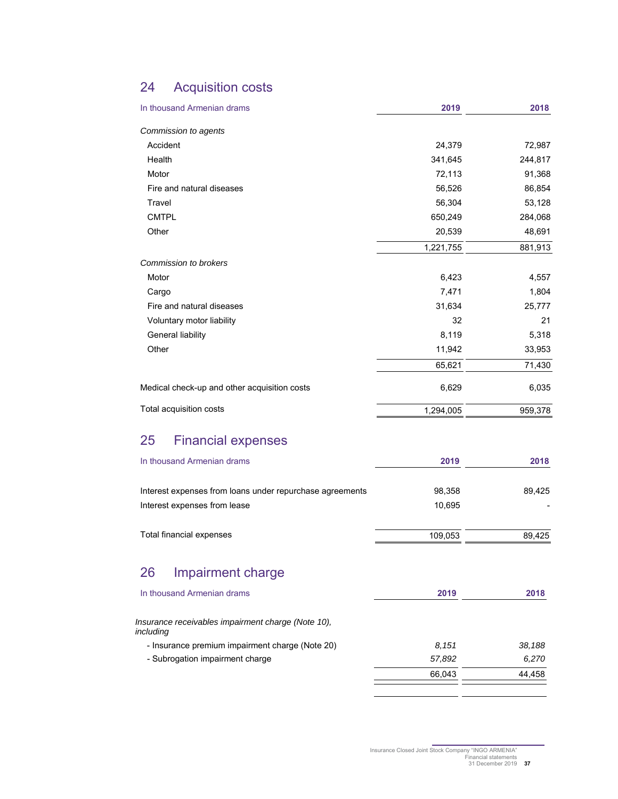## 24 Acquisition costs

| In thousand Armenian drams                                      | 2019      | 2018    |
|-----------------------------------------------------------------|-----------|---------|
| Commission to agents                                            |           |         |
| Accident                                                        | 24,379    | 72,987  |
| Health                                                          | 341,645   | 244,817 |
| Motor                                                           | 72,113    | 91,368  |
| Fire and natural diseases                                       | 56,526    | 86,854  |
| Travel                                                          | 56,304    | 53,128  |
| <b>CMTPL</b>                                                    | 650,249   | 284,068 |
| Other                                                           | 20,539    | 48,691  |
|                                                                 | 1,221,755 | 881,913 |
| <b>Commission to brokers</b>                                    |           |         |
| Motor                                                           | 6,423     | 4,557   |
| Cargo                                                           | 7,471     | 1,804   |
| Fire and natural diseases                                       | 31,634    | 25,777  |
| Voluntary motor liability                                       | 32        | 21      |
| General liability                                               | 8,119     | 5,318   |
| Other                                                           | 11,942    | 33,953  |
|                                                                 | 65,621    | 71,430  |
| Medical check-up and other acquisition costs                    | 6,629     | 6,035   |
| Total acquisition costs                                         | 1,294,005 | 959,378 |
| 25<br><b>Financial expenses</b>                                 |           |         |
| In thousand Armenian drams                                      | 2019      | 2018    |
|                                                                 |           |         |
| Interest expenses from loans under repurchase agreements        | 98,358    | 89,425  |
| Interest expenses from lease                                    | 10,695    |         |
| Total financial expenses                                        | 109,053   | 89,425  |
| Impairment charge<br>26                                         |           |         |
|                                                                 |           |         |
| In thousand Armenian drams                                      | 2019      | 2018    |
| Insurance receivables impairment charge (Note 10),<br>including |           |         |
| - Insurance premium impairment charge (Note 20)                 | 8.151     | 38,188  |
| - Subrogation impairment charge                                 | 57,892    | 6,270   |
|                                                                 |           |         |
|                                                                 | 66,043    | 44,458  |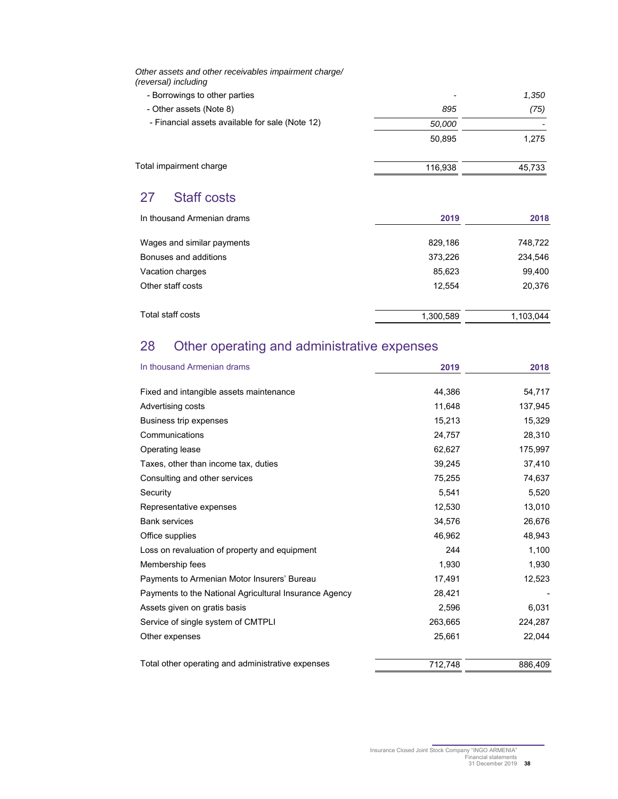*Other assets and other receivables impairment charge/ (reversal) including* 

| - Borrowings to other parties                   | $\overline{\phantom{0}}$ | 1,350  |
|-------------------------------------------------|--------------------------|--------|
| - Other assets (Note 8)                         | 895                      | (75)   |
| - Financial assets available for sale (Note 12) | 50.000                   |        |
|                                                 | 50.895                   | 1.275  |
| Total impairment charge                         | 116.938                  | 45.733 |

## 27 Staff costs

| In thousand Armenian drams | 2019      | 2018      |
|----------------------------|-----------|-----------|
| Wages and similar payments | 829.186   | 748,722   |
| Bonuses and additions      | 373,226   | 234,546   |
| Vacation charges           | 85,623    | 99,400    |
| Other staff costs          | 12.554    | 20,376    |
| Total staff costs          | 1,300,589 | 1,103,044 |

## 28 Other operating and administrative expenses

| In thousand Armenian drams                             | 2019    | 2018    |
|--------------------------------------------------------|---------|---------|
| Fixed and intangible assets maintenance                | 44,386  | 54,717  |
| Advertising costs                                      | 11,648  | 137,945 |
| Business trip expenses                                 | 15,213  | 15,329  |
| Communications                                         | 24,757  | 28,310  |
| Operating lease                                        | 62,627  | 175,997 |
| Taxes, other than income tax, duties                   | 39,245  | 37,410  |
| Consulting and other services                          | 75,255  | 74,637  |
| Security                                               | 5,541   | 5,520   |
| Representative expenses                                | 12,530  | 13,010  |
| <b>Bank services</b>                                   | 34,576  | 26,676  |
| Office supplies                                        | 46,962  | 48,943  |
| Loss on revaluation of property and equipment          | 244     | 1,100   |
| Membership fees                                        | 1,930   | 1,930   |
| Payments to Armenian Motor Insurers' Bureau            | 17,491  | 12,523  |
| Payments to the National Agricultural Insurance Agency | 28,421  |         |
| Assets given on gratis basis                           | 2,596   | 6,031   |
| Service of single system of CMTPLI                     | 263,665 | 224,287 |
| Other expenses                                         | 25,661  | 22,044  |
| Total other operating and administrative expenses      | 712,748 | 886.409 |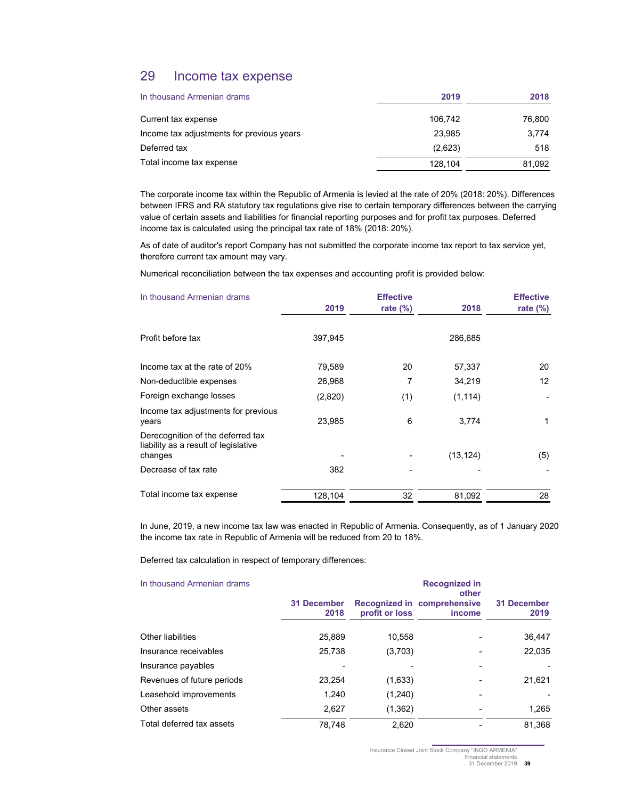## 29 Income tax expense

| In thousand Armenian drams                | 2019    | 2018   |
|-------------------------------------------|---------|--------|
| Current tax expense                       | 106.742 | 76,800 |
| Income tax adjustments for previous years | 23.985  | 3.774  |
| Deferred tax                              | (2,623) | 518    |
| Total income tax expense                  | 128.104 | 81,092 |

The corporate income tax within the Republic of Armenia is levied at the rate of 20% (2018: 20%). Differences between IFRS and RA statutory tax regulations give rise to certain temporary differences between the carrying value of certain assets and liabilities for financial reporting purposes and for profit tax purposes. Deferred income tax is calculated using the principal tax rate of 18% (2018: 20%).

As of date of auditor's report Company has not submitted the corporate income tax report to tax service yet, therefore current tax amount may vary.

Numerical reconciliation between the tax expenses and accounting profit is provided below:

| In thousand Armenian drams                                                           | 2019    | <b>Effective</b><br>rate $(\%)$ | 2018      | <b>Effective</b><br>rate $(\%)$ |
|--------------------------------------------------------------------------------------|---------|---------------------------------|-----------|---------------------------------|
|                                                                                      |         |                                 |           |                                 |
| Profit before tax                                                                    | 397,945 |                                 | 286,685   |                                 |
| Income tax at the rate of 20%                                                        | 79,589  | 20                              | 57,337    | 20                              |
| Non-deductible expenses                                                              | 26,968  | 7                               | 34,219    | 12                              |
| Foreign exchange losses                                                              | (2,820) | (1)                             | (1, 114)  |                                 |
| Income tax adjustments for previous<br>years                                         | 23,985  | 6                               | 3,774     | 1                               |
| Derecognition of the deferred tax<br>liability as a result of legislative<br>changes |         |                                 | (13, 124) | (5)                             |
| Decrease of tax rate                                                                 | 382     |                                 |           |                                 |
| Total income tax expense                                                             | 128,104 | 32                              | 81,092    | 28                              |

In June, 2019, a new income tax law was enacted in Republic of Armenia. Consequently, as of 1 January 2020 the income tax rate in Republic of Armenia will be reduced from 20 to 18%.

Deferred tax calculation in respect of temporary differences:

| In thousand Armenian drams | <b>Recognized in</b><br>other |                |                                              |                     |  |
|----------------------------|-------------------------------|----------------|----------------------------------------------|---------------------|--|
|                            | <b>31 December</b><br>2018    | profit or loss | Recognized in comprehensive<br><i>income</i> | 31 December<br>2019 |  |
| <b>Other liabilities</b>   | 25,889                        | 10.558         |                                              | 36,447              |  |
| Insurance receivables      | 25,738                        | (3,703)        |                                              | 22,035              |  |
| Insurance payables         |                               |                |                                              |                     |  |
| Revenues of future periods | 23.254                        | (1,633)        |                                              | 21,621              |  |
| Leasehold improvements     | 1.240                         | (1,240)        |                                              |                     |  |
| Other assets               | 2.627                         | (1,362)        |                                              | 1.265               |  |
| Total deferred tax assets  | 78.748                        | 2.620          |                                              | 81.368              |  |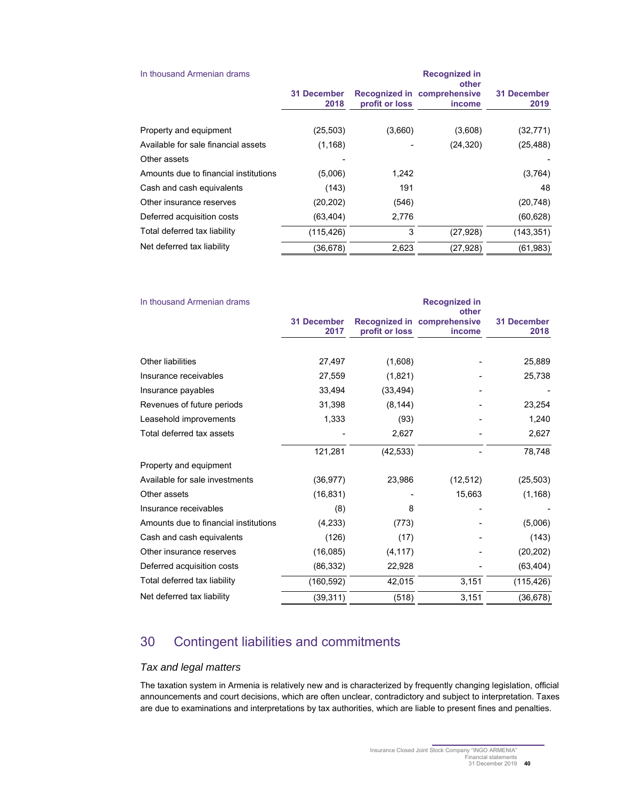| In thousand Armenian drams            | <b>Recognized in</b><br>other |                |                                       |                     |  |
|---------------------------------------|-------------------------------|----------------|---------------------------------------|---------------------|--|
|                                       | <b>31 December</b><br>2018    | profit or loss | Recognized in comprehensive<br>income | 31 December<br>2019 |  |
| Property and equipment                | (25, 503)                     | (3,660)        | (3,608)                               | (32, 771)           |  |
| Available for sale financial assets   | (1, 168)                      |                | (24, 320)                             | (25, 488)           |  |
| Other assets                          |                               |                |                                       |                     |  |
| Amounts due to financial institutions | (5,006)                       | 1,242          |                                       | (3,764)             |  |
| Cash and cash equivalents             | (143)                         | 191            |                                       | 48                  |  |
| Other insurance reserves              | (20, 202)                     | (546)          |                                       | (20, 748)           |  |
| Deferred acquisition costs            | (63, 404)                     | 2,776          |                                       | (60, 628)           |  |
| Total deferred tax liability          | (115, 426)                    | 3              | (27, 928)                             | (143, 351)          |  |
| Net deferred tax liability            | (36,678)                      | 2,623          | (27, 928)                             | (61, 983)           |  |

| In thousand Armenian drams            |                            |                | <b>Recognized in</b><br>other         |                            |
|---------------------------------------|----------------------------|----------------|---------------------------------------|----------------------------|
|                                       | <b>31 December</b><br>2017 | profit or loss | Recognized in comprehensive<br>income | <b>31 December</b><br>2018 |
|                                       |                            |                |                                       |                            |
| <b>Other liabilities</b>              | 27,497                     | (1,608)        |                                       | 25,889                     |
| Insurance receivables                 | 27,559                     | (1,821)        |                                       | 25,738                     |
| Insurance payables                    | 33,494                     | (33, 494)      |                                       |                            |
| Revenues of future periods            | 31,398                     | (8, 144)       |                                       | 23,254                     |
| Leasehold improvements                | 1,333                      | (93)           |                                       | 1,240                      |
| Total deferred tax assets             |                            | 2,627          |                                       | 2,627                      |
|                                       | 121,281                    | (42, 533)      |                                       | 78,748                     |
| Property and equipment                |                            |                |                                       |                            |
| Available for sale investments        | (36, 977)                  | 23,986         | (12, 512)                             | (25, 503)                  |
| Other assets                          | (16, 831)                  |                | 15,663                                | (1, 168)                   |
| Insurance receivables                 | (8)                        | 8              |                                       |                            |
| Amounts due to financial institutions | (4,233)                    | (773)          |                                       | (5,006)                    |
| Cash and cash equivalents             | (126)                      | (17)           |                                       | (143)                      |
| Other insurance reserves              | (16,085)                   | (4, 117)       |                                       | (20, 202)                  |
| Deferred acquisition costs            | (86, 332)                  | 22,928         |                                       | (63, 404)                  |
| Total deferred tax liability          | (160, 592)                 | 42,015         | 3,151                                 | (115, 426)                 |
| Net deferred tax liability            | (39, 311)                  | (518)          | 3,151                                 | (36, 678)                  |

## 30 Contingent liabilities and commitments

## *Tax and legal matters*

The taxation system in Armenia is relatively new and is characterized by frequently changing legislation, official announcements and court decisions, which are often unclear, contradictory and subject to interpretation. Taxes are due to examinations and interpretations by tax authorities, which are liable to present fines and penalties.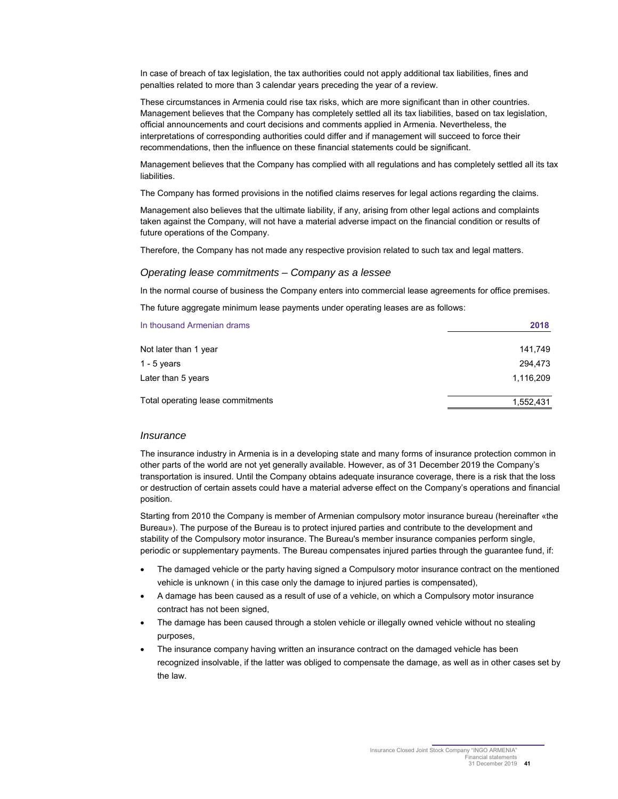In case of breach of tax legislation, the tax authorities could not apply additional tax liabilities, fines and penalties related to more than 3 calendar years preceding the year of a review.

These circumstances in Armenia could rise tax risks, which are more significant than in other countries. Management believes that the Company has completely settled all its tax liabilities, based on tax legislation, official announcements and court decisions and comments applied in Armenia. Nevertheless, the interpretations of corresponding authorities could differ and if management will succeed to force their recommendations, then the influence on these financial statements could be significant.

Management believes that the Company has complied with all regulations and has completely settled all its tax liabilities.

The Company has formed provisions in the notified claims reserves for legal actions regarding the claims.

Management also believes that the ultimate liability, if any, arising from other legal actions and complaints taken against the Company, will not have a material adverse impact on the financial condition or results of future operations of the Company.

Therefore, the Company has not made any respective provision related to such tax and legal matters.

#### *Operating lease commitments – Company as a lessee*

In the normal course of business the Company enters into commercial lease agreements for office premises.

The future aggregate minimum lease payments under operating leases are as follows:

| In thousand Armenian drams        | 2018      |
|-----------------------------------|-----------|
| Not later than 1 year             | 141.749   |
| 1 - 5 years                       | 294,473   |
| Later than 5 years                | 1.116,209 |
| Total operating lease commitments | 1,552,431 |

#### *Insurance*

The insurance industry in Armenia is in a developing state and many forms of insurance protection common in other parts of the world are not yet generally available. However, as of 31 December 2019 the Company's transportation is insured. Until the Company obtains adequate insurance coverage, there is a risk that the loss or destruction of certain assets could have a material adverse effect on the Company's operations and financial position.

Starting from 2010 the Company is member of Armenian compulsory motor insurance bureau (hereinafter «the Bureau»). The purpose of the Bureau is to protect injured parties and contribute to the development and stability of the Compulsory motor insurance. The Bureau's member insurance companies perform single, periodic or supplementary payments. The Bureau compensates injured parties through the guarantee fund, if:

- The damaged vehicle or the party having signed a Compulsory motor insurance contract on the mentioned vehicle is unknown ( in this case only the damage to injured parties is compensated),
- A damage has been caused as a result of use of a vehicle, on which a Compulsory motor insurance contract has not been signed,
- The damage has been caused through a stolen vehicle or illegally owned vehicle without no stealing purposes,
- The insurance company having written an insurance contract on the damaged vehicle has been recognized insolvable, if the latter was obliged to compensate the damage, as well as in other cases set by the law.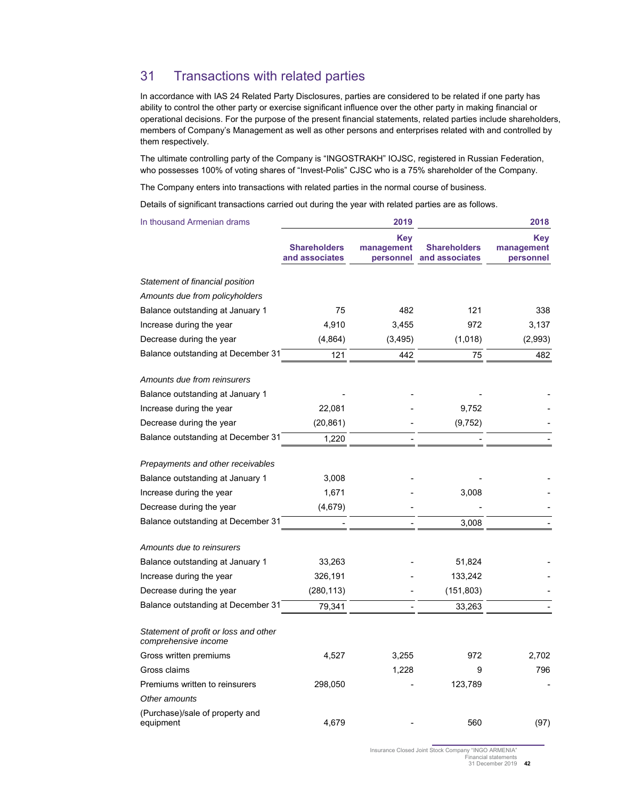## 31 Transactions with related parties

In accordance with IAS 24 Related Party Disclosures, parties are considered to be related if one party has ability to control the other party or exercise significant influence over the other party in making financial or operational decisions. For the purpose of the present financial statements, related parties include shareholders, members of Company's Management as well as other persons and enterprises related with and controlled by them respectively.

The ultimate controlling party of the Company is "INGOSTRAKH" IOJSC, registered in Russian Federation, who possesses 100% of voting shares of "Invest-Polis" CJSC who is a 75% shareholder of the Company.

The Company enters into transactions with related parties in the normal course of business.

Details of significant transactions carried out during the year with related parties are as follows.

| In thousand Armenian drams                                    |                                       | 2019                                  |                                       | 2018                           |
|---------------------------------------------------------------|---------------------------------------|---------------------------------------|---------------------------------------|--------------------------------|
|                                                               | <b>Shareholders</b><br>and associates | <b>Key</b><br>management<br>personnel | <b>Shareholders</b><br>and associates | Key<br>management<br>personnel |
| Statement of financial position                               |                                       |                                       |                                       |                                |
| Amounts due from policyholders                                |                                       |                                       |                                       |                                |
| Balance outstanding at January 1                              | 75                                    | 482                                   | 121                                   | 338                            |
| Increase during the year                                      | 4,910                                 | 3,455                                 | 972                                   | 3,137                          |
| Decrease during the year                                      | (4,864)                               | (3, 495)                              | (1,018)                               | (2,993)                        |
| Balance outstanding at December 31                            | 121                                   | 442                                   | 75                                    | 482                            |
| Amounts due from reinsurers                                   |                                       |                                       |                                       |                                |
| Balance outstanding at January 1                              |                                       |                                       |                                       |                                |
| Increase during the year                                      | 22,081                                |                                       | 9,752                                 |                                |
| Decrease during the year                                      | (20, 861)                             |                                       | (9,752)                               |                                |
| Balance outstanding at December 31                            | 1,220                                 |                                       |                                       |                                |
| Prepayments and other receivables                             |                                       |                                       |                                       |                                |
| Balance outstanding at January 1                              | 3,008                                 |                                       |                                       |                                |
| Increase during the year                                      | 1,671                                 |                                       | 3,008                                 |                                |
| Decrease during the year                                      | (4,679)                               |                                       |                                       |                                |
| Balance outstanding at December 31                            |                                       |                                       | 3,008                                 |                                |
| Amounts due to reinsurers                                     |                                       |                                       |                                       |                                |
| Balance outstanding at January 1                              | 33,263                                |                                       | 51,824                                |                                |
| Increase during the year                                      | 326,191                               |                                       | 133,242                               |                                |
| Decrease during the year                                      | (280, 113)                            |                                       | (151, 803)                            |                                |
| Balance outstanding at December 31                            | 79,341                                |                                       | 33,263                                |                                |
| Statement of profit or loss and other<br>comprehensive income |                                       |                                       |                                       |                                |
| Gross written premiums                                        | 4,527                                 | 3,255                                 | 972                                   | 2,702                          |
| Gross claims                                                  |                                       | 1,228                                 | 9                                     | 796                            |
| Premiums written to reinsurers                                | 298,050                               |                                       | 123,789                               |                                |
| Other amounts                                                 |                                       |                                       |                                       |                                |
| (Purchase)/sale of property and<br>equipment                  | 4,679                                 |                                       | 560                                   | (97)                           |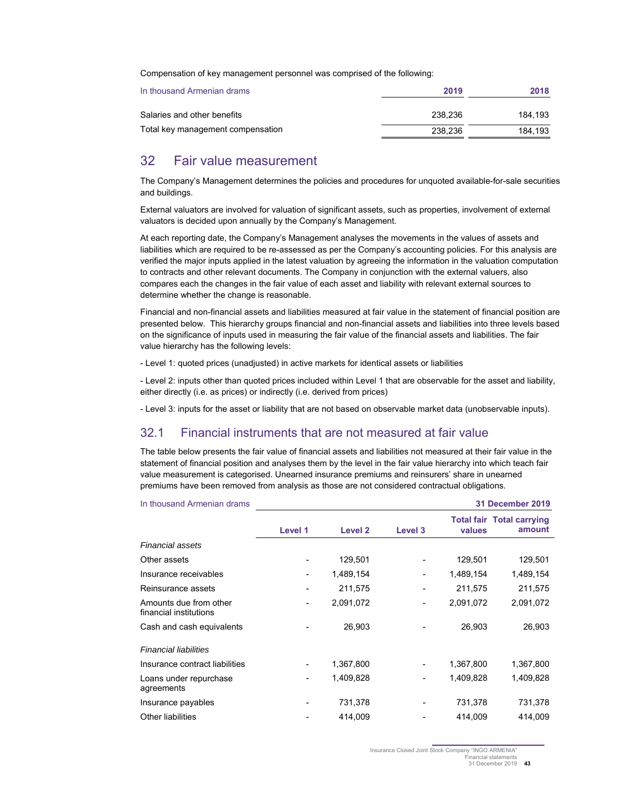Compensation of key management personnel was comprised of the following:

| In thousand Armenian drams        | 2019    | 2018    |
|-----------------------------------|---------|---------|
| Salaries and other benefits       | 238.236 | 184.193 |
| Total key management compensation | 238.236 | 184.193 |

## 32 Fair value measurement

The Company's Management determines the policies and procedures for unquoted available-for-sale securities and buildings.

External valuators are involved for valuation of significant assets, such as properties, involvement of external valuators is decided upon annually by the Company's Management.

At each reporting date, the Company's Management analyses the movements in the values of assets and liabilities which are required to be re-assessed as per the Company's accounting policies. For this analysis are verified the major inputs applied in the latest valuation by agreeing the information in the valuation computation to contracts and other relevant documents. The Company in conjunction with the external valuers, also compares each the changes in the fair value of each asset and liability with relevant external sources to determine whether the change is reasonable.

Financial and non-financial assets and liabilities measured at fair value in the statement of financial position are presented below. This hierarchy groups financial and non-financial assets and liabilities into three levels based on the significance of inputs used in measuring the fair value of the financial assets and liabilities. The fair value hierarchy has the following levels:

- Level 1: quoted prices (unadjusted) in active markets for identical assets or liabilities

- Level 2: inputs other than quoted prices included within Level 1 that are observable for the asset and liability, either directly (i.e. as prices) or indirectly (i.e. derived from prices)

- Level 3: inputs for the asset or liability that are not based on observable market data (unobservable inputs).

### 32.1 Financial instruments that are not measured at fair value

The table below presents the fair value of financial assets and liabilities not measured at their fair value in the statement of financial position and analyses them by the level in the fair value hierarchy into which teach fair value measurement is categorised. Unearned insurance premiums and reinsurers' share in unearned premiums have been removed from analysis as those are not considered contractual obligations.

| In thousand Armenian drams                       |         |                |         |           | <b>31 December 2019</b>                    |
|--------------------------------------------------|---------|----------------|---------|-----------|--------------------------------------------|
|                                                  | Level 1 | <b>Level 2</b> | Level 3 | values    | <b>Total fair Total carrying</b><br>amount |
| <b>Financial assets</b>                          |         |                |         |           |                                            |
| Other assets                                     |         | 129,501        |         | 129,501   | 129,501                                    |
| Insurance receivables                            |         | 1,489,154      |         | 1,489,154 | 1,489,154                                  |
| Reinsurance assets                               |         | 211,575        |         | 211,575   | 211,575                                    |
| Amounts due from other<br>financial institutions |         | 2,091,072      |         | 2,091,072 | 2,091,072                                  |
| Cash and cash equivalents                        |         | 26,903         |         | 26,903    | 26,903                                     |
| <b>Financial liabilities</b>                     |         |                |         |           |                                            |
| Insurance contract liabilities                   |         | 1,367,800      |         | 1,367,800 | 1,367,800                                  |
| Loans under repurchase<br>agreements             |         | 1,409,828      | -       | 1,409,828 | 1,409,828                                  |
| Insurance payables                               |         | 731,378        |         | 731,378   | 731,378                                    |
| <b>Other liabilities</b>                         |         | 414,009        |         | 414,009   | 414,009                                    |

Insurance Closed Joint Stock Company "INGO ARMENIA" inancial statements

<sup>31</sup> December 2019 **43**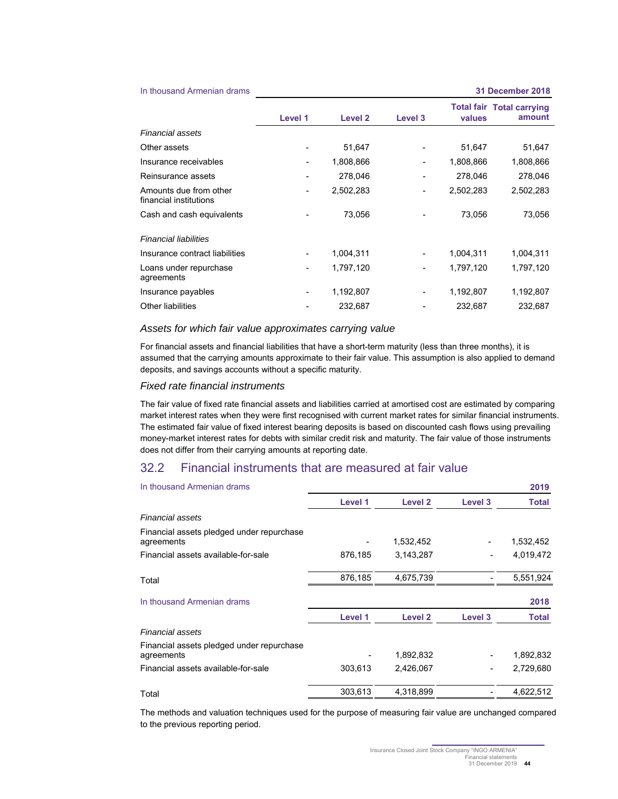In thousand Armenian drams **31 December 2018**

|                                                  | Level 1 | Level 2   | Level 3                  | values    | <b>Total fair Total carrying</b><br>amount |
|--------------------------------------------------|---------|-----------|--------------------------|-----------|--------------------------------------------|
| <b>Financial assets</b>                          |         |           |                          |           |                                            |
| Other assets                                     |         | 51,647    |                          | 51,647    | 51,647                                     |
| Insurance receivables                            |         | 1,808,866 | $\overline{\phantom{a}}$ | 1,808,866 | 1,808,866                                  |
| Reinsurance assets                               |         | 278,046   |                          | 278,046   | 278,046                                    |
| Amounts due from other<br>financial institutions |         | 2,502,283 |                          | 2,502,283 | 2,502,283                                  |
| Cash and cash equivalents                        |         | 73,056    |                          | 73,056    | 73,056                                     |
| <b>Financial liabilities</b>                     |         |           |                          |           |                                            |
| Insurance contract liabilities                   |         | 1,004,311 |                          | 1,004,311 | 1,004,311                                  |
| Loans under repurchase<br>agreements             |         | 1,797,120 | $\overline{\phantom{a}}$ | 1,797,120 | 1,797,120                                  |
| Insurance payables                               | -       | 1,192,807 |                          | 1,192,807 | 1,192,807                                  |
| Other liabilities                                |         | 232,687   |                          | 232,687   | 232,687                                    |

#### *Assets for which fair value approximates carrying value*

For financial assets and financial liabilities that have a short-term maturity (less than three months), it is assumed that the carrying amounts approximate to their fair value. This assumption is also applied to demand deposits, and savings accounts without a specific maturity.

#### *Fixed rate financial instruments*

The fair value of fixed rate financial assets and liabilities carried at amortised cost are estimated by comparing market interest rates when they were first recognised with current market rates for similar financial instruments. The estimated fair value of fixed interest bearing deposits is based on discounted cash flows using prevailing money-market interest rates for debts with similar credit risk and maturity. The fair value of those instruments does not differ from their carrying amounts at reporting date.

## 32.2 Financial instruments that are measured at fair value

| In thousand Armenian drams                              |         |           |         | 2019         |
|---------------------------------------------------------|---------|-----------|---------|--------------|
|                                                         | Level 1 | Level 2   | Level 3 | <b>Total</b> |
| Financial assets                                        |         |           |         |              |
| Financial assets pledged under repurchase<br>agreements |         | 1,532,452 |         | 1,532,452    |
| Financial assets available-for-sale                     | 876,185 | 3,143,287 |         | 4,019,472    |
| Total                                                   | 876,185 | 4,675,739 |         | 5,551,924    |
| In thousand Armenian drams                              |         |           |         | 2018         |
|                                                         | Level 1 | Level 2   | Level 3 | Total        |
| Financial assets                                        |         |           |         |              |
| Financial assets pledged under repurchase<br>agreements |         | 1,892,832 |         | 1,892,832    |
| Financial assets available-for-sale                     | 303,613 | 2,426,067 |         | 2,729,680    |
| Total                                                   | 303.613 | 4.318.899 |         | 4,622,512    |

The methods and valuation techniques used for the purpose of measuring fair value are unchanged compared to the previous reporting period.

Insurance Closed Joint Stock Company "INGO ARMENIA" Financial statements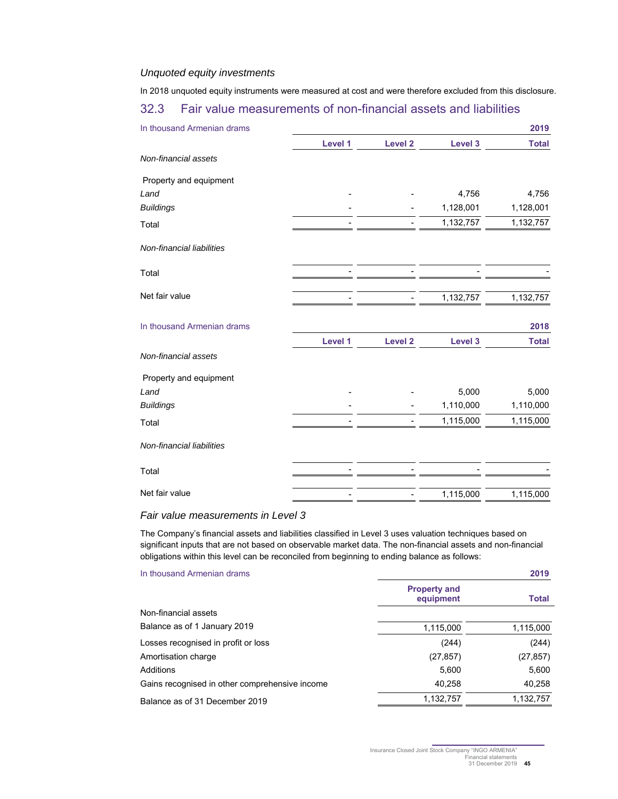#### *Unquoted equity investments*

In 2018 unquoted equity instruments were measured at cost and were therefore excluded from this disclosure.

## 32.3 Fair value measurements of non-financial assets and liabilities

| In thousand Armenian drams |         |                    |           | 2019         |
|----------------------------|---------|--------------------|-----------|--------------|
|                            | Level 1 | <b>Level 2</b>     | Level 3   | <b>Total</b> |
| Non-financial assets       |         |                    |           |              |
| Property and equipment     |         |                    |           |              |
| Land                       |         |                    | 4,756     | 4,756        |
| <b>Buildings</b>           |         |                    | 1,128,001 | 1,128,001    |
| Total                      |         |                    | 1,132,757 | 1,132,757    |
| Non-financial liabilities  |         |                    |           |              |
| Total                      |         |                    |           |              |
| Net fair value             |         |                    | 1,132,757 | 1,132,757    |
| In thousand Armenian drams |         |                    |           | 2018         |
|                            | Level 1 | Level <sub>2</sub> | Level 3   | <b>Total</b> |
| Non-financial assets       |         |                    |           |              |
| Property and equipment     |         |                    |           |              |
| Land                       |         |                    | 5,000     | 5,000        |
| <b>Buildings</b>           |         |                    | 1,110,000 | 1,110,000    |
| Total                      |         |                    | 1,115,000 | 1,115,000    |
| Non-financial liabilities  |         |                    |           |              |
| Total                      |         |                    |           |              |
| Net fair value             |         |                    | 1,115,000 | 1,115,000    |

#### *Fair value measurements in Level 3*

The Company's financial assets and liabilities classified in Level 3 uses valuation techniques based on significant inputs that are not based on observable market data. The non-financial assets and non-financial obligations within this level can be reconciled from beginning to ending balance as follows:

| In thousand Armenian drams                     |                                  | 2019         |
|------------------------------------------------|----------------------------------|--------------|
|                                                | <b>Property and</b><br>equipment | <b>Total</b> |
| Non-financial assets                           |                                  |              |
| Balance as of 1 January 2019                   | 1,115,000                        | 1,115,000    |
| Losses recognised in profit or loss            | (244)                            | (244)        |
| Amortisation charge                            | (27, 857)                        | (27, 857)    |
| Additions                                      | 5,600                            | 5,600        |
| Gains recognised in other comprehensive income | 40,258                           | 40,258       |
| Balance as of 31 December 2019                 | 1,132,757                        | 1,132,757    |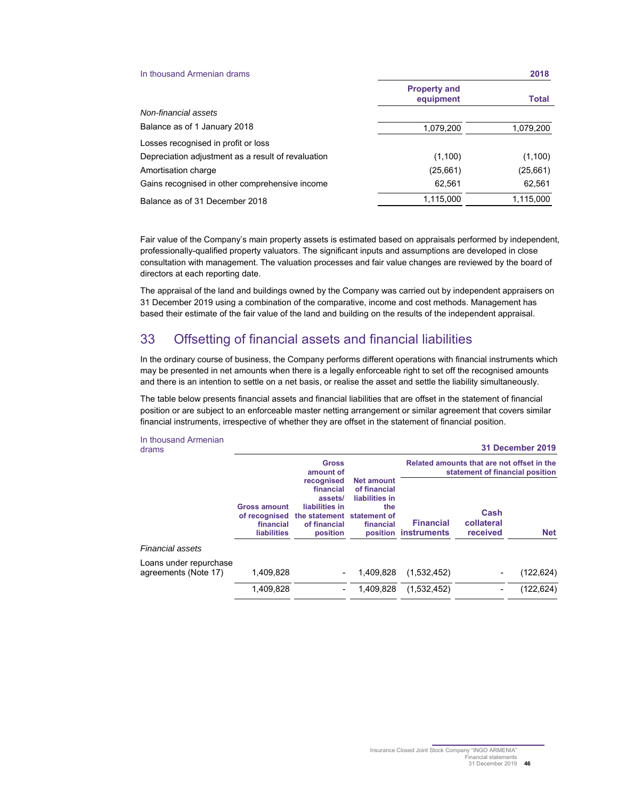| In thousand Armenian drams                         |                                  | 2018         |
|----------------------------------------------------|----------------------------------|--------------|
|                                                    | <b>Property and</b><br>equipment | <b>Total</b> |
| Non-financial assets                               |                                  |              |
| Balance as of 1 January 2018                       | 1,079,200                        | 1,079,200    |
| Losses recognised in profit or loss                |                                  |              |
| Depreciation adjustment as a result of revaluation | (1,100)                          | (1,100)      |
| Amortisation charge                                | (25,661)                         | (25, 661)    |
| Gains recognised in other comprehensive income     | 62,561                           | 62,561       |
| Balance as of 31 December 2018                     | 1,115,000                        | 1,115,000    |

Fair value of the Company's main property assets is estimated based on appraisals performed by independent, professionally-qualified property valuators. The significant inputs and assumptions are developed in close consultation with management. The valuation processes and fair value changes are reviewed by the board of directors at each reporting date.

The appraisal of the land and buildings owned by the Company was carried out by independent appraisers on 31 December 2019 using a combination of the comparative, income and cost methods. Management has based their estimate of the fair value of the land and building on the results of the independent appraisal.

## 33 Offsetting of financial assets and financial liabilities

In the ordinary course of business, the Company performs different operations with financial instruments which may be presented in net amounts when there is a legally enforceable right to set off the recognised amounts and there is an intention to settle on a net basis, or realise the asset and settle the liability simultaneously.

The table below presents financial assets and financial liabilities that are offset in the statement of financial position or are subject to an enforceable master netting arrangement or similar agreement that covers similar financial instruments, irrespective of whether they are offset in the statement of financial position.

#### In thousand Armenian drams **31 December 2019**

|                                                |                                                                         | <b>Gross</b><br>amount of                                                                                      |                                                                         | Related amounts that are not offset in the<br>statement of financial position |                                |            |  |  |
|------------------------------------------------|-------------------------------------------------------------------------|----------------------------------------------------------------------------------------------------------------|-------------------------------------------------------------------------|-------------------------------------------------------------------------------|--------------------------------|------------|--|--|
|                                                | <b>Gross amount</b><br>of recognised<br>financial<br><b>liabilities</b> | recognised<br>financial<br>assets/<br>liabilities in<br>the statement statement of<br>of financial<br>position | <b>Net amount</b><br>of financial<br>liabilities in<br>the<br>financial | <b>Financial</b><br>position instruments                                      | Cash<br>collateral<br>received | <b>Net</b> |  |  |
| Financial assets                               |                                                                         |                                                                                                                |                                                                         |                                                                               |                                |            |  |  |
| Loans under repurchase<br>agreements (Note 17) | 1.409.828                                                               | $\overline{\phantom{a}}$                                                                                       | 1.409.828                                                               | (1,532,452)                                                                   | $\overline{\phantom{a}}$       | (122, 624) |  |  |
|                                                | 1,409,828                                                               |                                                                                                                | 1.409.828                                                               | (1,532,452)                                                                   |                                | (122, 624) |  |  |
|                                                |                                                                         |                                                                                                                |                                                                         |                                                                               |                                |            |  |  |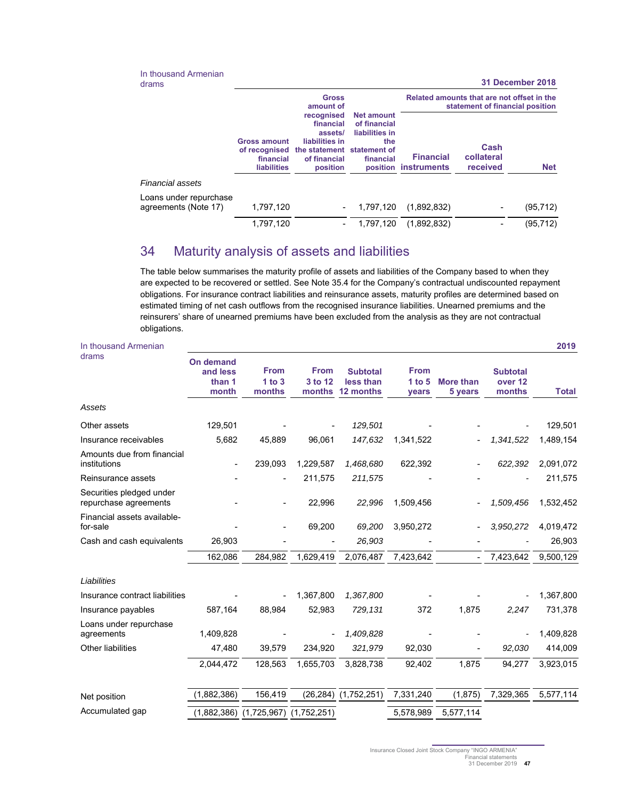In thousand Armenian<br>drams

drams **31 December 2018** 

|                                                |                                                                         | <b>Gross</b><br>amount of                                                                                      |                                                                         | Related amounts that are not offset in the<br>statement of financial position |                                |            |  |
|------------------------------------------------|-------------------------------------------------------------------------|----------------------------------------------------------------------------------------------------------------|-------------------------------------------------------------------------|-------------------------------------------------------------------------------|--------------------------------|------------|--|
|                                                | <b>Gross amount</b><br>of recognised<br>financial<br><b>liabilities</b> | recognised<br>financial<br>assets/<br>liabilities in<br>the statement statement of<br>of financial<br>position | <b>Net amount</b><br>of financial<br>liabilities in<br>the<br>financial | <b>Financial</b><br>position instruments                                      | Cash<br>collateral<br>received | <b>Net</b> |  |
| Financial assets                               |                                                                         |                                                                                                                |                                                                         |                                                                               |                                |            |  |
| Loans under repurchase<br>agreements (Note 17) | 1,797,120                                                               |                                                                                                                | 1,797,120                                                               | (1,892,832)                                                                   | -                              | (95, 712)  |  |
|                                                | 1,797,120                                                               |                                                                                                                | 1,797,120                                                               | (1,892,832)                                                                   |                                | (95, 712)  |  |

## 34 Maturity analysis of assets and liabilities

The table below summarises the maturity profile of assets and liabilities of the Company based to when they are expected to be recovered or settled. See Note 35.4 for the Company's contractual undiscounted repayment obligations. For insurance contract liabilities and reinsurance assets, maturity profiles are determined based on estimated timing of net cash outflows from the recognised insurance liabilities. Unearned premiums and the reinsurers' share of unearned premiums have been excluded from the analysis as they are not contractual obligations.

| In thousand Armenian                              |                                                 |                                 |                                  |                                           |                                  |                             |                                      | 2019         |
|---------------------------------------------------|-------------------------------------------------|---------------------------------|----------------------------------|-------------------------------------------|----------------------------------|-----------------------------|--------------------------------------|--------------|
| drams                                             | <b>On demand</b><br>and less<br>than 1<br>month | <b>From</b><br>1 to 3<br>months | <b>From</b><br>3 to 12<br>months | <b>Subtotal</b><br>less than<br>12 months | <b>From</b><br>1 to $5$<br>years | <b>More than</b><br>5 years | <b>Subtotal</b><br>over 12<br>months | <b>Total</b> |
| Assets                                            |                                                 |                                 |                                  |                                           |                                  |                             |                                      |              |
| Other assets                                      | 129,501                                         |                                 |                                  | 129,501                                   |                                  |                             |                                      | 129,501      |
| Insurance receivables                             | 5,682                                           | 45.889                          | 96,061                           | 147,632                                   | 1,341,522                        |                             | 1,341,522                            | 1,489,154    |
| Amounts due from financial<br>institutions        | $\overline{a}$                                  | 239,093                         | 1,229,587                        | 1,468,680                                 | 622,392                          |                             | 622,392                              | 2,091,072    |
| Reinsurance assets                                |                                                 |                                 | 211,575                          | 211,575                                   |                                  |                             |                                      | 211,575      |
| Securities pledged under<br>repurchase agreements |                                                 |                                 | 22,996                           | 22,996                                    | 1,509,456                        |                             | 1,509,456                            | 1,532,452    |
| Financial assets available-<br>for-sale           |                                                 |                                 | 69,200                           | 69,200                                    | 3,950,272                        |                             | 3,950,272                            | 4,019,472    |
| Cash and cash equivalents                         | 26,903                                          |                                 |                                  | 26,903                                    |                                  |                             |                                      | 26,903       |
|                                                   | 162,086                                         | 284,982                         | 1,629,419                        | 2,076,487                                 | 7,423,642                        |                             | 7,423,642                            | 9,500,129    |
| Liabilities                                       |                                                 |                                 |                                  |                                           |                                  |                             |                                      |              |
| Insurance contract liabilities                    |                                                 |                                 | 1,367,800                        | 1,367,800                                 |                                  |                             |                                      | 1,367,800    |
| Insurance payables                                | 587,164                                         | 88,984                          | 52,983                           | 729,131                                   | 372                              | 1,875                       | 2,247                                | 731,378      |
| Loans under repurchase<br>agreements              | 1,409,828                                       |                                 |                                  | 1,409,828                                 |                                  |                             |                                      | 1,409,828    |
| Other liabilities                                 | 47,480                                          | 39,579                          | 234,920                          | 321,979                                   | 92,030                           |                             | 92,030                               | 414,009      |
|                                                   | 2,044,472                                       | 128,563                         | 1,655,703                        | 3,828,738                                 | 92,402                           | 1,875                       | 94,277                               | 3,923,015    |
| Net position                                      | (1,882,386)                                     | 156,419                         | (26, 284)                        | (1,752,251)                               | 7,331,240                        | (1, 875)                    | 7,329,365                            | 5,577,114    |
| Accumulated gap                                   | (1,882,386)                                     | $(1,725,967)$ $(1,752,251)$     |                                  |                                           | 5,578,989                        | 5,577,114                   |                                      |              |

31 December 2019 **47**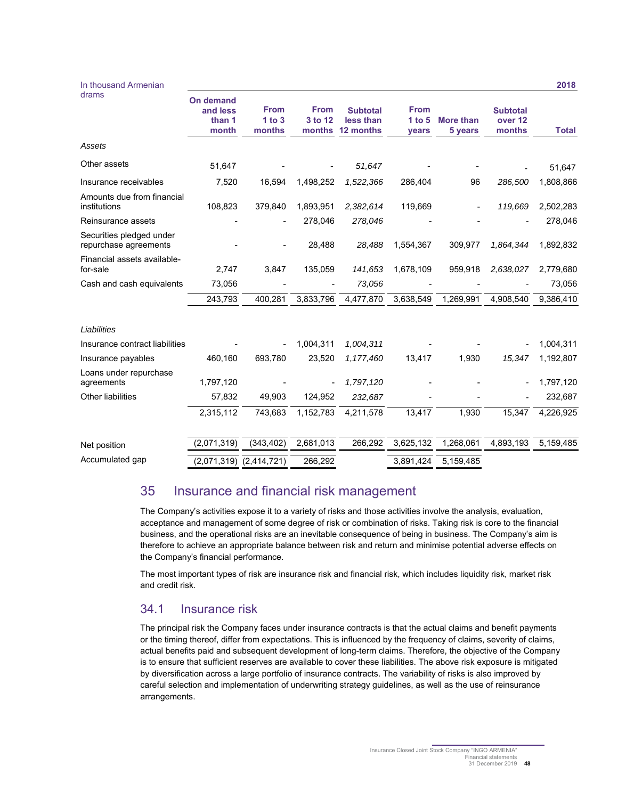| In thousand Armenian                              |                                          |                                 |                                  |                                           |                                |                             |                                      | 2018         |
|---------------------------------------------------|------------------------------------------|---------------------------------|----------------------------------|-------------------------------------------|--------------------------------|-----------------------------|--------------------------------------|--------------|
| drams                                             | On demand<br>and less<br>than 1<br>month | <b>From</b><br>1 to 3<br>months | <b>From</b><br>3 to 12<br>months | <b>Subtotal</b><br>less than<br>12 months | <b>From</b><br>1 to 5<br>years | <b>More than</b><br>5 years | <b>Subtotal</b><br>over 12<br>months | <b>Total</b> |
| Assets                                            |                                          |                                 |                                  |                                           |                                |                             |                                      |              |
| Other assets                                      | 51,647                                   |                                 |                                  | 51,647                                    |                                |                             |                                      | 51,647       |
| Insurance receivables                             | 7,520                                    | 16,594                          | 1,498,252                        | 1,522,366                                 | 286,404                        | 96                          | 286,500                              | 1,808,866    |
| Amounts due from financial<br>institutions        | 108,823                                  | 379,840                         | 1,893,951                        | 2,382,614                                 | 119,669                        |                             | 119,669                              | 2,502,283    |
| Reinsurance assets                                |                                          |                                 | 278,046                          | 278,046                                   |                                |                             |                                      | 278,046      |
| Securities pledged under<br>repurchase agreements |                                          |                                 | 28,488                           | 28,488                                    | 1,554,367                      | 309,977                     | 1,864,344                            | 1,892,832    |
| Financial assets available-<br>for-sale           | 2,747                                    | 3,847                           | 135,059                          | 141,653                                   | 1,678,109                      | 959,918                     | 2,638,027                            | 2,779,680    |
| Cash and cash equivalents                         | 73,056                                   |                                 |                                  | 73,056                                    |                                |                             |                                      | 73,056       |
|                                                   | 243,793                                  | 400,281                         | 3,833,796                        | 4,477,870                                 | 3,638,549                      | 1,269,991                   | 4,908,540                            | 9,386,410    |
| Liabilities                                       |                                          |                                 |                                  |                                           |                                |                             |                                      |              |
| Insurance contract liabilities                    |                                          |                                 | 1,004,311                        | 1,004,311                                 |                                |                             |                                      | 1,004,311    |
| Insurance payables                                | 460,160                                  | 693,780                         | 23,520                           | 1,177,460                                 | 13,417                         | 1,930                       | 15,347                               | 1,192,807    |
| Loans under repurchase<br>agreements              | 1,797,120                                |                                 |                                  | 1,797,120                                 |                                |                             |                                      | 1,797,120    |
| Other liabilities                                 | 57,832                                   | 49,903                          | 124,952                          | 232,687                                   |                                |                             |                                      | 232,687      |
|                                                   | 2,315,112                                | 743,683                         | 1,152,783                        | 4,211,578                                 | 13,417                         | 1,930                       | 15,347                               | 4,226,925    |
| Net position                                      | (2,071,319)                              | (343, 402)                      | 2,681,013                        | 266,292                                   | 3,625,132                      | 1,268,061                   | 4,893,193                            | 5,159,485    |
| Accumulated gap                                   | (2,071,319)                              | (2,414,721)                     | 266,292                          |                                           | 3,891,424                      | 5,159,485                   |                                      |              |
|                                                   |                                          |                                 |                                  |                                           |                                |                             |                                      |              |

## 35 Insurance and financial risk management

The Company's activities expose it to a variety of risks and those activities involve the analysis, evaluation, acceptance and management of some degree of risk or combination of risks. Taking risk is core to the financial business, and the operational risks are an inevitable consequence of being in business. The Company's aim is therefore to achieve an appropriate balance between risk and return and minimise potential adverse effects on the Company's financial performance.

The most important types of risk are insurance risk and financial risk, which includes liquidity risk, market risk and credit risk.

## 34.1 Insurance risk

The principal risk the Company faces under insurance contracts is that the actual claims and benefit payments or the timing thereof, differ from expectations. This is influenced by the frequency of claims, severity of claims, actual benefits paid and subsequent development of long-term claims. Therefore, the objective of the Company is to ensure that sufficient reserves are available to cover these liabilities. The above risk exposure is mitigated by diversification across a large portfolio of insurance contracts. The variability of risks is also improved by careful selection and implementation of underwriting strategy guidelines, as well as the use of reinsurance arrangements.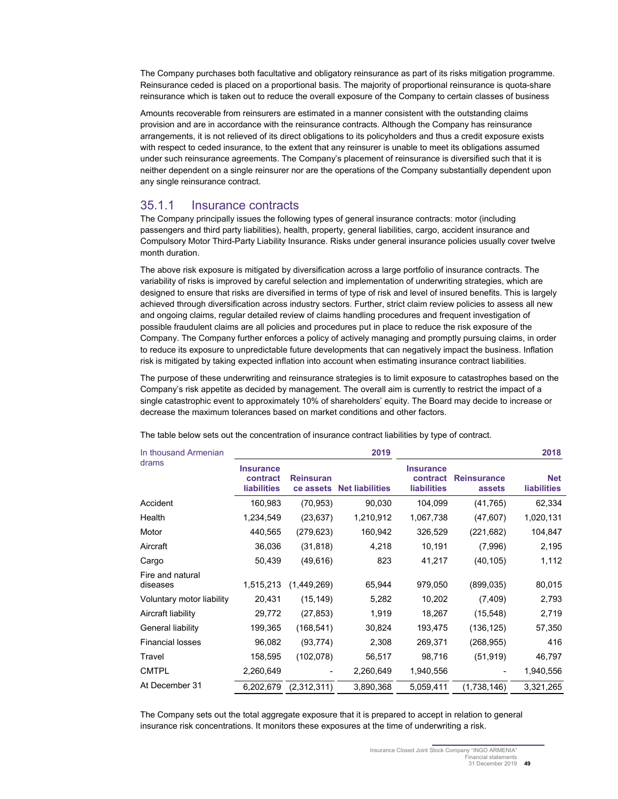The Company purchases both facultative and obligatory reinsurance as part of its risks mitigation programme. Reinsurance ceded is placed on a proportional basis. The majority of proportional reinsurance is quota-share reinsurance which is taken out to reduce the overall exposure of the Company to certain classes of business

Amounts recoverable from reinsurers are estimated in a manner consistent with the outstanding claims provision and are in accordance with the reinsurance contracts. Although the Company has reinsurance arrangements, it is not relieved of its direct obligations to its policyholders and thus a credit exposure exists with respect to ceded insurance, to the extent that any reinsurer is unable to meet its obligations assumed under such reinsurance agreements. The Company's placement of reinsurance is diversified such that it is neither dependent on a single reinsurer nor are the operations of the Company substantially dependent upon any single reinsurance contract.

#### 35.1.1 Insurance contracts

The Company principally issues the following types of general insurance contracts: motor (including passengers and third party liabilities), health, property, general liabilities, cargo, accident insurance and Compulsory Motor Third-Party Liability Insurance. Risks under general insurance policies usually cover twelve month duration.

The above risk exposure is mitigated by diversification across a large portfolio of insurance contracts. The variability of risks is improved by careful selection and implementation of underwriting strategies, which are designed to ensure that risks are diversified in terms of type of risk and level of insured benefits. This is largely achieved through diversification across industry sectors. Further, strict claim review policies to assess all new and ongoing claims, regular detailed review of claims handling procedures and frequent investigation of possible fraudulent claims are all policies and procedures put in place to reduce the risk exposure of the Company. The Company further enforces a policy of actively managing and promptly pursuing claims, in order to reduce its exposure to unpredictable future developments that can negatively impact the business. Inflation risk is mitigated by taking expected inflation into account when estimating insurance contract liabilities.

The purpose of these underwriting and reinsurance strategies is to limit exposure to catastrophes based on the Company's risk appetite as decided by management. The overall aim is currently to restrict the impact of a single catastrophic event to approximately 10% of shareholders' equity. The Board may decide to increase or decrease the maximum tolerances based on market conditions and other factors.

| In thousand Armenian         |                                                    |                               | 2019                   | 2018                                               |                              |                                  |  |
|------------------------------|----------------------------------------------------|-------------------------------|------------------------|----------------------------------------------------|------------------------------|----------------------------------|--|
| drams                        | <b>Insurance</b><br>contract<br><b>liabilities</b> | <b>Reinsuran</b><br>ce assets | <b>Net liabilities</b> | <b>Insurance</b><br>contract<br><b>liabilities</b> | <b>Reinsurance</b><br>assets | <b>Net</b><br><b>liabilities</b> |  |
| Accident                     | 160,983                                            | (70, 953)                     | 90,030                 | 104,099                                            | (41, 765)                    | 62,334                           |  |
| Health                       | 1,234,549                                          | (23, 637)                     | 1,210,912              | 1,067,738                                          | (47, 607)                    | 1,020,131                        |  |
| Motor                        | 440,565                                            | (279, 623)                    | 160,942                | 326,529                                            | (221, 682)                   | 104,847                          |  |
| Aircraft                     | 36,036                                             | (31, 818)                     | 4,218                  | 10,191                                             | (7,996)                      | 2,195                            |  |
| Cargo                        | 50,439                                             | (49, 616)                     | 823                    | 41,217                                             | (40, 105)                    | 1,112                            |  |
| Fire and natural<br>diseases | 1,515,213                                          | (1,449,269)                   | 65,944                 | 979,050                                            | (899, 035)                   | 80,015                           |  |
| Voluntary motor liability    | 20,431                                             | (15, 149)                     | 5,282                  | 10,202                                             | (7, 409)                     | 2,793                            |  |
| Aircraft liability           | 29,772                                             | (27, 853)                     | 1,919                  | 18,267                                             | (15, 548)                    | 2,719                            |  |
| General liability            | 199,365                                            | (168, 541)                    | 30,824                 | 193,475                                            | (136, 125)                   | 57,350                           |  |
| <b>Financial losses</b>      | 96,082                                             | (93, 774)                     | 2,308                  | 269,371                                            | (268, 955)                   | 416                              |  |
| Travel                       | 158,595                                            | (102, 078)                    | 56,517                 | 98,716                                             | (51, 919)                    | 46,797                           |  |
| <b>CMTPL</b>                 | 2,260,649                                          |                               | 2,260,649              | 1,940,556                                          |                              | 1,940,556                        |  |
| At December 31               | 6,202,679                                          | (2,312,311)                   | 3,890,368              | 5,059,411                                          | (1,738,146)                  | 3,321,265                        |  |

The table below sets out the concentration of insurance contract liabilities by type of contract.

The Company sets out the total aggregate exposure that it is prepared to accept in relation to general insurance risk concentrations. It monitors these exposures at the time of underwriting a risk.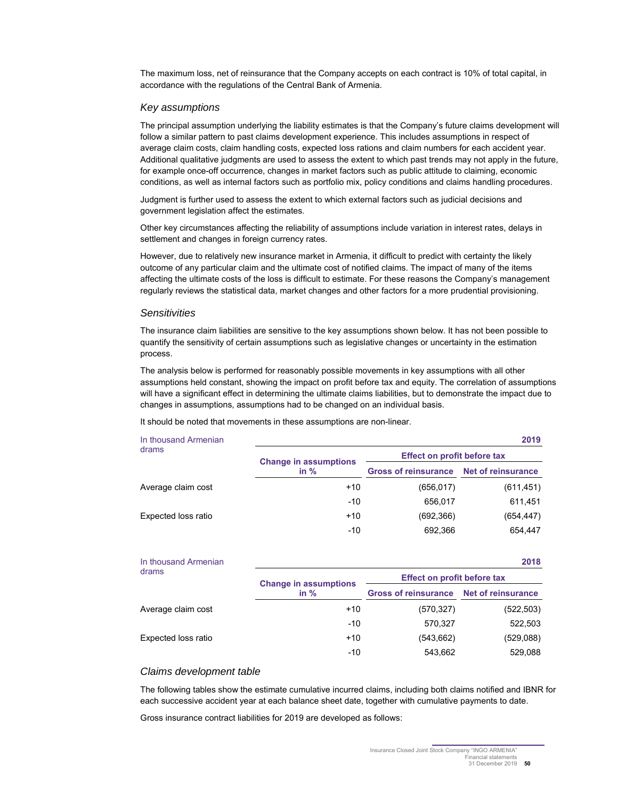The maximum loss, net of reinsurance that the Company accepts on each contract is 10% of total capital, in accordance with the regulations of the Central Bank of Armenia.

#### *Key assumptions*

The principal assumption underlying the liability estimates is that the Company's future claims development will follow a similar pattern to past claims development experience. This includes assumptions in respect of average claim costs, claim handling costs, expected loss rations and claim numbers for each accident year. Additional qualitative judgments are used to assess the extent to which past trends may not apply in the future, for example once-off occurrence, changes in market factors such as public attitude to claiming, economic conditions, as well as internal factors such as portfolio mix, policy conditions and claims handling procedures.

Judgment is further used to assess the extent to which external factors such as judicial decisions and government legislation affect the estimates.

Other key circumstances affecting the reliability of assumptions include variation in interest rates, delays in settlement and changes in foreign currency rates.

However, due to relatively new insurance market in Armenia, it difficult to predict with certainty the likely outcome of any particular claim and the ultimate cost of notified claims. The impact of many of the items affecting the ultimate costs of the loss is difficult to estimate. For these reasons the Company's management regularly reviews the statistical data, market changes and other factors for a more prudential provisioning.

#### *Sensitivities*

The insurance claim liabilities are sensitive to the key assumptions shown below. It has not been possible to quantify the sensitivity of certain assumptions such as legislative changes or uncertainty in the estimation process.

The analysis below is performed for reasonably possible movements in key assumptions with all other assumptions held constant, showing the impact on profit before tax and equity. The correlation of assumptions will have a significant effect in determining the ultimate claims liabilities, but to demonstrate the impact due to changes in assumptions, assumptions had to be changed on an individual basis.

It should be noted that movements in these assumptions are non-linear.

| In thousand Armenian |                              |                                         | 2019       |  |  |
|----------------------|------------------------------|-----------------------------------------|------------|--|--|
| drams                | <b>Change in assumptions</b> | Effect on profit before tax             |            |  |  |
|                      | in $%$                       | Gross of reinsurance Net of reinsurance |            |  |  |
| Average claim cost   | $+10$                        | (656.017)                               | (611, 451) |  |  |
|                      | $-10$                        | 656.017                                 | 611,451    |  |  |
| Expected loss ratio  | $+10$                        | (692, 366)                              | (654, 447) |  |  |
|                      | $-10$                        | 692.366                                 | 654.447    |  |  |

| In thousand Armenian |                              |                                         | 2018       |  |  |
|----------------------|------------------------------|-----------------------------------------|------------|--|--|
| drams                | <b>Change in assumptions</b> | <b>Effect on profit before tax</b>      |            |  |  |
|                      | in $%$                       | Gross of reinsurance Net of reinsurance |            |  |  |
| Average claim cost   | $+10$                        | (570,327)                               | (522, 503) |  |  |
|                      | $-10$                        | 570.327                                 | 522,503    |  |  |
| Expected loss ratio  | $+10$                        | (543,662)                               | (529,088)  |  |  |
|                      | $-10$                        | 543.662                                 | 529.088    |  |  |

#### *Claims development table*

The following tables show the estimate cumulative incurred claims, including both claims notified and IBNR for each successive accident year at each balance sheet date, together with cumulative payments to date.

Gross insurance contract liabilities for 2019 are developed as follows: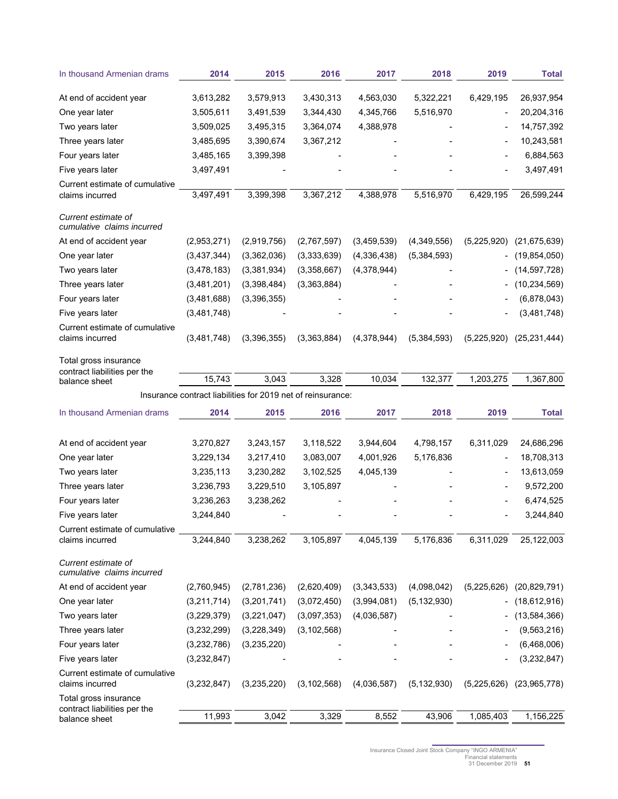| In thousand Armenian drams                            | 2014          | 2015                                                        | 2016          | 2017        | 2018          | 2019        | Total          |
|-------------------------------------------------------|---------------|-------------------------------------------------------------|---------------|-------------|---------------|-------------|----------------|
| At end of accident year                               | 3,613,282     | 3,579,913                                                   | 3,430,313     | 4,563,030   | 5,322,221     | 6,429,195   | 26,937,954     |
| One year later                                        | 3,505,611     | 3,491,539                                                   | 3,344,430     | 4,345,766   | 5,516,970     |             | 20,204,316     |
| Two years later                                       | 3,509,025     | 3,495,315                                                   | 3,364,074     | 4,388,978   |               |             | 14,757,392     |
| Three years later                                     | 3,485,695     | 3,390,674                                                   | 3,367,212     |             |               |             | 10,243,581     |
| Four years later                                      | 3,485,165     | 3,399,398                                                   |               |             |               |             | 6,884,563      |
| Five years later                                      | 3,497,491     |                                                             |               |             |               |             | 3,497,491      |
| Current estimate of cumulative<br>claims incurred     | 3,497,491     | 3,399,398                                                   | 3,367,212     | 4,388,978   | 5,516,970     | 6,429,195   | 26,599,244     |
| Current estimate of<br>cumulative claims incurred     |               |                                                             |               |             |               |             |                |
| At end of accident year                               | (2,953,271)   | (2,919,756)                                                 | (2,767,597)   | (3,459,539) | (4,349,556)   | (5,225,920) | (21, 675, 639) |
| One year later                                        | (3,437,344)   | (3,362,036)                                                 | (3,333,639)   | (4,336,438) | (5,384,593)   |             | (19, 854, 050) |
| Two years later                                       | (3,478,183)   | (3,381,934)                                                 | (3,358,667)   | (4,378,944) |               |             | (14, 597, 728) |
| Three years later                                     | (3,481,201)   | (3,398,484)                                                 | (3,363,884)   |             |               |             | (10, 234, 569) |
| Four years later                                      | (3,481,688)   | (3,396,355)                                                 |               |             |               |             | (6,878,043)    |
| Five years later                                      | (3,481,748)   |                                                             |               |             |               |             | (3,481,748)    |
| Current estimate of cumulative<br>claims incurred     | (3,481,748)   | (3,396,355)                                                 | (3,363,884)   | (4,378,944) | (5,384,593)   | (5,225,920) | (25, 231, 444) |
| Total gross insurance<br>contract liabilities per the |               |                                                             |               |             |               |             |                |
| balance sheet                                         | 15,743        | 3,043                                                       | 3,328         | 10,034      | 132,377       | 1,203,275   | 1,367,800      |
|                                                       |               | Insurance contract liabilities for 2019 net of reinsurance: |               |             |               |             |                |
| In thousand Armenian drams                            | 2014          | 2015                                                        | 2016          | 2017        | 2018          | 2019        | Total          |
| At end of accident year                               | 3,270,827     | 3,243,157                                                   | 3,118,522     | 3,944,604   | 4,798,157     | 6,311,029   | 24,686,296     |
| One year later                                        | 3,229,134     | 3,217,410                                                   | 3,083,007     | 4,001,926   | 5,176,836     |             | 18,708,313     |
| Two years later                                       | 3,235,113     | 3,230,282                                                   | 3,102,525     | 4,045,139   |               |             | 13,613,059     |
| Three years later                                     | 3,236,793     | 3,229,510                                                   | 3,105,897     |             |               |             | 9,572,200      |
| Four years later                                      | 3,236,263     | 3,238,262                                                   |               |             |               |             | 6,474,525      |
| Five years later                                      | 3,244,840     |                                                             |               |             |               |             | 3,244,840      |
| Current estimate of cumulative<br>claims incurred     | 3,244,840     | 3,238,262                                                   | 3,105,897     | 4,045,139   | 5,176,836     | 6,311,029   | 25,122,003     |
| Current estimate of<br>cumulative claims incurred     |               |                                                             |               |             |               |             |                |
| At end of accident year                               | (2,760,945)   | (2,781,236)                                                 | (2,620,409)   | (3,343,533) | (4,098,042)   | (5,225,626) | (20, 829, 791) |
| One year later                                        | (3,211,714)   | (3,201,741)                                                 | (3,072,450)   | (3,994,081) | (5, 132, 930) |             | (18,612,916)   |
| Two years later                                       | (3,229,379)   | (3,221,047)                                                 | (3,097,353)   | (4,036,587) |               |             | (13,584,366)   |
| Three years later                                     | (3,232,299)   | (3,228,349)                                                 | (3, 102, 568) |             |               |             | (9, 563, 216)  |
| Four years later                                      | (3, 232, 786) | (3,235,220)                                                 |               |             |               |             | (6,468,006)    |
| Five years later                                      | (3,232,847)   |                                                             |               |             |               |             | (3, 232, 847)  |
| Current estimate of cumulative<br>claims incurred     | (3,232,847)   | (3,235,220)                                                 | (3, 102, 568) | (4,036,587) | (5, 132, 930) | (5,225,626) | (23,965,778)   |
| Total gross insurance<br>contract liabilities per the |               |                                                             |               |             |               |             |                |
| balance sheet                                         | 11,993        | 3,042                                                       | 3,329         | 8,552       | 43,906        | 1,085,403   | 1,156,225      |

Insurance Closed Joint Stock Company "INGO ARMENIA" Financial statements 31 December 2019 **51**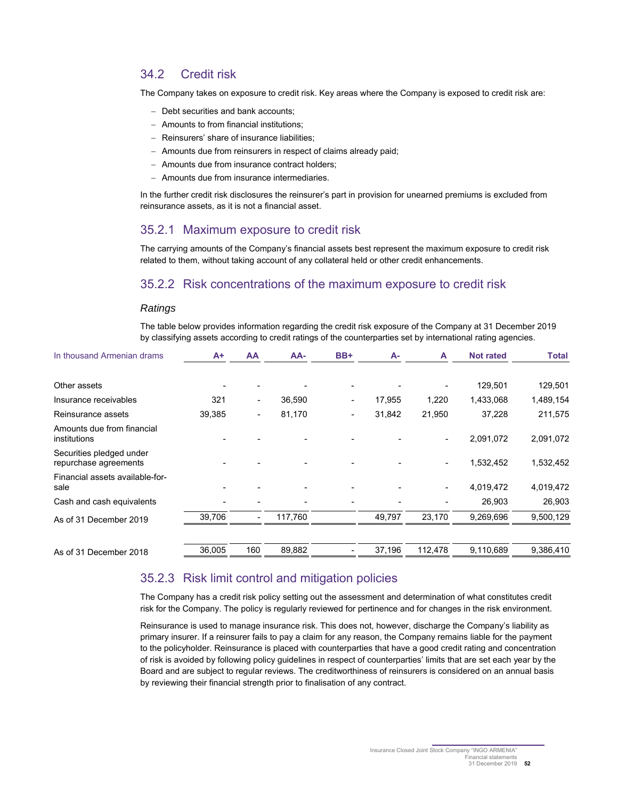## 34.2 Credit risk

The Company takes on exposure to credit risk. Key areas where the Company is exposed to credit risk are:

- Debt securities and bank accounts;
- Amounts to from financial institutions;
- Reinsurers' share of insurance liabilities;
- Amounts due from reinsurers in respect of claims already paid;
- Amounts due from insurance contract holders;
- Amounts due from insurance intermediaries.

In the further credit risk disclosures the reinsurer's part in provision for unearned premiums is excluded from reinsurance assets, as it is not a financial asset.

### 35.2.1 Maximum exposure to credit risk

The carrying amounts of the Company's financial assets best represent the maximum exposure to credit risk related to them, without taking account of any collateral held or other credit enhancements.

### 35.2.2 Risk concentrations of the maximum exposure to credit risk

#### *Ratings*

The table below provides information regarding the credit risk exposure of the Company at 31 December 2019 by classifying assets according to credit ratings of the counterparties set by international rating agencies.

| In thousand Armenian drams                        | $A+$   | AA  | AA-     | BB+ | $A -$  | A       | <b>Not rated</b> | <b>Total</b> |
|---------------------------------------------------|--------|-----|---------|-----|--------|---------|------------------|--------------|
| Other assets                                      |        |     |         |     |        |         | 129,501          | 129,501      |
| Insurance receivables                             | 321    |     | 36,590  |     | 17,955 | 1,220   | 1,433,068        | 1,489,154    |
| Reinsurance assets                                | 39,385 |     | 81,170  |     | 31,842 | 21,950  | 37,228           | 211,575      |
| Amounts due from financial<br>institutions        |        |     |         |     |        |         | 2,091,072        | 2,091,072    |
| Securities pledged under<br>repurchase agreements |        |     |         |     |        |         | 1,532,452        | 1,532,452    |
| Financial assets available-for-<br>sale           |        |     |         |     |        |         | 4,019,472        | 4,019,472    |
| Cash and cash equivalents                         |        |     |         |     |        |         | 26,903           | 26,903       |
| As of 31 December 2019                            | 39,706 |     | 117,760 |     | 49,797 | 23,170  | 9,269,696        | 9,500,129    |
| As of 31 December 2018                            | 36,005 | 160 | 89,882  |     | 37,196 | 112,478 | 9,110,689        | 9,386,410    |

### 35.2.3 Risk limit control and mitigation policies

The Company has a credit risk policy setting out the assessment and determination of what constitutes credit risk for the Company. The policy is regularly reviewed for pertinence and for changes in the risk environment.

Reinsurance is used to manage insurance risk. This does not, however, discharge the Company's liability as primary insurer. If a reinsurer fails to pay a claim for any reason, the Company remains liable for the payment to the policyholder. Reinsurance is placed with counterparties that have a good credit rating and concentration of risk is avoided by following policy guidelines in respect of counterparties' limits that are set each year by the Board and are subject to regular reviews. The creditworthiness of reinsurers is considered on an annual basis by reviewing their financial strength prior to finalisation of any contract.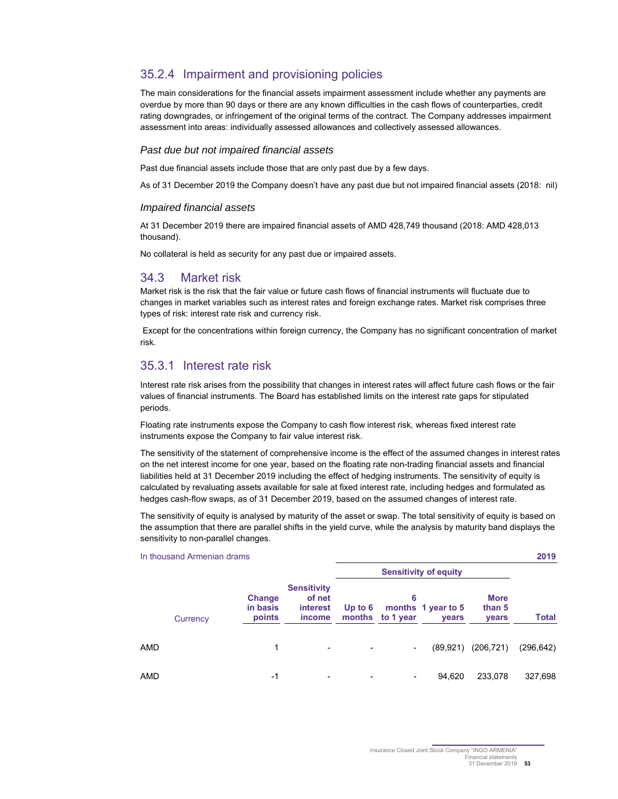## 35.2.4 Impairment and provisioning policies

The main considerations for the financial assets impairment assessment include whether any payments are overdue by more than 90 days or there are any known difficulties in the cash flows of counterparties, credit rating downgrades, or infringement of the original terms of the contract. The Company addresses impairment assessment into areas: individually assessed allowances and collectively assessed allowances.

#### *Past due but not impaired financial assets*

Past due financial assets include those that are only past due by a few days.

As of 31 December 2019 the Company doesn't have any past due but not impaired financial assets (2018: nil)

#### *Impaired financial assets*

At 31 December 2019 there are impaired financial assets of AMD 428,749 thousand (2018: AMD 428,013 thousand).

No collateral is held as security for any past due or impaired assets.

#### 34.3 Market risk

Market risk is the risk that the fair value or future cash flows of financial instruments will fluctuate due to changes in market variables such as interest rates and foreign exchange rates. Market risk comprises three types of risk: interest rate risk and currency risk.

 Except for the concentrations within foreign currency, the Company has no significant concentration of market risk.

### 35.3.1 Interest rate risk

Interest rate risk arises from the possibility that changes in interest rates will affect future cash flows or the fair values of financial instruments. The Board has established limits on the interest rate gaps for stipulated periods.

Floating rate instruments expose the Company to cash flow interest risk, whereas fixed interest rate instruments expose the Company to fair value interest risk.

The sensitivity of the statement of comprehensive income is the effect of the assumed changes in interest rates on the net interest income for one year, based on the floating rate non-trading financial assets and financial liabilities held at 31 December 2019 including the effect of hedging instruments. The sensitivity of equity is calculated by revaluating assets available for sale at fixed interest rate, including hedges and formulated as hedges cash-flow swaps, as of 31 December 2019, based on the assumed changes of interest rate.

The sensitivity of equity is analysed by maturity of the asset or swap. The total sensitivity of equity is based on the assumption that there are parallel shifts in the yield curve, while the analysis by maturity band displays the sensitivity to non-parallel changes.

|          | In thousand Armenian drams   |                                                    |                |                          |                                    |                                |              |  |  |
|----------|------------------------------|----------------------------------------------------|----------------|--------------------------|------------------------------------|--------------------------------|--------------|--|--|
|          |                              |                                                    |                |                          |                                    |                                |              |  |  |
| Currency | Change<br>in basis<br>points | <b>Sensitivity</b><br>of net<br>interest<br>income | Up to $6$      | 6<br>months to 1 year    | months 1 year to 5<br><b>vears</b> | <b>More</b><br>than 5<br>years | <b>Total</b> |  |  |
| AMD      | 1                            |                                                    | $\blacksquare$ | $\overline{\phantom{a}}$ | (89.921)                           | (206, 721)                     | (296, 642)   |  |  |
| AMD      | -1                           |                                                    | -              |                          | 94,620                             | 233,078                        | 327,698      |  |  |

Insurance Closed Joint Stock Company "INGO ARMENIA" **Financial statements** 31 December 2019 **53**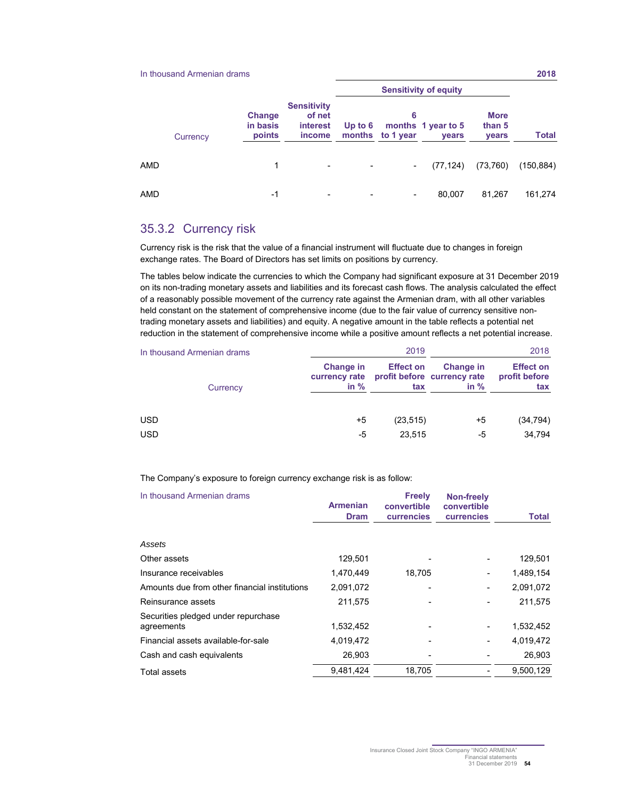#### In thousand Armenian drams **2018**

|     | Currency | Change<br>in basis<br>points | <b>Sensitivity</b><br>of net<br>interest<br>income | Up to $6$                | 6<br>months to 1 year | months 1 year to 5<br><b>vears</b> | <b>More</b><br>than 5<br>years | <b>Total</b> |
|-----|----------|------------------------------|----------------------------------------------------|--------------------------|-----------------------|------------------------------------|--------------------------------|--------------|
| AMD |          | 1                            | -                                                  | $\overline{\phantom{a}}$ |                       | (77, 124)                          | (73,760)                       | (150, 884)   |
| amd |          | -1                           | -                                                  | $\overline{\phantom{a}}$ | ۰.                    | 80.007                             | 81,267                         | 161,274      |

## 35.3.2 Currency risk

Currency risk is the risk that the value of a financial instrument will fluctuate due to changes in foreign exchange rates. The Board of Directors has set limits on positions by currency.

The tables below indicate the currencies to which the Company had significant exposure at 31 December 2019 on its non-trading monetary assets and liabilities and its forecast cash flows. The analysis calculated the effect of a reasonably possible movement of the currency rate against the Armenian dram, with all other variables held constant on the statement of comprehensive income (due to the fair value of currency sensitive nontrading monetary assets and liabilities) and equity. A negative amount in the table reflects a potential net reduction in the statement of comprehensive income while a positive amount reflects a net potential increase.

| In thousand Armenian drams |                                      | 2019                    | 2018                                                      |                                          |  |
|----------------------------|--------------------------------------|-------------------------|-----------------------------------------------------------|------------------------------------------|--|
| Currency                   | Change in<br>currency rate<br>in $%$ | <b>Effect on</b><br>tax | <b>Change in</b><br>profit before currency rate<br>in $%$ | <b>Effect on</b><br>profit before<br>tax |  |
| <b>USD</b>                 | +5                                   | (23, 515)               | $+5$                                                      | (34, 794)                                |  |
| <b>USD</b>                 | -5                                   | 23.515                  | -5                                                        | 34,794                                   |  |

#### The Company's exposure to foreign currency exchange risk is as follow:

| In thousand Armenian drams                        | <b>Armenian</b><br><b>Dram</b> | <b>Freely</b><br>convertible<br><b>currencies</b> | <b>Non-freely</b><br>convertible<br><b>currencies</b> | Total     |
|---------------------------------------------------|--------------------------------|---------------------------------------------------|-------------------------------------------------------|-----------|
| Assets                                            |                                |                                                   |                                                       |           |
| Other assets                                      | 129,501                        |                                                   |                                                       | 129,501   |
| Insurance receivables                             | 1,470,449                      | 18,705                                            |                                                       | 1,489,154 |
| Amounts due from other financial institutions     | 2,091,072                      |                                                   |                                                       | 2,091,072 |
| Reinsurance assets                                | 211,575                        |                                                   |                                                       | 211,575   |
| Securities pledged under repurchase<br>agreements | 1,532,452                      |                                                   |                                                       | 1,532,452 |
| Financial assets available-for-sale               | 4,019,472                      |                                                   |                                                       | 4,019,472 |
| Cash and cash equivalents                         | 26,903                         |                                                   |                                                       | 26,903    |
| Total assets                                      | 9,481,424                      | 18,705                                            |                                                       | 9,500,129 |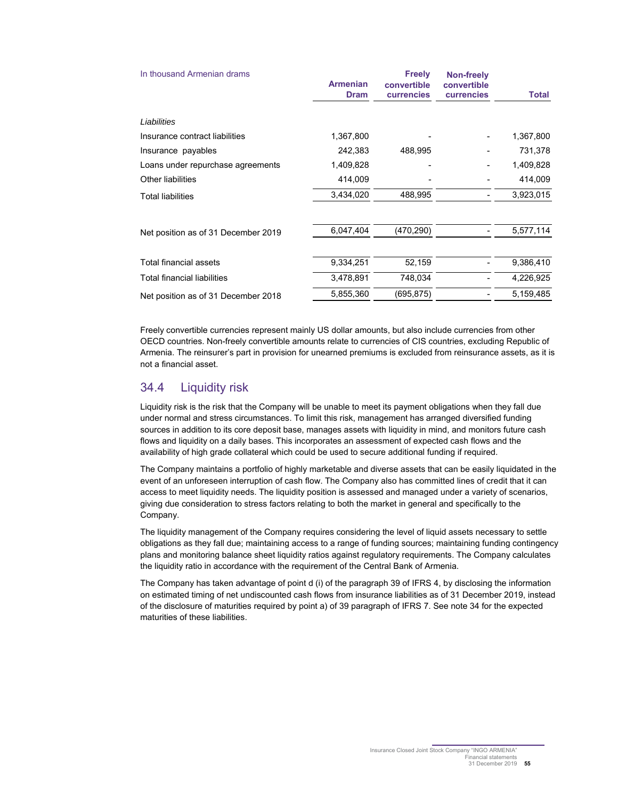| In thousand Armenian drams          | <b>Armenian</b><br><b>Dram</b> | <b>Freely</b><br>convertible<br><b>currencies</b> | <b>Non-freely</b><br>convertible<br>currencies | <b>Total</b> |
|-------------------------------------|--------------------------------|---------------------------------------------------|------------------------------------------------|--------------|
|                                     |                                |                                                   |                                                |              |
| Liabilities                         |                                |                                                   |                                                |              |
| Insurance contract liabilities      | 1,367,800                      |                                                   |                                                | 1,367,800    |
| Insurance payables                  | 242,383                        | 488,995                                           |                                                | 731,378      |
| Loans under repurchase agreements   | 1,409,828                      |                                                   |                                                | 1,409,828    |
| <b>Other liabilities</b>            | 414,009                        |                                                   |                                                | 414,009      |
| <b>Total liabilities</b>            | 3,434,020                      | 488,995                                           |                                                | 3,923,015    |
| Net position as of 31 December 2019 | 6,047,404                      | (470, 290)                                        |                                                | 5,577,114    |
| Total financial assets              | 9,334,251                      | 52,159                                            |                                                | 9,386,410    |
| Total financial liabilities         | 3,478,891                      | 748,034                                           |                                                | 4,226,925    |
| Net position as of 31 December 2018 | 5,855,360                      | (695,875)                                         |                                                | 5,159,485    |

Freely convertible currencies represent mainly US dollar amounts, but also include currencies from other OECD countries. Non-freely convertible amounts relate to currencies of CIS countries, excluding Republic of Armenia. The reinsurer's part in provision for unearned premiums is excluded from reinsurance assets, as it is not a financial asset.

## 34.4 Liquidity risk

Liquidity risk is the risk that the Company will be unable to meet its payment obligations when they fall due under normal and stress circumstances. To limit this risk, management has arranged diversified funding sources in addition to its core deposit base, manages assets with liquidity in mind, and monitors future cash flows and liquidity on a daily bases. This incorporates an assessment of expected cash flows and the availability of high grade collateral which could be used to secure additional funding if required.

The Company maintains a portfolio of highly marketable and diverse assets that can be easily liquidated in the event of an unforeseen interruption of cash flow. The Company also has committed lines of credit that it can access to meet liquidity needs. The liquidity position is assessed and managed under a variety of scenarios, giving due consideration to stress factors relating to both the market in general and specifically to the Company.

The liquidity management of the Company requires considering the level of liquid assets necessary to settle obligations as they fall due; maintaining access to a range of funding sources; maintaining funding contingency plans and monitoring balance sheet liquidity ratios against regulatory requirements. The Company calculates the liquidity ratio in accordance with the requirement of the Central Bank of Armenia.

The Company has taken advantage of point d (i) of the paragraph 39 of IFRS 4, by disclosing the information on estimated timing of net undiscounted cash flows from insurance liabilities as of 31 December 2019, instead of the disclosure of maturities required by point a) of 39 paragraph of IFRS 7. See note 34 for the expected maturities of these liabilities.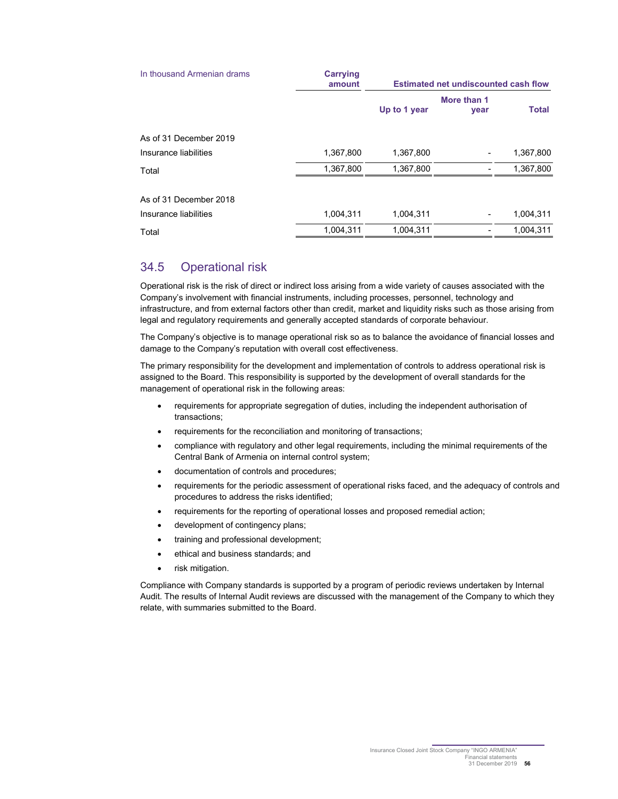| In thousand Armenian drams | <b>Carrying</b><br>amount | <b>Estimated net undiscounted cash flow</b> |                     |              |
|----------------------------|---------------------------|---------------------------------------------|---------------------|--------------|
|                            |                           | Up to 1 year                                | More than 1<br>year | <b>Total</b> |
| As of 31 December 2019     |                           |                                             |                     |              |
| Insurance liabilities      | 1,367,800                 | 1,367,800                                   |                     | 1,367,800    |
| Total                      | 1,367,800                 | 1,367,800                                   |                     | 1,367,800    |
| As of 31 December 2018     |                           |                                             |                     |              |
| Insurance liabilities      | 1,004,311                 | 1,004,311                                   |                     | 1,004,311    |
| Total                      | 1,004,311                 | 1.004.311                                   |                     | 1,004,311    |

### 34.5 Operational risk

Operational risk is the risk of direct or indirect loss arising from a wide variety of causes associated with the Company's involvement with financial instruments, including processes, personnel, technology and infrastructure, and from external factors other than credit, market and liquidity risks such as those arising from legal and regulatory requirements and generally accepted standards of corporate behaviour.

The Company's objective is to manage operational risk so as to balance the avoidance of financial losses and damage to the Company's reputation with overall cost effectiveness.

The primary responsibility for the development and implementation of controls to address operational risk is assigned to the Board. This responsibility is supported by the development of overall standards for the management of operational risk in the following areas:

- requirements for appropriate segregation of duties, including the independent authorisation of transactions;
- requirements for the reconciliation and monitoring of transactions;
- compliance with regulatory and other legal requirements, including the minimal requirements of the Central Bank of Armenia on internal control system;
- documentation of controls and procedures;
- requirements for the periodic assessment of operational risks faced, and the adequacy of controls and procedures to address the risks identified;
- requirements for the reporting of operational losses and proposed remedial action;
- development of contingency plans;
- training and professional development;
- ethical and business standards; and
- risk mitigation.

Compliance with Company standards is supported by a program of periodic reviews undertaken by Internal Audit. The results of Internal Audit reviews are discussed with the management of the Company to which they relate, with summaries submitted to the Board.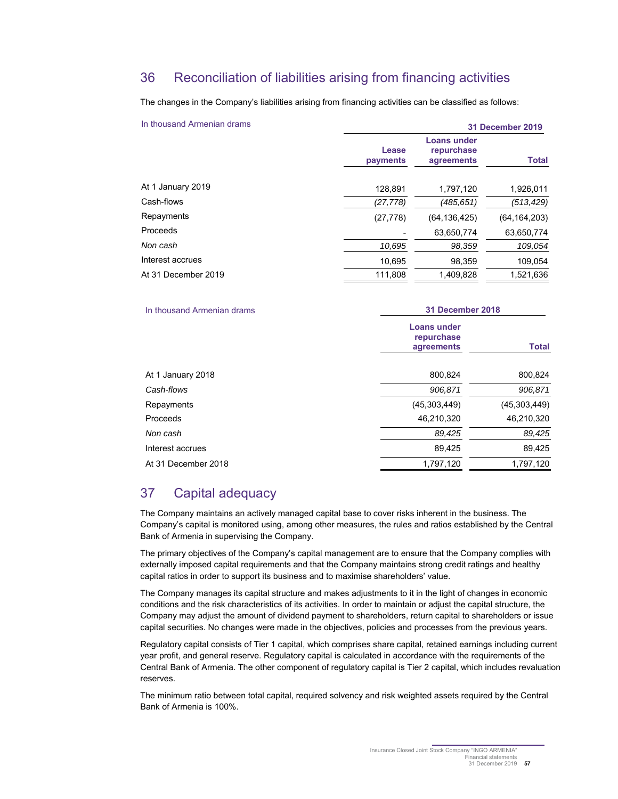## 36 Reconciliation of liabilities arising from financing activities

The changes in the Company's liabilities arising from financing activities can be classified as follows:

| In thousand Armenian drams | <b>31 December 2019</b> |                                         |                |
|----------------------------|-------------------------|-----------------------------------------|----------------|
|                            | Lease<br>payments       | Loans under<br>repurchase<br>agreements | <b>Total</b>   |
| At 1 January 2019          | 128,891                 | 1,797,120                               | 1,926,011      |
| Cash-flows                 | (27, 778)               | (485,651)                               | (513,429)      |
| Repayments                 | (27, 778)               | (64, 136, 425)                          | (64, 164, 203) |
| Proceeds                   |                         | 63,650,774                              | 63,650,774     |
| Non cash                   | 10,695                  | 98,359                                  | 109,054        |
| Interest accrues           | 10,695                  | 98,359                                  | 109,054        |
| At 31 December 2019        | 111.808                 | 1.409.828                               | 1.521.636      |

| In thousand Armenian drams | 31 December 2018                        |              |  |
|----------------------------|-----------------------------------------|--------------|--|
|                            | Loans under<br>repurchase<br>agreements | <b>Total</b> |  |
| At 1 January 2018          | 800,824                                 | 800,824      |  |
| Cash-flows                 | 906,871                                 | 906,871      |  |
| Repayments                 | (45,303,449)                            | (45.303.449) |  |
| Proceeds                   | 46,210,320                              | 46,210,320   |  |
| Non cash                   | 89,425                                  | 89,425       |  |
| Interest accrues           | 89,425                                  | 89,425       |  |
| At 31 December 2018        | 1,797,120                               | 1,797,120    |  |

## 37 Capital adequacy

The Company maintains an actively managed capital base to cover risks inherent in the business. The Company's capital is monitored using, among other measures, the rules and ratios established by the Central Bank of Armenia in supervising the Company.

The primary objectives of the Company's capital management are to ensure that the Company complies with externally imposed capital requirements and that the Company maintains strong credit ratings and healthy capital ratios in order to support its business and to maximise shareholders' value.

The Company manages its capital structure and makes adjustments to it in the light of changes in economic conditions and the risk characteristics of its activities. In order to maintain or adjust the capital structure, the Company may adjust the amount of dividend payment to shareholders, return capital to shareholders or issue capital securities. No changes were made in the objectives, policies and processes from the previous years.

Regulatory capital consists of Tier 1 capital, which comprises share capital, retained earnings including current year profit, and general reserve. Regulatory capital is calculated in accordance with the requirements of the Central Bank of Armenia. The other component of regulatory capital is Tier 2 capital, which includes revaluation reserves.

The minimum ratio between total capital, required solvency and risk weighted assets required by the Central Bank of Armenia is 100%.